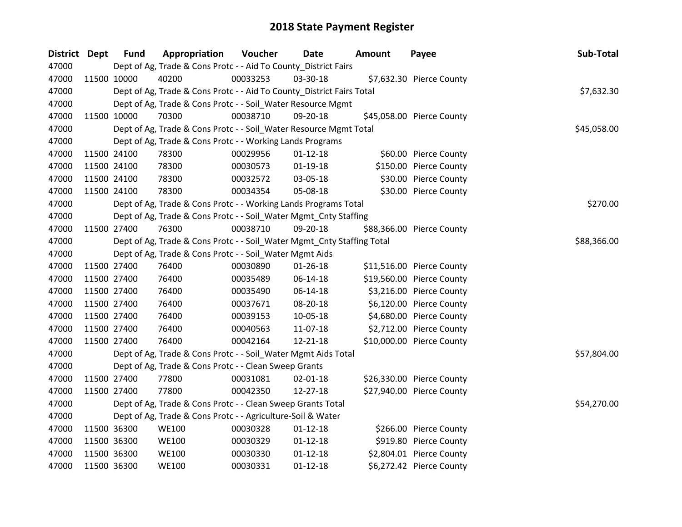| District Dept | <b>Fund</b> | Appropriation                                                          | Voucher  | Date           | <b>Amount</b> | Payee                     | Sub-Total   |
|---------------|-------------|------------------------------------------------------------------------|----------|----------------|---------------|---------------------------|-------------|
| 47000         |             | Dept of Ag, Trade & Cons Protc - - Aid To County_District Fairs        |          |                |               |                           |             |
| 47000         | 11500 10000 | 40200                                                                  | 00033253 | 03-30-18       |               | \$7,632.30 Pierce County  |             |
| 47000         |             | Dept of Ag, Trade & Cons Protc - - Aid To County_District Fairs Total  |          |                |               |                           | \$7,632.30  |
| 47000         |             | Dept of Ag, Trade & Cons Protc - - Soil_Water Resource Mgmt            |          |                |               |                           |             |
| 47000         | 11500 10000 | 70300                                                                  | 00038710 | 09-20-18       |               | \$45,058.00 Pierce County |             |
| 47000         |             | Dept of Ag, Trade & Cons Protc - - Soil_Water Resource Mgmt Total      |          |                |               |                           | \$45,058.00 |
| 47000         |             | Dept of Ag, Trade & Cons Protc - - Working Lands Programs              |          |                |               |                           |             |
| 47000         | 11500 24100 | 78300                                                                  | 00029956 | $01 - 12 - 18$ |               | \$60.00 Pierce County     |             |
| 47000         | 11500 24100 | 78300                                                                  | 00030573 | $01-19-18$     |               | \$150.00 Pierce County    |             |
| 47000         | 11500 24100 | 78300                                                                  | 00032572 | 03-05-18       |               | \$30.00 Pierce County     |             |
| 47000         | 11500 24100 | 78300                                                                  | 00034354 | 05-08-18       |               | \$30.00 Pierce County     |             |
| 47000         |             | Dept of Ag, Trade & Cons Protc - - Working Lands Programs Total        |          |                |               |                           | \$270.00    |
| 47000         |             | Dept of Ag, Trade & Cons Protc - - Soil_Water Mgmt_Cnty Staffing       |          |                |               |                           |             |
| 47000         | 11500 27400 | 76300                                                                  | 00038710 | 09-20-18       |               | \$88,366.00 Pierce County |             |
| 47000         |             | Dept of Ag, Trade & Cons Protc - - Soil_Water Mgmt_Cnty Staffing Total |          |                |               |                           | \$88,366.00 |
| 47000         |             | Dept of Ag, Trade & Cons Protc - - Soil_Water Mgmt Aids                |          |                |               |                           |             |
| 47000         | 11500 27400 | 76400                                                                  | 00030890 | $01 - 26 - 18$ |               | \$11,516.00 Pierce County |             |
| 47000         | 11500 27400 | 76400                                                                  | 00035489 | 06-14-18       |               | \$19,560.00 Pierce County |             |
| 47000         | 11500 27400 | 76400                                                                  | 00035490 | 06-14-18       |               | \$3,216.00 Pierce County  |             |
| 47000         | 11500 27400 | 76400                                                                  | 00037671 | 08-20-18       |               | \$6,120.00 Pierce County  |             |
| 47000         | 11500 27400 | 76400                                                                  | 00039153 | 10-05-18       |               | \$4,680.00 Pierce County  |             |
| 47000         | 11500 27400 | 76400                                                                  | 00040563 | 11-07-18       |               | \$2,712.00 Pierce County  |             |
| 47000         | 11500 27400 | 76400                                                                  | 00042164 | 12-21-18       |               | \$10,000.00 Pierce County |             |
| 47000         |             | Dept of Ag, Trade & Cons Protc - - Soil_Water Mgmt Aids Total          |          |                |               |                           | \$57,804.00 |
| 47000         |             | Dept of Ag, Trade & Cons Protc - - Clean Sweep Grants                  |          |                |               |                           |             |
| 47000         | 11500 27400 | 77800                                                                  | 00031081 | 02-01-18       |               | \$26,330.00 Pierce County |             |
| 47000         | 11500 27400 | 77800                                                                  | 00042350 | 12-27-18       |               | \$27,940.00 Pierce County |             |
| 47000         |             | Dept of Ag, Trade & Cons Protc - - Clean Sweep Grants Total            |          |                |               |                           | \$54,270.00 |
| 47000         |             | Dept of Ag, Trade & Cons Protc - - Agriculture-Soil & Water            |          |                |               |                           |             |
| 47000         | 11500 36300 | <b>WE100</b>                                                           | 00030328 | $01 - 12 - 18$ |               | \$266.00 Pierce County    |             |
| 47000         | 11500 36300 | <b>WE100</b>                                                           | 00030329 | $01 - 12 - 18$ |               | \$919.80 Pierce County    |             |
| 47000         | 11500 36300 | <b>WE100</b>                                                           | 00030330 | $01 - 12 - 18$ |               | \$2,804.01 Pierce County  |             |
| 47000         | 11500 36300 | <b>WE100</b>                                                           | 00030331 | $01 - 12 - 18$ |               | \$6,272.42 Pierce County  |             |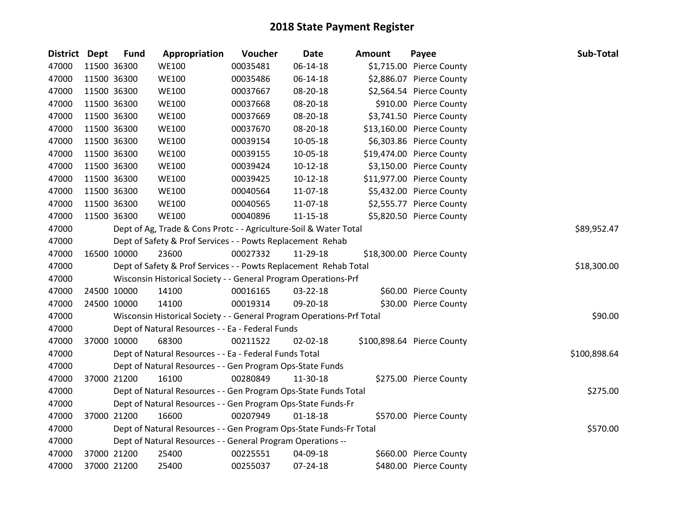| District Dept | <b>Fund</b> | Appropriation                                                         | Voucher  | <b>Date</b>    | <b>Amount</b> | Payee                      | Sub-Total    |
|---------------|-------------|-----------------------------------------------------------------------|----------|----------------|---------------|----------------------------|--------------|
| 47000         | 11500 36300 | <b>WE100</b>                                                          | 00035481 | 06-14-18       |               | \$1,715.00 Pierce County   |              |
| 47000         | 11500 36300 | <b>WE100</b>                                                          | 00035486 | 06-14-18       |               | \$2,886.07 Pierce County   |              |
| 47000         | 11500 36300 | <b>WE100</b>                                                          | 00037667 | 08-20-18       |               | \$2,564.54 Pierce County   |              |
| 47000         | 11500 36300 | <b>WE100</b>                                                          | 00037668 | 08-20-18       |               | \$910.00 Pierce County     |              |
| 47000         | 11500 36300 | <b>WE100</b>                                                          | 00037669 | 08-20-18       |               | \$3,741.50 Pierce County   |              |
| 47000         | 11500 36300 | <b>WE100</b>                                                          | 00037670 | 08-20-18       |               | \$13,160.00 Pierce County  |              |
| 47000         | 11500 36300 | <b>WE100</b>                                                          | 00039154 | 10-05-18       |               | \$6,303.86 Pierce County   |              |
| 47000         | 11500 36300 | <b>WE100</b>                                                          | 00039155 | 10-05-18       |               | \$19,474.00 Pierce County  |              |
| 47000         | 11500 36300 | <b>WE100</b>                                                          | 00039424 | $10-12-18$     |               | \$3,150.00 Pierce County   |              |
| 47000         | 11500 36300 | <b>WE100</b>                                                          | 00039425 | $10-12-18$     |               | \$11,977.00 Pierce County  |              |
| 47000         | 11500 36300 | <b>WE100</b>                                                          | 00040564 | 11-07-18       |               | \$5,432.00 Pierce County   |              |
| 47000         | 11500 36300 | <b>WE100</b>                                                          | 00040565 | 11-07-18       |               | \$2,555.77 Pierce County   |              |
| 47000         | 11500 36300 | <b>WE100</b>                                                          | 00040896 | 11-15-18       |               | \$5,820.50 Pierce County   |              |
| 47000         |             | Dept of Ag, Trade & Cons Protc - - Agriculture-Soil & Water Total     |          |                |               |                            | \$89,952.47  |
| 47000         |             | Dept of Safety & Prof Services - - Powts Replacement Rehab            |          |                |               |                            |              |
| 47000         | 16500 10000 | 23600                                                                 | 00027332 | 11-29-18       |               | \$18,300.00 Pierce County  |              |
| 47000         |             | Dept of Safety & Prof Services - - Powts Replacement Rehab Total      |          |                |               |                            | \$18,300.00  |
| 47000         |             | Wisconsin Historical Society - - General Program Operations-Prf       |          |                |               |                            |              |
| 47000         | 24500 10000 | 14100                                                                 | 00016165 | 03-22-18       |               | \$60.00 Pierce County      |              |
| 47000         | 24500 10000 | 14100                                                                 | 00019314 | 09-20-18       |               | \$30.00 Pierce County      |              |
| 47000         |             | Wisconsin Historical Society - - General Program Operations-Prf Total |          |                |               |                            | \$90.00      |
| 47000         |             | Dept of Natural Resources - - Ea - Federal Funds                      |          |                |               |                            |              |
| 47000         | 37000 10000 | 68300                                                                 | 00211522 | $02 - 02 - 18$ |               | \$100,898.64 Pierce County |              |
| 47000         |             | Dept of Natural Resources - - Ea - Federal Funds Total                |          |                |               |                            | \$100,898.64 |
| 47000         |             | Dept of Natural Resources - - Gen Program Ops-State Funds             |          |                |               |                            |              |
| 47000         | 37000 21200 | 16100                                                                 | 00280849 | 11-30-18       |               | \$275.00 Pierce County     |              |
| 47000         |             | Dept of Natural Resources - - Gen Program Ops-State Funds Total       |          |                |               |                            | \$275.00     |
| 47000         |             | Dept of Natural Resources - - Gen Program Ops-State Funds-Fr          |          |                |               |                            |              |
| 47000         | 37000 21200 | 16600                                                                 | 00207949 | $01 - 18 - 18$ |               | \$570.00 Pierce County     |              |
| 47000         |             | Dept of Natural Resources - - Gen Program Ops-State Funds-Fr Total    |          |                |               |                            | \$570.00     |
| 47000         |             | Dept of Natural Resources - - General Program Operations --           |          |                |               |                            |              |
| 47000         | 37000 21200 | 25400                                                                 | 00225551 | 04-09-18       |               | \$660.00 Pierce County     |              |
| 47000         | 37000 21200 | 25400                                                                 | 00255037 | 07-24-18       |               | \$480.00 Pierce County     |              |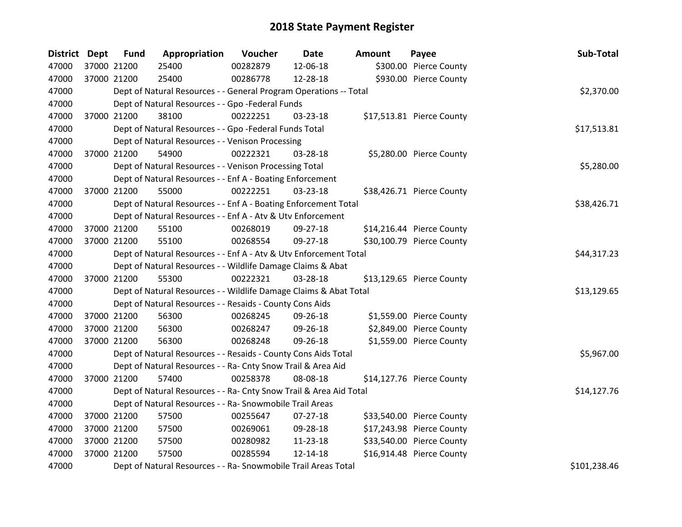| District Dept | <b>Fund</b> | Appropriation                                                      | Voucher    | Date           | <b>Amount</b> | Payee                     | Sub-Total    |
|---------------|-------------|--------------------------------------------------------------------|------------|----------------|---------------|---------------------------|--------------|
| 47000         | 37000 21200 | 25400                                                              | 00282879   | 12-06-18       |               | \$300.00 Pierce County    |              |
| 47000         | 37000 21200 | 25400                                                              | 00286778   | 12-28-18       |               | \$930.00 Pierce County    |              |
| 47000         |             | Dept of Natural Resources - - General Program Operations -- Total  | \$2,370.00 |                |               |                           |              |
| 47000         |             | Dept of Natural Resources - - Gpo -Federal Funds                   |            |                |               |                           |              |
| 47000         | 37000 21200 | 38100                                                              | 00222251   | 03-23-18       |               | \$17,513.81 Pierce County |              |
| 47000         |             | Dept of Natural Resources - - Gpo -Federal Funds Total             |            |                |               |                           | \$17,513.81  |
| 47000         |             | Dept of Natural Resources - - Venison Processing                   |            |                |               |                           |              |
| 47000         | 37000 21200 | 54900                                                              | 00222321   | 03-28-18       |               | \$5,280.00 Pierce County  |              |
| 47000         |             | Dept of Natural Resources - - Venison Processing Total             |            |                |               |                           | \$5,280.00   |
| 47000         |             | Dept of Natural Resources - - Enf A - Boating Enforcement          |            |                |               |                           |              |
| 47000         | 37000 21200 | 55000                                                              | 00222251   | 03-23-18       |               | \$38,426.71 Pierce County |              |
| 47000         |             | Dept of Natural Resources - - Enf A - Boating Enforcement Total    |            |                |               |                           | \$38,426.71  |
| 47000         |             | Dept of Natural Resources - - Enf A - Atv & Utv Enforcement        |            |                |               |                           |              |
| 47000         | 37000 21200 | 55100                                                              | 00268019   | 09-27-18       |               | \$14,216.44 Pierce County |              |
| 47000         | 37000 21200 | 55100                                                              | 00268554   | 09-27-18       |               | \$30,100.79 Pierce County |              |
| 47000         |             | Dept of Natural Resources - - Enf A - Atv & Utv Enforcement Total  |            |                |               |                           | \$44,317.23  |
| 47000         |             | Dept of Natural Resources - - Wildlife Damage Claims & Abat        |            |                |               |                           |              |
| 47000         | 37000 21200 | 55300                                                              | 00222321   | 03-28-18       |               | \$13,129.65 Pierce County |              |
| 47000         |             | Dept of Natural Resources - - Wildlife Damage Claims & Abat Total  |            |                |               |                           | \$13,129.65  |
| 47000         |             | Dept of Natural Resources - - Resaids - County Cons Aids           |            |                |               |                           |              |
| 47000         | 37000 21200 | 56300                                                              | 00268245   | 09-26-18       |               | \$1,559.00 Pierce County  |              |
| 47000         | 37000 21200 | 56300                                                              | 00268247   | 09-26-18       |               | \$2,849.00 Pierce County  |              |
| 47000         | 37000 21200 | 56300                                                              | 00268248   | 09-26-18       |               | \$1,559.00 Pierce County  |              |
| 47000         |             | Dept of Natural Resources - - Resaids - County Cons Aids Total     |            |                |               |                           | \$5,967.00   |
| 47000         |             | Dept of Natural Resources - - Ra- Cnty Snow Trail & Area Aid       |            |                |               |                           |              |
| 47000         | 37000 21200 | 57400                                                              | 00258378   | 08-08-18       |               | \$14,127.76 Pierce County |              |
| 47000         |             | Dept of Natural Resources - - Ra- Cnty Snow Trail & Area Aid Total |            |                |               |                           | \$14,127.76  |
| 47000         |             | Dept of Natural Resources - - Ra- Snowmobile Trail Areas           |            |                |               |                           |              |
| 47000         | 37000 21200 | 57500                                                              | 00255647   | $07 - 27 - 18$ |               | \$33,540.00 Pierce County |              |
| 47000         | 37000 21200 | 57500                                                              | 00269061   | 09-28-18       |               | \$17,243.98 Pierce County |              |
| 47000         | 37000 21200 | 57500                                                              | 00280982   | 11-23-18       |               | \$33,540.00 Pierce County |              |
| 47000         | 37000 21200 | 57500                                                              | 00285594   | $12 - 14 - 18$ |               | \$16,914.48 Pierce County |              |
| 47000         |             | Dept of Natural Resources - - Ra- Snowmobile Trail Areas Total     |            |                |               |                           | \$101,238.46 |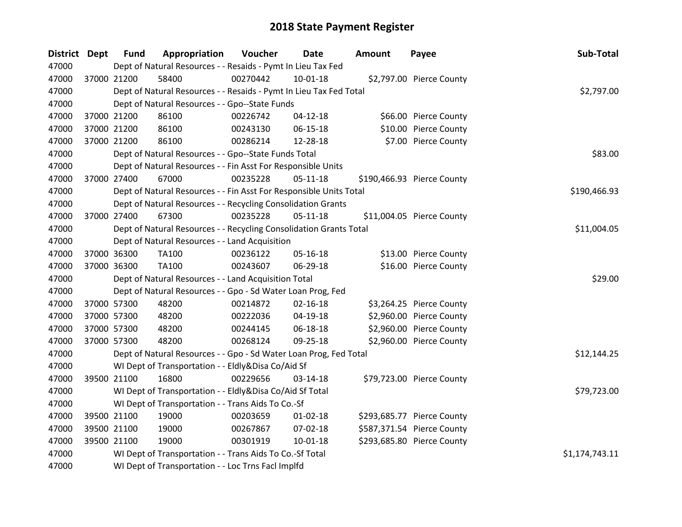| District Dept | <b>Fund</b> | Appropriation                                                      | Voucher  | <b>Date</b>    | <b>Amount</b> | Payee                      | Sub-Total      |
|---------------|-------------|--------------------------------------------------------------------|----------|----------------|---------------|----------------------------|----------------|
| 47000         |             | Dept of Natural Resources - - Resaids - Pymt In Lieu Tax Fed       |          |                |               |                            |                |
| 47000         | 37000 21200 | 58400                                                              | 00270442 | 10-01-18       |               | \$2,797.00 Pierce County   |                |
| 47000         |             | Dept of Natural Resources - - Resaids - Pymt In Lieu Tax Fed Total |          |                |               |                            | \$2,797.00     |
| 47000         |             | Dept of Natural Resources - - Gpo--State Funds                     |          |                |               |                            |                |
| 47000         | 37000 21200 | 86100                                                              | 00226742 | $04 - 12 - 18$ |               | \$66.00 Pierce County      |                |
| 47000         | 37000 21200 | 86100                                                              | 00243130 | 06-15-18       |               | \$10.00 Pierce County      |                |
| 47000         | 37000 21200 | 86100                                                              | 00286214 | 12-28-18       |               | \$7.00 Pierce County       |                |
| 47000         |             | Dept of Natural Resources - - Gpo--State Funds Total               |          |                |               |                            | \$83.00        |
| 47000         |             | Dept of Natural Resources - - Fin Asst For Responsible Units       |          |                |               |                            |                |
| 47000         | 37000 27400 | 67000                                                              | 00235228 | $05 - 11 - 18$ |               | \$190,466.93 Pierce County |                |
| 47000         |             | Dept of Natural Resources - - Fin Asst For Responsible Units Total |          |                |               |                            | \$190,466.93   |
| 47000         |             | Dept of Natural Resources - - Recycling Consolidation Grants       |          |                |               |                            |                |
| 47000         | 37000 27400 | 67300                                                              | 00235228 | $05-11-18$     |               | \$11,004.05 Pierce County  |                |
| 47000         |             | Dept of Natural Resources - - Recycling Consolidation Grants Total |          |                |               |                            | \$11,004.05    |
| 47000         |             | Dept of Natural Resources - - Land Acquisition                     |          |                |               |                            |                |
| 47000         | 37000 36300 | <b>TA100</b>                                                       | 00236122 | 05-16-18       |               | \$13.00 Pierce County      |                |
| 47000         | 37000 36300 | <b>TA100</b>                                                       | 00243607 | 06-29-18       |               | \$16.00 Pierce County      |                |
| 47000         |             | Dept of Natural Resources - - Land Acquisition Total               |          |                |               |                            | \$29.00        |
| 47000         |             | Dept of Natural Resources - - Gpo - Sd Water Loan Prog, Fed        |          |                |               |                            |                |
| 47000         | 37000 57300 | 48200                                                              | 00214872 | $02 - 16 - 18$ |               | \$3,264.25 Pierce County   |                |
| 47000         | 37000 57300 | 48200                                                              | 00222036 | 04-19-18       |               | \$2,960.00 Pierce County   |                |
| 47000         | 37000 57300 | 48200                                                              | 00244145 | 06-18-18       |               | \$2,960.00 Pierce County   |                |
| 47000         | 37000 57300 | 48200                                                              | 00268124 | 09-25-18       |               | \$2,960.00 Pierce County   |                |
| 47000         |             | Dept of Natural Resources - - Gpo - Sd Water Loan Prog, Fed Total  |          |                |               |                            | \$12,144.25    |
| 47000         |             | WI Dept of Transportation - - Eldly&Disa Co/Aid Sf                 |          |                |               |                            |                |
| 47000         | 39500 21100 | 16800                                                              | 00229656 | $03-14-18$     |               | \$79,723.00 Pierce County  |                |
| 47000         |             | WI Dept of Transportation - - Eldly&Disa Co/Aid Sf Total           |          |                |               |                            | \$79,723.00    |
| 47000         |             | WI Dept of Transportation - - Trans Aids To Co.-Sf                 |          |                |               |                            |                |
| 47000         | 39500 21100 | 19000                                                              | 00203659 | $01 - 02 - 18$ |               | \$293,685.77 Pierce County |                |
| 47000         | 39500 21100 | 19000                                                              | 00267867 | 07-02-18       |               | \$587,371.54 Pierce County |                |
| 47000         | 39500 21100 | 19000                                                              | 00301919 | 10-01-18       |               | \$293,685.80 Pierce County |                |
| 47000         |             | WI Dept of Transportation - - Trans Aids To Co.-Sf Total           |          |                |               |                            | \$1,174,743.11 |
| 47000         |             | WI Dept of Transportation - - Loc Trns Facl Implfd                 |          |                |               |                            |                |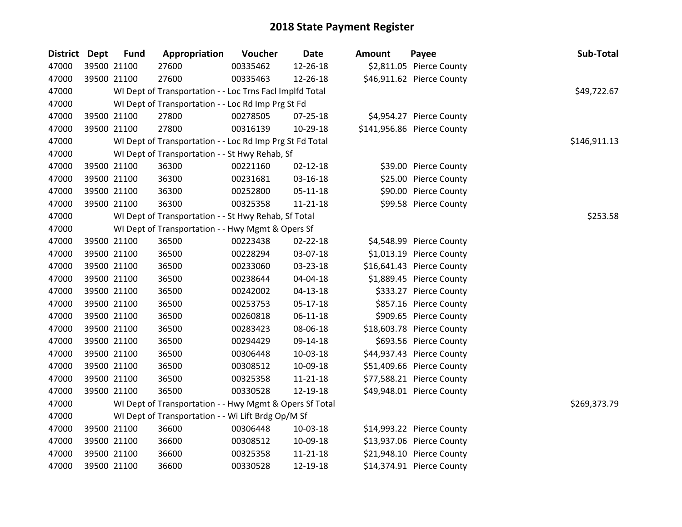| District Dept | <b>Fund</b> | Appropriation                                            | Voucher  | Date           | <b>Amount</b> | Payee                      | Sub-Total    |
|---------------|-------------|----------------------------------------------------------|----------|----------------|---------------|----------------------------|--------------|
| 47000         | 39500 21100 | 27600                                                    | 00335462 | 12-26-18       |               | \$2,811.05 Pierce County   |              |
| 47000         | 39500 21100 | 27600                                                    | 00335463 | 12-26-18       |               | \$46,911.62 Pierce County  |              |
| 47000         |             | WI Dept of Transportation - - Loc Trns Facl Implfd Total |          |                |               |                            | \$49,722.67  |
| 47000         |             | WI Dept of Transportation - - Loc Rd Imp Prg St Fd       |          |                |               |                            |              |
| 47000         | 39500 21100 | 27800                                                    | 00278505 | 07-25-18       |               | \$4,954.27 Pierce County   |              |
| 47000         | 39500 21100 | 27800                                                    | 00316139 | 10-29-18       |               | \$141,956.86 Pierce County |              |
| 47000         |             | WI Dept of Transportation - - Loc Rd Imp Prg St Fd Total |          |                |               |                            | \$146,911.13 |
| 47000         |             | WI Dept of Transportation - - St Hwy Rehab, Sf           |          |                |               |                            |              |
| 47000         | 39500 21100 | 36300                                                    | 00221160 | $02 - 12 - 18$ |               | \$39.00 Pierce County      |              |
| 47000         | 39500 21100 | 36300                                                    | 00231681 | 03-16-18       |               | \$25.00 Pierce County      |              |
| 47000         | 39500 21100 | 36300                                                    | 00252800 | 05-11-18       |               | \$90.00 Pierce County      |              |
| 47000         | 39500 21100 | 36300                                                    | 00325358 | $11 - 21 - 18$ |               | \$99.58 Pierce County      |              |
| 47000         |             | WI Dept of Transportation - - St Hwy Rehab, Sf Total     |          |                |               |                            | \$253.58     |
| 47000         |             | WI Dept of Transportation - - Hwy Mgmt & Opers Sf        |          |                |               |                            |              |
| 47000         | 39500 21100 | 36500                                                    | 00223438 | 02-22-18       |               | \$4,548.99 Pierce County   |              |
| 47000         | 39500 21100 | 36500                                                    | 00228294 | 03-07-18       |               | \$1,013.19 Pierce County   |              |
| 47000         | 39500 21100 | 36500                                                    | 00233060 | 03-23-18       |               | \$16,641.43 Pierce County  |              |
| 47000         | 39500 21100 | 36500                                                    | 00238644 | 04-04-18       |               | \$1,889.45 Pierce County   |              |
| 47000         | 39500 21100 | 36500                                                    | 00242002 | $04 - 13 - 18$ |               | \$333.27 Pierce County     |              |
| 47000         | 39500 21100 | 36500                                                    | 00253753 | 05-17-18       |               | \$857.16 Pierce County     |              |
| 47000         | 39500 21100 | 36500                                                    | 00260818 | $06 - 11 - 18$ |               | \$909.65 Pierce County     |              |
| 47000         | 39500 21100 | 36500                                                    | 00283423 | 08-06-18       |               | \$18,603.78 Pierce County  |              |
| 47000         | 39500 21100 | 36500                                                    | 00294429 | 09-14-18       |               | \$693.56 Pierce County     |              |
| 47000         | 39500 21100 | 36500                                                    | 00306448 | 10-03-18       |               | \$44,937.43 Pierce County  |              |
| 47000         | 39500 21100 | 36500                                                    | 00308512 | 10-09-18       |               | \$51,409.66 Pierce County  |              |
| 47000         | 39500 21100 | 36500                                                    | 00325358 | 11-21-18       |               | \$77,588.21 Pierce County  |              |
| 47000         | 39500 21100 | 36500                                                    | 00330528 | 12-19-18       |               | \$49,948.01 Pierce County  |              |
| 47000         |             | WI Dept of Transportation - - Hwy Mgmt & Opers Sf Total  |          |                |               |                            | \$269,373.79 |
| 47000         |             | WI Dept of Transportation - - Wi Lift Brdg Op/M Sf       |          |                |               |                            |              |
| 47000         | 39500 21100 | 36600                                                    | 00306448 | 10-03-18       |               | \$14,993.22 Pierce County  |              |
| 47000         | 39500 21100 | 36600                                                    | 00308512 | 10-09-18       |               | \$13,937.06 Pierce County  |              |
| 47000         | 39500 21100 | 36600                                                    | 00325358 | $11 - 21 - 18$ |               | \$21,948.10 Pierce County  |              |
| 47000         | 39500 21100 | 36600                                                    | 00330528 | 12-19-18       |               | \$14,374.91 Pierce County  |              |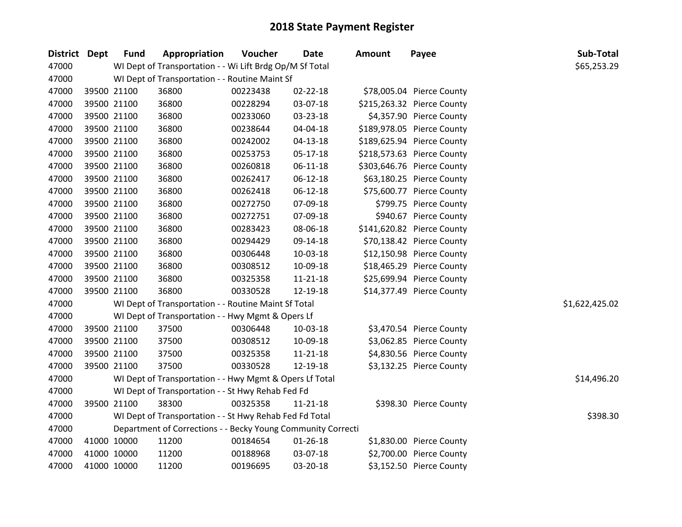| District Dept | <b>Fund</b> | Appropriation                                                | Voucher  | Date           | Amount | Payee                      | Sub-Total      |
|---------------|-------------|--------------------------------------------------------------|----------|----------------|--------|----------------------------|----------------|
| 47000         |             | WI Dept of Transportation - - Wi Lift Brdg Op/M Sf Total     |          |                |        |                            | \$65,253.29    |
| 47000         |             | WI Dept of Transportation - - Routine Maint Sf               |          |                |        |                            |                |
| 47000         | 39500 21100 | 36800                                                        | 00223438 | 02-22-18       |        | \$78,005.04 Pierce County  |                |
| 47000         | 39500 21100 | 36800                                                        | 00228294 | 03-07-18       |        | \$215,263.32 Pierce County |                |
| 47000         | 39500 21100 | 36800                                                        | 00233060 | 03-23-18       |        | \$4,357.90 Pierce County   |                |
| 47000         | 39500 21100 | 36800                                                        | 00238644 | 04-04-18       |        | \$189,978.05 Pierce County |                |
| 47000         | 39500 21100 | 36800                                                        | 00242002 | $04 - 13 - 18$ |        | \$189,625.94 Pierce County |                |
| 47000         | 39500 21100 | 36800                                                        | 00253753 | 05-17-18       |        | \$218,573.63 Pierce County |                |
| 47000         | 39500 21100 | 36800                                                        | 00260818 | 06-11-18       |        | \$303,646.76 Pierce County |                |
| 47000         | 39500 21100 | 36800                                                        | 00262417 | $06 - 12 - 18$ |        | \$63,180.25 Pierce County  |                |
| 47000         | 39500 21100 | 36800                                                        | 00262418 | 06-12-18       |        | \$75,600.77 Pierce County  |                |
| 47000         | 39500 21100 | 36800                                                        | 00272750 | 07-09-18       |        | \$799.75 Pierce County     |                |
| 47000         | 39500 21100 | 36800                                                        | 00272751 | 07-09-18       |        | \$940.67 Pierce County     |                |
| 47000         | 39500 21100 | 36800                                                        | 00283423 | 08-06-18       |        | \$141,620.82 Pierce County |                |
| 47000         | 39500 21100 | 36800                                                        | 00294429 | 09-14-18       |        | \$70,138.42 Pierce County  |                |
| 47000         | 39500 21100 | 36800                                                        | 00306448 | 10-03-18       |        | \$12,150.98 Pierce County  |                |
| 47000         | 39500 21100 | 36800                                                        | 00308512 | 10-09-18       |        | \$18,465.29 Pierce County  |                |
| 47000         | 39500 21100 | 36800                                                        | 00325358 | $11 - 21 - 18$ |        | \$25,699.94 Pierce County  |                |
| 47000         | 39500 21100 | 36800                                                        | 00330528 | 12-19-18       |        | \$14,377.49 Pierce County  |                |
| 47000         |             | WI Dept of Transportation - - Routine Maint Sf Total         |          |                |        |                            | \$1,622,425.02 |
| 47000         |             | WI Dept of Transportation - - Hwy Mgmt & Opers Lf            |          |                |        |                            |                |
| 47000         | 39500 21100 | 37500                                                        | 00306448 | 10-03-18       |        | \$3,470.54 Pierce County   |                |
| 47000         | 39500 21100 | 37500                                                        | 00308512 | 10-09-18       |        | \$3,062.85 Pierce County   |                |
| 47000         | 39500 21100 | 37500                                                        | 00325358 | $11 - 21 - 18$ |        | \$4,830.56 Pierce County   |                |
| 47000         | 39500 21100 | 37500                                                        | 00330528 | 12-19-18       |        | \$3,132.25 Pierce County   |                |
| 47000         |             | WI Dept of Transportation - - Hwy Mgmt & Opers Lf Total      |          |                |        |                            | \$14,496.20    |
| 47000         |             | WI Dept of Transportation - - St Hwy Rehab Fed Fd            |          |                |        |                            |                |
| 47000         | 39500 21100 | 38300                                                        | 00325358 | $11 - 21 - 18$ |        | \$398.30 Pierce County     |                |
| 47000         |             | WI Dept of Transportation - - St Hwy Rehab Fed Fd Total      |          |                |        |                            | \$398.30       |
| 47000         |             | Department of Corrections - - Becky Young Community Correcti |          |                |        |                            |                |
| 47000         | 41000 10000 | 11200                                                        | 00184654 | $01 - 26 - 18$ |        | \$1,830.00 Pierce County   |                |
| 47000         | 41000 10000 | 11200                                                        | 00188968 | 03-07-18       |        | \$2,700.00 Pierce County   |                |
| 47000         | 41000 10000 | 11200                                                        | 00196695 | 03-20-18       |        | \$3,152.50 Pierce County   |                |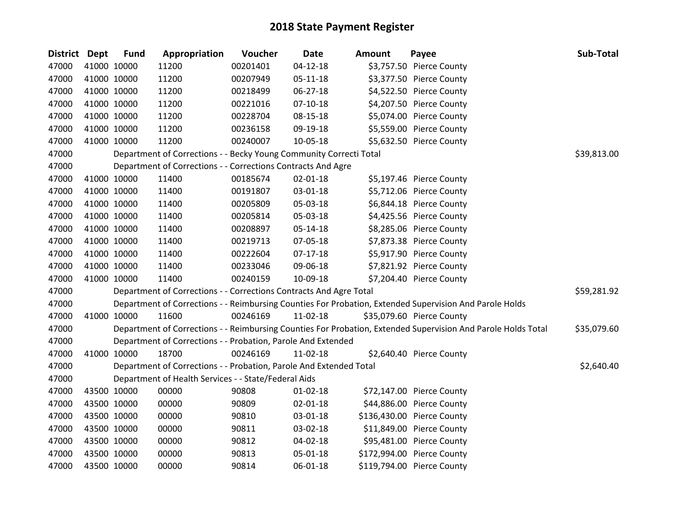| District Dept |             | <b>Fund</b> | Appropriation                                                      | Voucher  | Date           | Amount | Payee                                                                                                         | Sub-Total   |
|---------------|-------------|-------------|--------------------------------------------------------------------|----------|----------------|--------|---------------------------------------------------------------------------------------------------------------|-------------|
| 47000         |             | 41000 10000 | 11200                                                              | 00201401 | 04-12-18       |        | \$3,757.50 Pierce County                                                                                      |             |
| 47000         |             | 41000 10000 | 11200                                                              | 00207949 | 05-11-18       |        | \$3,377.50 Pierce County                                                                                      |             |
| 47000         |             | 41000 10000 | 11200                                                              | 00218499 | 06-27-18       |        | \$4,522.50 Pierce County                                                                                      |             |
| 47000         |             | 41000 10000 | 11200                                                              | 00221016 | 07-10-18       |        | \$4,207.50 Pierce County                                                                                      |             |
| 47000         |             | 41000 10000 | 11200                                                              | 00228704 | 08-15-18       |        | \$5,074.00 Pierce County                                                                                      |             |
| 47000         |             | 41000 10000 | 11200                                                              | 00236158 | 09-19-18       |        | \$5,559.00 Pierce County                                                                                      |             |
| 47000         |             | 41000 10000 | 11200                                                              | 00240007 | 10-05-18       |        | \$5,632.50 Pierce County                                                                                      |             |
| 47000         |             |             | Department of Corrections - - Becky Young Community Correcti Total |          |                |        |                                                                                                               | \$39,813.00 |
| 47000         |             |             | Department of Corrections - - Corrections Contracts And Agre       |          |                |        |                                                                                                               |             |
| 47000         |             | 41000 10000 | 11400                                                              | 00185674 | $02 - 01 - 18$ |        | \$5,197.46 Pierce County                                                                                      |             |
| 47000         |             | 41000 10000 | 11400                                                              | 00191807 | 03-01-18       |        | \$5,712.06 Pierce County                                                                                      |             |
| 47000         |             | 41000 10000 | 11400                                                              | 00205809 | 05-03-18       |        | \$6,844.18 Pierce County                                                                                      |             |
| 47000         |             | 41000 10000 | 11400                                                              | 00205814 | 05-03-18       |        | \$4,425.56 Pierce County                                                                                      |             |
| 47000         |             | 41000 10000 | 11400                                                              | 00208897 | 05-14-18       |        | \$8,285.06 Pierce County                                                                                      |             |
| 47000         |             | 41000 10000 | 11400                                                              | 00219713 | 07-05-18       |        | \$7,873.38 Pierce County                                                                                      |             |
| 47000         |             | 41000 10000 | 11400                                                              | 00222604 | $07-17-18$     |        | \$5,917.90 Pierce County                                                                                      |             |
| 47000         |             | 41000 10000 | 11400                                                              | 00233046 | 09-06-18       |        | \$7,821.92 Pierce County                                                                                      |             |
| 47000         |             | 41000 10000 | 11400                                                              | 00240159 | 10-09-18       |        | \$7,204.40 Pierce County                                                                                      |             |
| 47000         |             |             | Department of Corrections - - Corrections Contracts And Agre Total |          |                |        |                                                                                                               | \$59,281.92 |
| 47000         |             |             |                                                                    |          |                |        | Department of Corrections - - Reimbursing Counties For Probation, Extended Supervision And Parole Holds       |             |
| 47000         |             | 41000 10000 | 11600                                                              | 00246169 | 11-02-18       |        | \$35,079.60 Pierce County                                                                                     |             |
| 47000         |             |             |                                                                    |          |                |        | Department of Corrections - - Reimbursing Counties For Probation, Extended Supervision And Parole Holds Total | \$35,079.60 |
| 47000         |             |             | Department of Corrections - - Probation, Parole And Extended       |          |                |        |                                                                                                               |             |
| 47000         |             | 41000 10000 | 18700                                                              | 00246169 | $11-02-18$     |        | \$2,640.40 Pierce County                                                                                      |             |
| 47000         |             |             | Department of Corrections - - Probation, Parole And Extended Total |          |                |        |                                                                                                               | \$2,640.40  |
| 47000         |             |             | Department of Health Services - - State/Federal Aids               |          |                |        |                                                                                                               |             |
| 47000         |             | 43500 10000 | 00000                                                              | 90808    | 01-02-18       |        | \$72,147.00 Pierce County                                                                                     |             |
| 47000         |             | 43500 10000 | 00000                                                              | 90809    | 02-01-18       |        | \$44,886.00 Pierce County                                                                                     |             |
| 47000         |             | 43500 10000 | 00000                                                              | 90810    | 03-01-18       |        | \$136,430.00 Pierce County                                                                                    |             |
| 47000         |             | 43500 10000 | 00000                                                              | 90811    | 03-02-18       |        | \$11,849.00 Pierce County                                                                                     |             |
| 47000         |             | 43500 10000 | 00000                                                              | 90812    | 04-02-18       |        | \$95,481.00 Pierce County                                                                                     |             |
| 47000         |             | 43500 10000 | 00000                                                              | 90813    | 05-01-18       |        | \$172,994.00 Pierce County                                                                                    |             |
| 47000         | 43500 10000 |             | 00000                                                              | 90814    | 06-01-18       |        | \$119,794.00 Pierce County                                                                                    |             |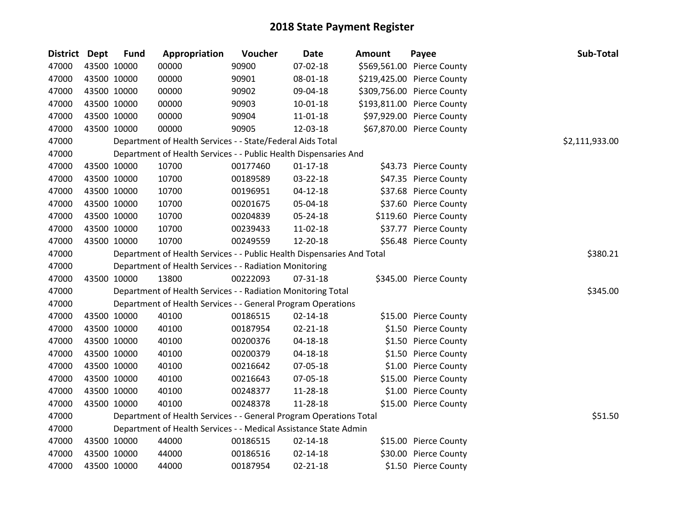| <b>District</b> | <b>Dept</b> | <b>Fund</b> | Appropriation                                                          | Voucher  | <b>Date</b>    | <b>Amount</b> | Payee                      | Sub-Total      |
|-----------------|-------------|-------------|------------------------------------------------------------------------|----------|----------------|---------------|----------------------------|----------------|
| 47000           |             | 43500 10000 | 00000                                                                  | 90900    | 07-02-18       |               | \$569,561.00 Pierce County |                |
| 47000           |             | 43500 10000 | 00000                                                                  | 90901    | 08-01-18       |               | \$219,425.00 Pierce County |                |
| 47000           |             | 43500 10000 | 00000                                                                  | 90902    | 09-04-18       |               | \$309,756.00 Pierce County |                |
| 47000           |             | 43500 10000 | 00000                                                                  | 90903    | $10-01-18$     |               | \$193,811.00 Pierce County |                |
| 47000           |             | 43500 10000 | 00000                                                                  | 90904    | 11-01-18       |               | \$97,929.00 Pierce County  |                |
| 47000           |             | 43500 10000 | 00000                                                                  | 90905    | 12-03-18       |               | \$67,870.00 Pierce County  |                |
| 47000           |             |             | Department of Health Services - - State/Federal Aids Total             |          |                |               |                            | \$2,111,933.00 |
| 47000           |             |             | Department of Health Services - - Public Health Dispensaries And       |          |                |               |                            |                |
| 47000           |             | 43500 10000 | 10700                                                                  | 00177460 | $01 - 17 - 18$ |               | \$43.73 Pierce County      |                |
| 47000           |             | 43500 10000 | 10700                                                                  | 00189589 | 03-22-18       |               | \$47.35 Pierce County      |                |
| 47000           |             | 43500 10000 | 10700                                                                  | 00196951 | 04-12-18       |               | \$37.68 Pierce County      |                |
| 47000           |             | 43500 10000 | 10700                                                                  | 00201675 | 05-04-18       |               | \$37.60 Pierce County      |                |
| 47000           |             | 43500 10000 | 10700                                                                  | 00204839 | 05-24-18       |               | \$119.60 Pierce County     |                |
| 47000           |             | 43500 10000 | 10700                                                                  | 00239433 | 11-02-18       |               | \$37.77 Pierce County      |                |
| 47000           |             | 43500 10000 | 10700                                                                  | 00249559 | 12-20-18       |               | \$56.48 Pierce County      |                |
| 47000           |             |             | Department of Health Services - - Public Health Dispensaries And Total |          |                |               |                            | \$380.21       |
| 47000           |             |             | Department of Health Services - - Radiation Monitoring                 |          |                |               |                            |                |
| 47000           |             | 43500 10000 | 13800                                                                  | 00222093 | 07-31-18       |               | \$345.00 Pierce County     |                |
| 47000           |             |             | Department of Health Services - - Radiation Monitoring Total           |          |                |               |                            | \$345.00       |
| 47000           |             |             | Department of Health Services - - General Program Operations           |          |                |               |                            |                |
| 47000           |             | 43500 10000 | 40100                                                                  | 00186515 | 02-14-18       |               | \$15.00 Pierce County      |                |
| 47000           |             | 43500 10000 | 40100                                                                  | 00187954 | 02-21-18       |               | \$1.50 Pierce County       |                |
| 47000           |             | 43500 10000 | 40100                                                                  | 00200376 | 04-18-18       |               | \$1.50 Pierce County       |                |
| 47000           |             | 43500 10000 | 40100                                                                  | 00200379 | 04-18-18       |               | \$1.50 Pierce County       |                |
| 47000           |             | 43500 10000 | 40100                                                                  | 00216642 | 07-05-18       |               | \$1.00 Pierce County       |                |
| 47000           |             | 43500 10000 | 40100                                                                  | 00216643 | 07-05-18       |               | \$15.00 Pierce County      |                |
| 47000           |             | 43500 10000 | 40100                                                                  | 00248377 | 11-28-18       |               | \$1.00 Pierce County       |                |
| 47000           |             | 43500 10000 | 40100                                                                  | 00248378 | 11-28-18       |               | \$15.00 Pierce County      |                |
| 47000           |             |             | Department of Health Services - - General Program Operations Total     |          |                |               |                            | \$51.50        |
| 47000           |             |             | Department of Health Services - - Medical Assistance State Admin       |          |                |               |                            |                |
| 47000           |             | 43500 10000 | 44000                                                                  | 00186515 | 02-14-18       |               | \$15.00 Pierce County      |                |
| 47000           |             | 43500 10000 | 44000                                                                  | 00186516 | 02-14-18       |               | \$30.00 Pierce County      |                |
| 47000           |             | 43500 10000 | 44000                                                                  | 00187954 | $02 - 21 - 18$ |               | \$1.50 Pierce County       |                |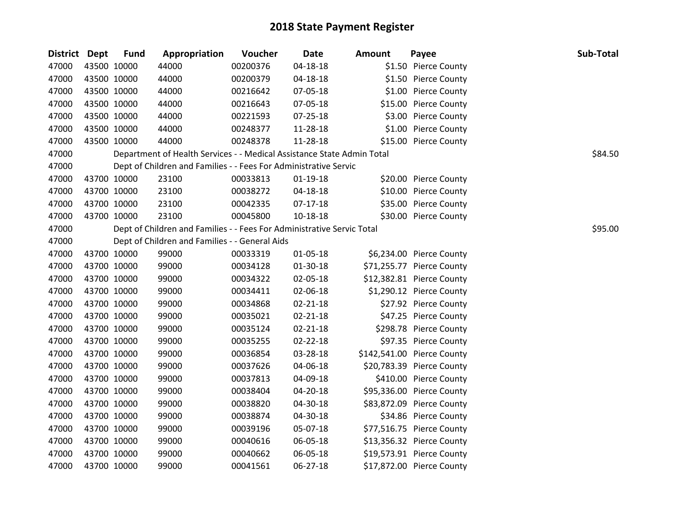| <b>District Dept</b> |             | <b>Fund</b> | Appropriation                                                          | Voucher  | <b>Date</b>    | <b>Amount</b> | Payee                      | Sub-Total |
|----------------------|-------------|-------------|------------------------------------------------------------------------|----------|----------------|---------------|----------------------------|-----------|
| 47000                | 43500 10000 |             | 44000                                                                  | 00200376 | 04-18-18       |               | \$1.50 Pierce County       |           |
| 47000                | 43500 10000 |             | 44000                                                                  | 00200379 | 04-18-18       |               | \$1.50 Pierce County       |           |
| 47000                | 43500 10000 |             | 44000                                                                  | 00216642 | 07-05-18       |               | \$1.00 Pierce County       |           |
| 47000                | 43500 10000 |             | 44000                                                                  | 00216643 | 07-05-18       |               | \$15.00 Pierce County      |           |
| 47000                | 43500 10000 |             | 44000                                                                  | 00221593 | 07-25-18       |               | \$3.00 Pierce County       |           |
| 47000                | 43500 10000 |             | 44000                                                                  | 00248377 | 11-28-18       |               | \$1.00 Pierce County       |           |
| 47000                | 43500 10000 |             | 44000                                                                  | 00248378 | 11-28-18       |               | \$15.00 Pierce County      |           |
| 47000                |             |             | Department of Health Services - - Medical Assistance State Admin Total |          |                |               |                            | \$84.50   |
| 47000                |             |             | Dept of Children and Families - - Fees For Administrative Servic       |          |                |               |                            |           |
| 47000                | 43700 10000 |             | 23100                                                                  | 00033813 | 01-19-18       |               | \$20.00 Pierce County      |           |
| 47000                | 43700 10000 |             | 23100                                                                  | 00038272 | 04-18-18       |               | \$10.00 Pierce County      |           |
| 47000                | 43700 10000 |             | 23100                                                                  | 00042335 | $07-17-18$     |               | \$35.00 Pierce County      |           |
| 47000                | 43700 10000 |             | 23100                                                                  | 00045800 | 10-18-18       |               | \$30.00 Pierce County      |           |
| 47000                |             |             | Dept of Children and Families - - Fees For Administrative Servic Total |          |                |               |                            | \$95.00   |
| 47000                |             |             | Dept of Children and Families - - General Aids                         |          |                |               |                            |           |
| 47000                | 43700 10000 |             | 99000                                                                  | 00033319 | 01-05-18       |               | \$6,234.00 Pierce County   |           |
| 47000                | 43700 10000 |             | 99000                                                                  | 00034128 | $01-30-18$     |               | \$71,255.77 Pierce County  |           |
| 47000                | 43700 10000 |             | 99000                                                                  | 00034322 | 02-05-18       |               | \$12,382.81 Pierce County  |           |
| 47000                | 43700 10000 |             | 99000                                                                  | 00034411 | 02-06-18       |               | \$1,290.12 Pierce County   |           |
| 47000                | 43700 10000 |             | 99000                                                                  | 00034868 | 02-21-18       |               | \$27.92 Pierce County      |           |
| 47000                | 43700 10000 |             | 99000                                                                  | 00035021 | $02 - 21 - 18$ |               | \$47.25 Pierce County      |           |
| 47000                | 43700 10000 |             | 99000                                                                  | 00035124 | $02 - 21 - 18$ |               | \$298.78 Pierce County     |           |
| 47000                | 43700 10000 |             | 99000                                                                  | 00035255 | 02-22-18       |               | \$97.35 Pierce County      |           |
| 47000                | 43700 10000 |             | 99000                                                                  | 00036854 | 03-28-18       |               | \$142,541.00 Pierce County |           |
| 47000                | 43700 10000 |             | 99000                                                                  | 00037626 | 04-06-18       |               | \$20,783.39 Pierce County  |           |
| 47000                | 43700 10000 |             | 99000                                                                  | 00037813 | 04-09-18       |               | \$410.00 Pierce County     |           |
| 47000                | 43700 10000 |             | 99000                                                                  | 00038404 | 04-20-18       |               | \$95,336.00 Pierce County  |           |
| 47000                | 43700 10000 |             | 99000                                                                  | 00038820 | 04-30-18       |               | \$83,872.09 Pierce County  |           |
| 47000                | 43700 10000 |             | 99000                                                                  | 00038874 | 04-30-18       |               | \$34.86 Pierce County      |           |
| 47000                | 43700 10000 |             | 99000                                                                  | 00039196 | 05-07-18       |               | \$77,516.75 Pierce County  |           |
| 47000                | 43700 10000 |             | 99000                                                                  | 00040616 | 06-05-18       |               | \$13,356.32 Pierce County  |           |
| 47000                | 43700 10000 |             | 99000                                                                  | 00040662 | 06-05-18       |               | \$19,573.91 Pierce County  |           |
| 47000                | 43700 10000 |             | 99000                                                                  | 00041561 | 06-27-18       |               | \$17,872.00 Pierce County  |           |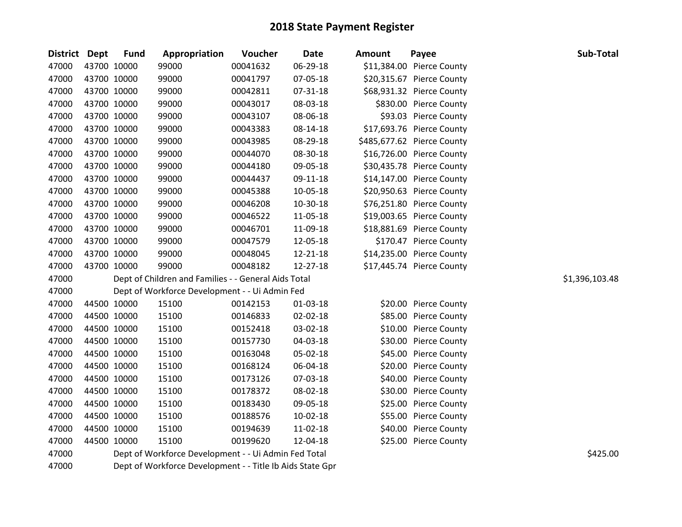| District Dept | <b>Fund</b> | Appropriation                                             | Voucher  | Date           | <b>Amount</b> | Payee                      | Sub-Total      |
|---------------|-------------|-----------------------------------------------------------|----------|----------------|---------------|----------------------------|----------------|
| 47000         | 43700 10000 | 99000                                                     | 00041632 | 06-29-18       |               | \$11,384.00 Pierce County  |                |
| 47000         | 43700 10000 | 99000                                                     | 00041797 | 07-05-18       |               | \$20,315.67 Pierce County  |                |
| 47000         | 43700 10000 | 99000                                                     | 00042811 | 07-31-18       |               | \$68,931.32 Pierce County  |                |
| 47000         | 43700 10000 | 99000                                                     | 00043017 | 08-03-18       |               | \$830.00 Pierce County     |                |
| 47000         | 43700 10000 | 99000                                                     | 00043107 | 08-06-18       |               | \$93.03 Pierce County      |                |
| 47000         | 43700 10000 | 99000                                                     | 00043383 | 08-14-18       |               | \$17,693.76 Pierce County  |                |
| 47000         | 43700 10000 | 99000                                                     | 00043985 | 08-29-18       |               | \$485,677.62 Pierce County |                |
| 47000         | 43700 10000 | 99000                                                     | 00044070 | 08-30-18       |               | \$16,726.00 Pierce County  |                |
| 47000         | 43700 10000 | 99000                                                     | 00044180 | 09-05-18       |               | \$30,435.78 Pierce County  |                |
| 47000         | 43700 10000 | 99000                                                     | 00044437 | 09-11-18       |               | \$14,147.00 Pierce County  |                |
| 47000         | 43700 10000 | 99000                                                     | 00045388 | 10-05-18       |               | \$20,950.63 Pierce County  |                |
| 47000         | 43700 10000 | 99000                                                     | 00046208 | 10-30-18       |               | \$76,251.80 Pierce County  |                |
| 47000         | 43700 10000 | 99000                                                     | 00046522 | 11-05-18       |               | \$19,003.65 Pierce County  |                |
| 47000         | 43700 10000 | 99000                                                     | 00046701 | 11-09-18       |               | \$18,881.69 Pierce County  |                |
| 47000         | 43700 10000 | 99000                                                     | 00047579 | 12-05-18       |               | \$170.47 Pierce County     |                |
| 47000         | 43700 10000 | 99000                                                     | 00048045 | 12-21-18       |               | \$14,235.00 Pierce County  |                |
| 47000         | 43700 10000 | 99000                                                     | 00048182 | 12-27-18       |               | \$17,445.74 Pierce County  |                |
| 47000         |             | Dept of Children and Families - - General Aids Total      |          |                |               |                            | \$1,396,103.48 |
| 47000         |             | Dept of Workforce Development - - Ui Admin Fed            |          |                |               |                            |                |
| 47000         | 44500 10000 | 15100                                                     | 00142153 | $01-03-18$     |               | \$20.00 Pierce County      |                |
| 47000         | 44500 10000 | 15100                                                     | 00146833 | $02 - 02 - 18$ |               | \$85.00 Pierce County      |                |
| 47000         | 44500 10000 | 15100                                                     | 00152418 | 03-02-18       |               | \$10.00 Pierce County      |                |
| 47000         | 44500 10000 | 15100                                                     | 00157730 | 04-03-18       |               | \$30.00 Pierce County      |                |
| 47000         | 44500 10000 | 15100                                                     | 00163048 | 05-02-18       |               | \$45.00 Pierce County      |                |
| 47000         | 44500 10000 | 15100                                                     | 00168124 | 06-04-18       |               | \$20.00 Pierce County      |                |
| 47000         | 44500 10000 | 15100                                                     | 00173126 | 07-03-18       |               | \$40.00 Pierce County      |                |
| 47000         | 44500 10000 | 15100                                                     | 00178372 | 08-02-18       |               | \$30.00 Pierce County      |                |
| 47000         | 44500 10000 | 15100                                                     | 00183430 | 09-05-18       |               | \$25.00 Pierce County      |                |
| 47000         | 44500 10000 | 15100                                                     | 00188576 | 10-02-18       |               | \$55.00 Pierce County      |                |
| 47000         | 44500 10000 | 15100                                                     | 00194639 | 11-02-18       |               | \$40.00 Pierce County      |                |
| 47000         | 44500 10000 | 15100                                                     | 00199620 | 12-04-18       |               | \$25.00 Pierce County      |                |
| 47000         |             | Dept of Workforce Development - - Ui Admin Fed Total      |          |                |               |                            | \$425.00       |
| 47000         |             | Dept of Workforce Development - - Title Ib Aids State Gpr |          |                |               |                            |                |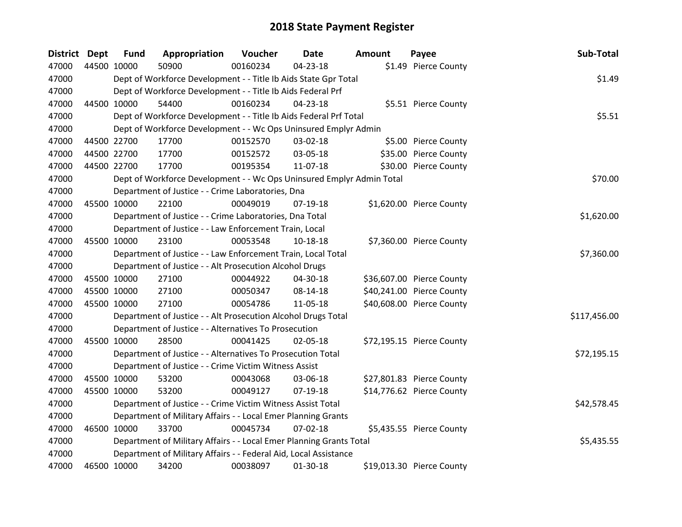| <b>District</b> | <b>Dept</b> | <b>Fund</b> | Appropriation                                                         | Voucher  | <b>Date</b>    | <b>Amount</b> | Payee                     | Sub-Total    |
|-----------------|-------------|-------------|-----------------------------------------------------------------------|----------|----------------|---------------|---------------------------|--------------|
| 47000           | 44500 10000 |             | 50900                                                                 | 00160234 | 04-23-18       |               | \$1.49 Pierce County      |              |
| 47000           |             |             | Dept of Workforce Development - - Title Ib Aids State Gpr Total       |          |                |               |                           | \$1.49       |
| 47000           |             |             | Dept of Workforce Development - - Title Ib Aids Federal Prf           |          |                |               |                           |              |
| 47000           |             | 44500 10000 | 54400                                                                 | 00160234 | 04-23-18       |               | \$5.51 Pierce County      |              |
| 47000           |             |             | Dept of Workforce Development - - Title Ib Aids Federal Prf Total     | \$5.51   |                |               |                           |              |
| 47000           |             |             | Dept of Workforce Development - - Wc Ops Uninsured Emplyr Admin       |          |                |               |                           |              |
| 47000           |             | 44500 22700 | 17700                                                                 | 00152570 | 03-02-18       |               | \$5.00 Pierce County      |              |
| 47000           |             | 44500 22700 | 17700                                                                 | 00152572 | 03-05-18       |               | \$35.00 Pierce County     |              |
| 47000           |             | 44500 22700 | 17700                                                                 | 00195354 | 11-07-18       |               | \$30.00 Pierce County     |              |
| 47000           |             |             | Dept of Workforce Development - - Wc Ops Uninsured Emplyr Admin Total |          |                |               |                           | \$70.00      |
| 47000           |             |             | Department of Justice - - Crime Laboratories, Dna                     |          |                |               |                           |              |
| 47000           |             | 45500 10000 | 22100                                                                 | 00049019 | $07-19-18$     |               | \$1,620.00 Pierce County  |              |
| 47000           |             |             | Department of Justice - - Crime Laboratories, Dna Total               |          |                |               |                           | \$1,620.00   |
| 47000           |             |             | Department of Justice - - Law Enforcement Train, Local                |          |                |               |                           |              |
| 47000           |             | 45500 10000 | 23100                                                                 | 00053548 | 10-18-18       |               | \$7,360.00 Pierce County  |              |
| 47000           |             |             | Department of Justice - - Law Enforcement Train, Local Total          |          |                |               |                           | \$7,360.00   |
| 47000           |             |             | Department of Justice - - Alt Prosecution Alcohol Drugs               |          |                |               |                           |              |
| 47000           |             | 45500 10000 | 27100                                                                 | 00044922 | 04-30-18       |               | \$36,607.00 Pierce County |              |
| 47000           |             | 45500 10000 | 27100                                                                 | 00050347 | 08-14-18       |               | \$40,241.00 Pierce County |              |
| 47000           |             | 45500 10000 | 27100                                                                 | 00054786 | 11-05-18       |               | \$40,608.00 Pierce County |              |
| 47000           |             |             | Department of Justice - - Alt Prosecution Alcohol Drugs Total         |          |                |               |                           | \$117,456.00 |
| 47000           |             |             | Department of Justice - - Alternatives To Prosecution                 |          |                |               |                           |              |
| 47000           |             | 45500 10000 | 28500                                                                 | 00041425 | 02-05-18       |               | \$72,195.15 Pierce County |              |
| 47000           |             |             | Department of Justice - - Alternatives To Prosecution Total           |          |                |               |                           | \$72,195.15  |
| 47000           |             |             | Department of Justice - - Crime Victim Witness Assist                 |          |                |               |                           |              |
| 47000           |             | 45500 10000 | 53200                                                                 | 00043068 | 03-06-18       |               | \$27,801.83 Pierce County |              |
| 47000           |             | 45500 10000 | 53200                                                                 | 00049127 | $07-19-18$     |               | \$14,776.62 Pierce County |              |
| 47000           |             |             | Department of Justice - - Crime Victim Witness Assist Total           |          |                |               |                           | \$42,578.45  |
| 47000           |             |             | Department of Military Affairs - - Local Emer Planning Grants         |          |                |               |                           |              |
| 47000           |             | 46500 10000 | 33700                                                                 | 00045734 | $07 - 02 - 18$ |               | \$5,435.55 Pierce County  |              |
| 47000           |             |             | Department of Military Affairs - - Local Emer Planning Grants Total   |          |                |               |                           | \$5,435.55   |
| 47000           |             |             | Department of Military Affairs - - Federal Aid, Local Assistance      |          |                |               |                           |              |
| 47000           |             | 46500 10000 | 34200                                                                 | 00038097 | 01-30-18       |               | \$19,013.30 Pierce County |              |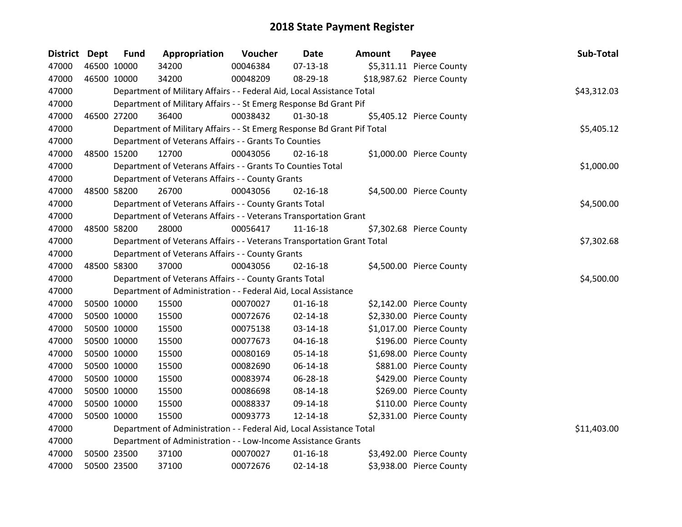| District Dept | <b>Fund</b> | Appropriation                                                           | Voucher  | <b>Date</b>    | <b>Amount</b> | Payee                     | Sub-Total   |
|---------------|-------------|-------------------------------------------------------------------------|----------|----------------|---------------|---------------------------|-------------|
| 47000         | 46500 10000 | 34200                                                                   | 00046384 | $07-13-18$     |               | \$5,311.11 Pierce County  |             |
| 47000         | 46500 10000 | 34200                                                                   | 00048209 | 08-29-18       |               | \$18,987.62 Pierce County |             |
| 47000         |             | Department of Military Affairs - - Federal Aid, Local Assistance Total  |          |                |               |                           | \$43,312.03 |
| 47000         |             | Department of Military Affairs - - St Emerg Response Bd Grant Pif       |          |                |               |                           |             |
| 47000         | 46500 27200 | 36400                                                                   | 00038432 | 01-30-18       |               | \$5,405.12 Pierce County  |             |
| 47000         |             | Department of Military Affairs - - St Emerg Response Bd Grant Pif Total |          |                |               |                           | \$5,405.12  |
| 47000         |             | Department of Veterans Affairs - - Grants To Counties                   |          |                |               |                           |             |
| 47000         | 48500 15200 | 12700                                                                   | 00043056 | $02 - 16 - 18$ |               | \$1,000.00 Pierce County  |             |
| 47000         |             | Department of Veterans Affairs - - Grants To Counties Total             |          |                |               |                           | \$1,000.00  |
| 47000         |             | Department of Veterans Affairs - - County Grants                        |          |                |               |                           |             |
| 47000         | 48500 58200 | 26700                                                                   | 00043056 | $02 - 16 - 18$ |               | \$4,500.00 Pierce County  |             |
| 47000         |             | Department of Veterans Affairs - - County Grants Total                  |          |                |               |                           | \$4,500.00  |
| 47000         |             | Department of Veterans Affairs - - Veterans Transportation Grant        |          |                |               |                           |             |
| 47000         | 48500 58200 | 28000                                                                   | 00056417 | $11 - 16 - 18$ |               | \$7,302.68 Pierce County  |             |
| 47000         |             | Department of Veterans Affairs - - Veterans Transportation Grant Total  |          |                |               |                           | \$7,302.68  |
| 47000         |             | Department of Veterans Affairs - - County Grants                        |          |                |               |                           |             |
| 47000         | 48500 58300 | 37000                                                                   | 00043056 | $02 - 16 - 18$ |               | \$4,500.00 Pierce County  |             |
| 47000         |             | Department of Veterans Affairs - - County Grants Total                  |          |                |               |                           | \$4,500.00  |
| 47000         |             | Department of Administration - - Federal Aid, Local Assistance          |          |                |               |                           |             |
| 47000         | 50500 10000 | 15500                                                                   | 00070027 | $01 - 16 - 18$ |               | \$2,142.00 Pierce County  |             |
| 47000         | 50500 10000 | 15500                                                                   | 00072676 | $02 - 14 - 18$ |               | \$2,330.00 Pierce County  |             |
| 47000         | 50500 10000 | 15500                                                                   | 00075138 | 03-14-18       |               | \$1,017.00 Pierce County  |             |
| 47000         | 50500 10000 | 15500                                                                   | 00077673 | $04 - 16 - 18$ |               | \$196.00 Pierce County    |             |
| 47000         | 50500 10000 | 15500                                                                   | 00080169 | 05-14-18       |               | \$1,698.00 Pierce County  |             |
| 47000         | 50500 10000 | 15500                                                                   | 00082690 | 06-14-18       |               | \$881.00 Pierce County    |             |
| 47000         | 50500 10000 | 15500                                                                   | 00083974 | 06-28-18       |               | \$429.00 Pierce County    |             |
| 47000         | 50500 10000 | 15500                                                                   | 00086698 | 08-14-18       |               | \$269.00 Pierce County    |             |
| 47000         | 50500 10000 | 15500                                                                   | 00088337 | 09-14-18       |               | \$110.00 Pierce County    |             |
| 47000         | 50500 10000 | 15500                                                                   | 00093773 | 12-14-18       |               | \$2,331.00 Pierce County  |             |
| 47000         |             | Department of Administration - - Federal Aid, Local Assistance Total    |          |                |               |                           | \$11,403.00 |
| 47000         |             | Department of Administration - - Low-Income Assistance Grants           |          |                |               |                           |             |
| 47000         | 50500 23500 | 37100                                                                   | 00070027 | $01 - 16 - 18$ |               | \$3,492.00 Pierce County  |             |
| 47000         | 50500 23500 | 37100                                                                   | 00072676 | $02 - 14 - 18$ |               | \$3,938.00 Pierce County  |             |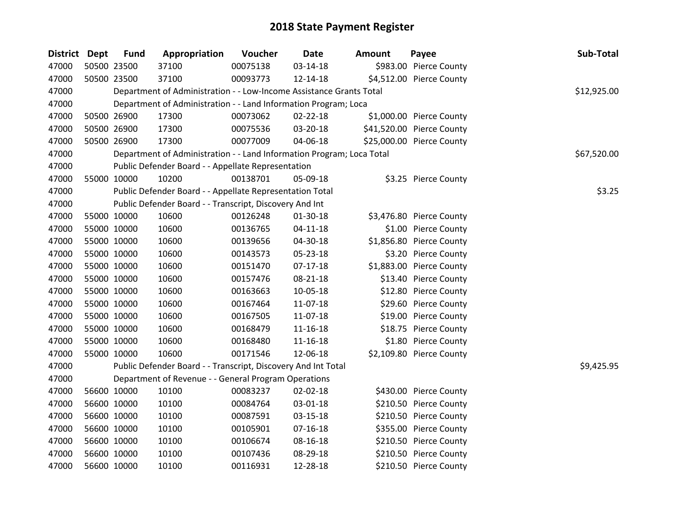| <b>District Dept</b> | <b>Fund</b> | Appropriation                                                         | Voucher  | <b>Date</b>    | <b>Amount</b> | Payee                     | Sub-Total   |        |
|----------------------|-------------|-----------------------------------------------------------------------|----------|----------------|---------------|---------------------------|-------------|--------|
| 47000                | 50500 23500 | 37100                                                                 | 00075138 | 03-14-18       |               | \$983.00 Pierce County    |             |        |
| 47000                | 50500 23500 | 37100                                                                 | 00093773 | 12-14-18       |               | \$4,512.00 Pierce County  |             |        |
| 47000                |             | Department of Administration - - Low-Income Assistance Grants Total   |          |                |               |                           | \$12,925.00 |        |
| 47000                |             | Department of Administration - - Land Information Program; Loca       |          |                |               |                           |             |        |
| 47000                | 50500 26900 | 17300                                                                 | 00073062 | 02-22-18       |               | \$1,000.00 Pierce County  |             |        |
| 47000                | 50500 26900 | 17300                                                                 | 00075536 | 03-20-18       |               | \$41,520.00 Pierce County |             |        |
| 47000                | 50500 26900 | 17300                                                                 | 00077009 | 04-06-18       |               | \$25,000.00 Pierce County |             |        |
| 47000                |             | Department of Administration - - Land Information Program; Loca Total |          |                |               |                           | \$67,520.00 |        |
| 47000                |             | Public Defender Board - - Appellate Representation                    |          |                |               |                           |             |        |
| 47000                | 55000 10000 | 10200                                                                 | 00138701 | 05-09-18       |               | \$3.25 Pierce County      |             |        |
| 47000                |             | Public Defender Board - - Appellate Representation Total              |          |                |               |                           |             | \$3.25 |
| 47000                |             | Public Defender Board - - Transcript, Discovery And Int               |          |                |               |                           |             |        |
| 47000                | 55000 10000 | 10600                                                                 | 00126248 | 01-30-18       |               | \$3,476.80 Pierce County  |             |        |
| 47000                | 55000 10000 | 10600                                                                 | 00136765 | $04 - 11 - 18$ |               | \$1.00 Pierce County      |             |        |
| 47000                | 55000 10000 | 10600                                                                 | 00139656 | 04-30-18       |               | \$1,856.80 Pierce County  |             |        |
| 47000                | 55000 10000 | 10600                                                                 | 00143573 | 05-23-18       |               | \$3.20 Pierce County      |             |        |
| 47000                | 55000 10000 | 10600                                                                 | 00151470 | $07-17-18$     |               | \$1,883.00 Pierce County  |             |        |
| 47000                | 55000 10000 | 10600                                                                 | 00157476 | 08-21-18       |               | \$13.40 Pierce County     |             |        |
| 47000                | 55000 10000 | 10600                                                                 | 00163663 | 10-05-18       |               | \$12.80 Pierce County     |             |        |
| 47000                | 55000 10000 | 10600                                                                 | 00167464 | 11-07-18       |               | \$29.60 Pierce County     |             |        |
| 47000                | 55000 10000 | 10600                                                                 | 00167505 | 11-07-18       |               | \$19.00 Pierce County     |             |        |
| 47000                | 55000 10000 | 10600                                                                 | 00168479 | 11-16-18       |               | \$18.75 Pierce County     |             |        |
| 47000                | 55000 10000 | 10600                                                                 | 00168480 | $11 - 16 - 18$ |               | \$1.80 Pierce County      |             |        |
| 47000                | 55000 10000 | 10600                                                                 | 00171546 | 12-06-18       |               | \$2,109.80 Pierce County  |             |        |
| 47000                |             | Public Defender Board - - Transcript, Discovery And Int Total         |          |                |               |                           | \$9,425.95  |        |
| 47000                |             | Department of Revenue - - General Program Operations                  |          |                |               |                           |             |        |
| 47000                | 56600 10000 | 10100                                                                 | 00083237 | 02-02-18       |               | \$430.00 Pierce County    |             |        |
| 47000                | 56600 10000 | 10100                                                                 | 00084764 | 03-01-18       |               | \$210.50 Pierce County    |             |        |
| 47000                | 56600 10000 | 10100                                                                 | 00087591 | 03-15-18       |               | \$210.50 Pierce County    |             |        |
| 47000                | 56600 10000 | 10100                                                                 | 00105901 | $07 - 16 - 18$ |               | \$355.00 Pierce County    |             |        |
| 47000                | 56600 10000 | 10100                                                                 | 00106674 | 08-16-18       |               | \$210.50 Pierce County    |             |        |
| 47000                | 56600 10000 | 10100                                                                 | 00107436 | 08-29-18       |               | \$210.50 Pierce County    |             |        |
| 47000                | 56600 10000 | 10100                                                                 | 00116931 | 12-28-18       |               | \$210.50 Pierce County    |             |        |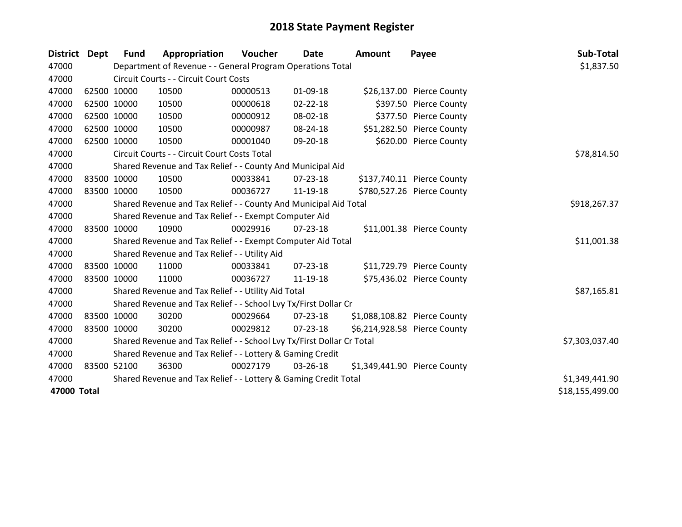| <b>District Dept</b> |             | <b>Fund</b> | Appropriation                                                         | Voucher      | <b>Date</b>    | <b>Amount</b> | Payee                        | Sub-Total       |
|----------------------|-------------|-------------|-----------------------------------------------------------------------|--------------|----------------|---------------|------------------------------|-----------------|
| 47000                |             |             | Department of Revenue - - General Program Operations Total            |              |                |               |                              | \$1,837.50      |
| 47000                |             |             | Circuit Courts - - Circuit Court Costs                                |              |                |               |                              |                 |
| 47000                | 62500 10000 |             | 10500                                                                 | 00000513     | 01-09-18       |               | \$26,137.00 Pierce County    |                 |
| 47000                | 62500 10000 |             | 10500                                                                 | 00000618     | 02-22-18       |               | \$397.50 Pierce County       |                 |
| 47000                |             | 62500 10000 | 10500                                                                 | 00000912     | 08-02-18       |               | \$377.50 Pierce County       |                 |
| 47000                |             | 62500 10000 | 10500                                                                 | 00000987     | 08-24-18       |               | \$51,282.50 Pierce County    |                 |
| 47000                | 62500 10000 |             | 10500                                                                 | 00001040     | 09-20-18       |               | \$620.00 Pierce County       |                 |
| 47000                |             |             | Circuit Courts - - Circuit Court Costs Total                          | \$78,814.50  |                |               |                              |                 |
| 47000                |             |             | Shared Revenue and Tax Relief - - County And Municipal Aid            |              |                |               |                              |                 |
| 47000                |             | 83500 10000 | 10500                                                                 | 00033841     | $07 - 23 - 18$ |               | \$137,740.11 Pierce County   |                 |
| 47000                | 83500 10000 |             | 10500                                                                 | 00036727     | 11-19-18       |               | \$780,527.26 Pierce County   |                 |
| 47000                |             |             | Shared Revenue and Tax Relief - - County And Municipal Aid Total      | \$918,267.37 |                |               |                              |                 |
| 47000                |             |             | Shared Revenue and Tax Relief - - Exempt Computer Aid                 |              |                |               |                              |                 |
| 47000                | 83500 10000 |             | 10900                                                                 | 00029916     | $07 - 23 - 18$ |               | \$11,001.38 Pierce County    |                 |
| 47000                |             |             | Shared Revenue and Tax Relief - - Exempt Computer Aid Total           |              |                |               |                              | \$11,001.38     |
| 47000                |             |             | Shared Revenue and Tax Relief - - Utility Aid                         |              |                |               |                              |                 |
| 47000                | 83500 10000 |             | 11000                                                                 | 00033841     | $07 - 23 - 18$ |               | \$11,729.79 Pierce County    |                 |
| 47000                | 83500 10000 |             | 11000                                                                 | 00036727     | 11-19-18       |               | \$75,436.02 Pierce County    |                 |
| 47000                |             |             | Shared Revenue and Tax Relief - - Utility Aid Total                   |              |                |               |                              | \$87,165.81     |
| 47000                |             |             | Shared Revenue and Tax Relief - - School Lvy Tx/First Dollar Cr       |              |                |               |                              |                 |
| 47000                | 83500 10000 |             | 30200                                                                 | 00029664     | $07 - 23 - 18$ |               | \$1,088,108.82 Pierce County |                 |
| 47000                |             | 83500 10000 | 30200                                                                 | 00029812     | $07 - 23 - 18$ |               | \$6,214,928.58 Pierce County |                 |
| 47000                |             |             | Shared Revenue and Tax Relief - - School Lvy Tx/First Dollar Cr Total |              |                |               |                              | \$7,303,037.40  |
| 47000                |             |             | Shared Revenue and Tax Relief - - Lottery & Gaming Credit             |              |                |               |                              |                 |
| 47000                |             | 83500 52100 | 36300                                                                 | 00027179     | 03-26-18       |               | \$1,349,441.90 Pierce County |                 |
| 47000                |             |             | Shared Revenue and Tax Relief - - Lottery & Gaming Credit Total       |              |                |               |                              | \$1,349,441.90  |
| 47000 Total          |             |             |                                                                       |              |                |               |                              | \$18,155,499.00 |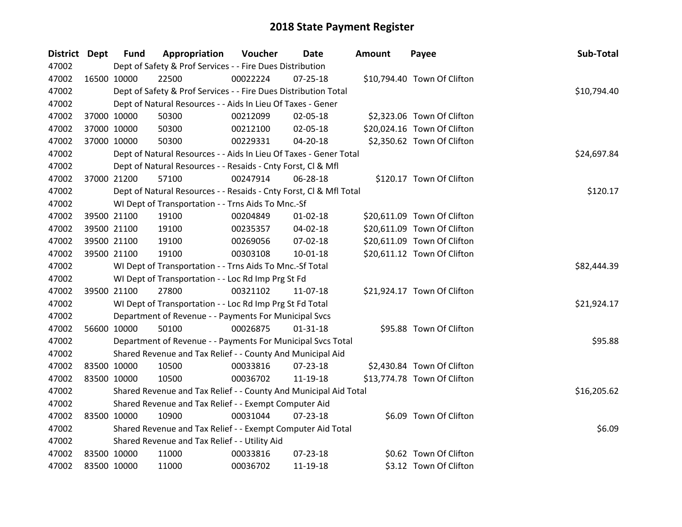| <b>District Dept</b> |             | <b>Fund</b> | Appropriation                                                      | Voucher     | Date           | <b>Amount</b> | Payee                       | Sub-Total   |
|----------------------|-------------|-------------|--------------------------------------------------------------------|-------------|----------------|---------------|-----------------------------|-------------|
| 47002                |             |             | Dept of Safety & Prof Services - - Fire Dues Distribution          |             |                |               |                             |             |
| 47002                |             | 16500 10000 | 22500                                                              | 00022224    | $07 - 25 - 18$ |               | \$10,794.40 Town Of Clifton |             |
| 47002                |             |             | Dept of Safety & Prof Services - - Fire Dues Distribution Total    |             |                |               |                             | \$10,794.40 |
| 47002                |             |             | Dept of Natural Resources - - Aids In Lieu Of Taxes - Gener        |             |                |               |                             |             |
| 47002                |             | 37000 10000 | 50300                                                              | 00212099    | 02-05-18       |               | \$2,323.06 Town Of Clifton  |             |
| 47002                |             | 37000 10000 | 50300                                                              | 00212100    | 02-05-18       |               | \$20,024.16 Town Of Clifton |             |
| 47002                |             | 37000 10000 | 50300                                                              | 00229331    | 04-20-18       |               | \$2,350.62 Town Of Clifton  |             |
| 47002                |             |             | Dept of Natural Resources - - Aids In Lieu Of Taxes - Gener Total  | \$24,697.84 |                |               |                             |             |
| 47002                |             |             | Dept of Natural Resources - - Resaids - Cnty Forst, Cl & Mfl       |             |                |               |                             |             |
| 47002                |             | 37000 21200 | 57100                                                              | 00247914    | 06-28-18       |               | \$120.17 Town Of Clifton    |             |
| 47002                |             |             | Dept of Natural Resources - - Resaids - Cnty Forst, Cl & Mfl Total |             |                |               |                             | \$120.17    |
| 47002                |             |             | WI Dept of Transportation - - Trns Aids To Mnc.-Sf                 |             |                |               |                             |             |
| 47002                |             | 39500 21100 | 19100                                                              | 00204849    | $01 - 02 - 18$ |               | \$20,611.09 Town Of Clifton |             |
| 47002                |             | 39500 21100 | 19100                                                              | 00235357    | 04-02-18       |               | \$20,611.09 Town Of Clifton |             |
| 47002                |             | 39500 21100 | 19100                                                              | 00269056    | 07-02-18       |               | \$20,611.09 Town Of Clifton |             |
| 47002                |             | 39500 21100 | 19100                                                              | 00303108    | 10-01-18       |               | \$20,611.12 Town Of Clifton |             |
| 47002                |             |             | WI Dept of Transportation - - Trns Aids To Mnc.-Sf Total           |             |                |               |                             | \$82,444.39 |
| 47002                |             |             | WI Dept of Transportation - - Loc Rd Imp Prg St Fd                 |             |                |               |                             |             |
| 47002                |             | 39500 21100 | 27800                                                              | 00321102    | 11-07-18       |               | \$21,924.17 Town Of Clifton |             |
| 47002                |             |             | WI Dept of Transportation - - Loc Rd Imp Prg St Fd Total           |             |                |               |                             | \$21,924.17 |
| 47002                |             |             | Department of Revenue - - Payments For Municipal Svcs              |             |                |               |                             |             |
| 47002                |             | 56600 10000 | 50100                                                              | 00026875    | $01 - 31 - 18$ |               | \$95.88 Town Of Clifton     |             |
| 47002                |             |             | Department of Revenue - - Payments For Municipal Svcs Total        |             |                |               |                             | \$95.88     |
| 47002                |             |             | Shared Revenue and Tax Relief - - County And Municipal Aid         |             |                |               |                             |             |
| 47002                |             | 83500 10000 | 10500                                                              | 00033816    | 07-23-18       |               | \$2,430.84 Town Of Clifton  |             |
| 47002                |             | 83500 10000 | 10500                                                              | 00036702    | 11-19-18       |               | \$13,774.78 Town Of Clifton |             |
| 47002                |             |             | Shared Revenue and Tax Relief - - County And Municipal Aid Total   |             |                |               |                             | \$16,205.62 |
| 47002                |             |             | Shared Revenue and Tax Relief - - Exempt Computer Aid              |             |                |               |                             |             |
| 47002                | 83500 10000 |             | 10900                                                              | 00031044    | 07-23-18       |               | \$6.09 Town Of Clifton      |             |
| 47002                |             |             | Shared Revenue and Tax Relief - - Exempt Computer Aid Total        |             |                |               |                             | \$6.09      |
| 47002                |             |             | Shared Revenue and Tax Relief - - Utility Aid                      |             |                |               |                             |             |
| 47002                |             | 83500 10000 | 11000                                                              | 00033816    | 07-23-18       |               | \$0.62 Town Of Clifton      |             |
| 47002                | 83500 10000 |             | 11000                                                              | 00036702    | 11-19-18       |               | \$3.12 Town Of Clifton      |             |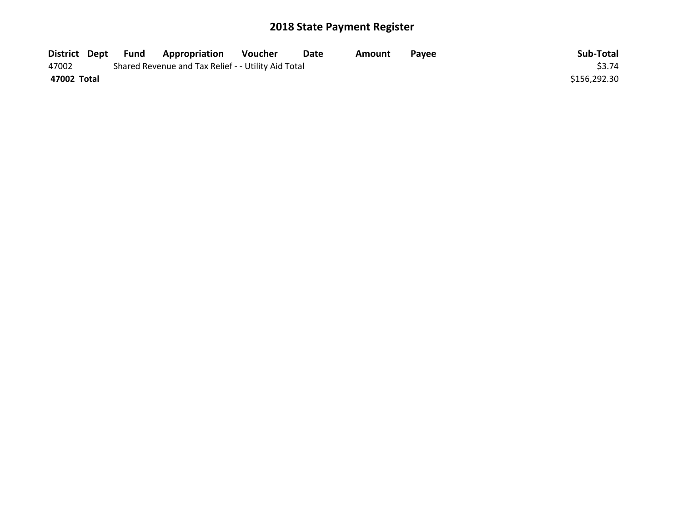| District Dept | Fund | <b>Appropriation</b>                                | Voucher | Date | Amount | <b>Pavee</b> | Sub-Total    |
|---------------|------|-----------------------------------------------------|---------|------|--------|--------------|--------------|
| 47002         |      | Shared Revenue and Tax Relief - - Utility Aid Total |         |      |        |              | \$3.74       |
| 47002 Total   |      |                                                     |         |      |        |              | \$156,292.30 |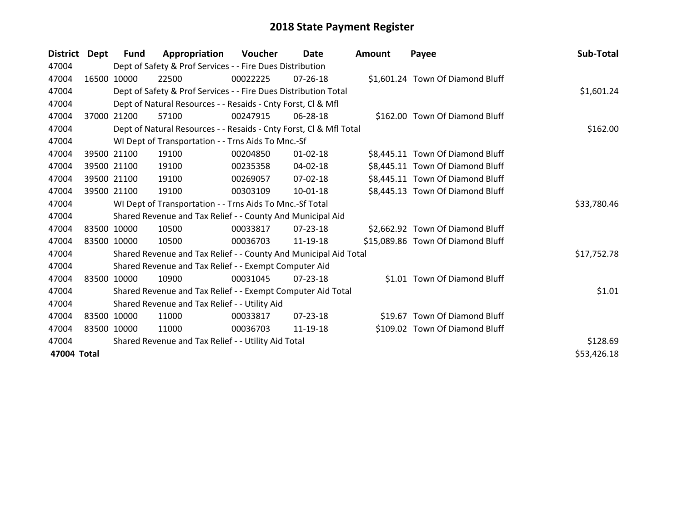| District Dept |       | <b>Fund</b> | Appropriation                                                      | <b>Voucher</b> | <b>Date</b>    | <b>Amount</b> | Payee                             | Sub-Total   |
|---------------|-------|-------------|--------------------------------------------------------------------|----------------|----------------|---------------|-----------------------------------|-------------|
| 47004         |       |             | Dept of Safety & Prof Services - - Fire Dues Distribution          |                |                |               |                                   |             |
| 47004         |       | 16500 10000 | 22500                                                              | 00022225       | 07-26-18       |               | \$1,601.24 Town Of Diamond Bluff  |             |
| 47004         |       |             | Dept of Safety & Prof Services - - Fire Dues Distribution Total    |                |                |               |                                   | \$1,601.24  |
| 47004         |       |             | Dept of Natural Resources - - Resaids - Cnty Forst, CI & Mfl       |                |                |               |                                   |             |
| 47004         | 37000 | 21200       | 57100                                                              | 00247915       | 06-28-18       |               | \$162.00 Town Of Diamond Bluff    |             |
| 47004         |       |             | Dept of Natural Resources - - Resaids - Cnty Forst, Cl & Mfl Total |                | \$162.00       |               |                                   |             |
| 47004         |       |             | WI Dept of Transportation - - Trns Aids To Mnc.-Sf                 |                |                |               |                                   |             |
| 47004         |       | 39500 21100 | 19100                                                              | 00204850       | $01 - 02 - 18$ |               | \$8,445.11 Town Of Diamond Bluff  |             |
| 47004         |       | 39500 21100 | 19100                                                              | 00235358       | 04-02-18       |               | \$8,445.11 Town Of Diamond Bluff  |             |
| 47004         |       | 39500 21100 | 19100                                                              | 00269057       | $07 - 02 - 18$ |               | \$8,445.11 Town Of Diamond Bluff  |             |
| 47004         |       | 39500 21100 | 19100                                                              | 00303109       | 10-01-18       |               | \$8,445.13 Town Of Diamond Bluff  |             |
| 47004         |       |             | WI Dept of Transportation - - Trns Aids To Mnc.-Sf Total           |                |                |               |                                   | \$33,780.46 |
| 47004         |       |             | Shared Revenue and Tax Relief - - County And Municipal Aid         |                |                |               |                                   |             |
| 47004         |       | 83500 10000 | 10500                                                              | 00033817       | $07 - 23 - 18$ |               | \$2,662.92 Town Of Diamond Bluff  |             |
| 47004         |       | 83500 10000 | 10500                                                              | 00036703       | 11-19-18       |               | \$15,089.86 Town Of Diamond Bluff |             |
| 47004         |       |             | Shared Revenue and Tax Relief - - County And Municipal Aid Total   |                |                |               |                                   | \$17,752.78 |
| 47004         |       |             | Shared Revenue and Tax Relief - - Exempt Computer Aid              |                |                |               |                                   |             |
| 47004         | 83500 | 10000       | 10900                                                              | 00031045       | 07-23-18       |               | \$1.01 Town Of Diamond Bluff      |             |
| 47004         |       |             | Shared Revenue and Tax Relief - - Exempt Computer Aid Total        |                |                |               |                                   | \$1.01      |
| 47004         |       |             | Shared Revenue and Tax Relief - - Utility Aid                      |                |                |               |                                   |             |
| 47004         |       | 83500 10000 | 11000                                                              | 00033817       | 07-23-18       |               | \$19.67 Town Of Diamond Bluff     |             |
| 47004         |       | 83500 10000 | 11000                                                              | 00036703       | 11-19-18       |               | \$109.02 Town Of Diamond Bluff    |             |
| 47004         |       |             | Shared Revenue and Tax Relief - - Utility Aid Total                |                |                |               |                                   | \$128.69    |
| 47004 Total   |       |             |                                                                    |                |                |               |                                   | \$53,426.18 |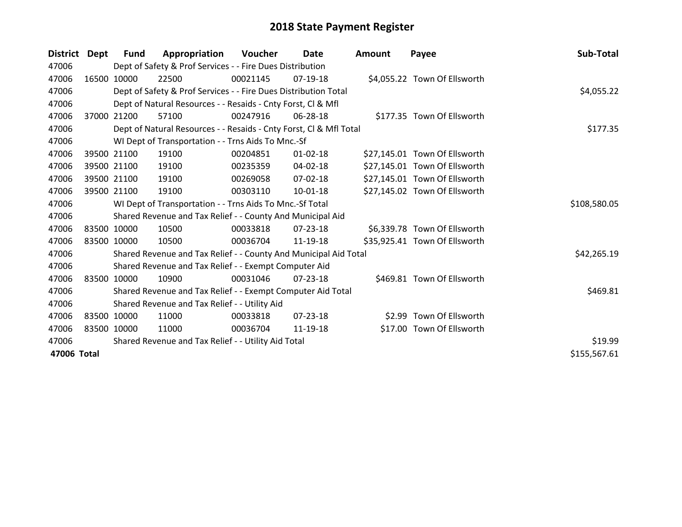| <b>District</b> | Dept  | <b>Fund</b> | Appropriation                                                      | <b>Voucher</b> | Date           | <b>Amount</b> | Payee                         | Sub-Total    |
|-----------------|-------|-------------|--------------------------------------------------------------------|----------------|----------------|---------------|-------------------------------|--------------|
| 47006           |       |             | Dept of Safety & Prof Services - - Fire Dues Distribution          |                |                |               |                               |              |
| 47006           |       | 16500 10000 | 22500                                                              | 00021145       | 07-19-18       |               | \$4,055.22 Town Of Ellsworth  |              |
| 47006           |       |             | Dept of Safety & Prof Services - - Fire Dues Distribution Total    |                |                |               |                               | \$4,055.22   |
| 47006           |       |             | Dept of Natural Resources - - Resaids - Cnty Forst, CI & Mfl       |                |                |               |                               |              |
| 47006           | 37000 | 21200       | 57100                                                              | 00247916       | 06-28-18       |               | \$177.35 Town Of Ellsworth    |              |
| 47006           |       |             | Dept of Natural Resources - - Resaids - Cnty Forst, Cl & Mfl Total |                | \$177.35       |               |                               |              |
| 47006           |       |             | WI Dept of Transportation - - Trns Aids To Mnc.-Sf                 |                |                |               |                               |              |
| 47006           |       | 39500 21100 | 19100                                                              | 00204851       | $01 - 02 - 18$ |               | \$27,145.01 Town Of Ellsworth |              |
| 47006           |       | 39500 21100 | 19100                                                              | 00235359       | 04-02-18       |               | \$27,145.01 Town Of Ellsworth |              |
| 47006           |       | 39500 21100 | 19100                                                              | 00269058       | $07 - 02 - 18$ |               | \$27,145.01 Town Of Ellsworth |              |
| 47006           |       | 39500 21100 | 19100                                                              | 00303110       | 10-01-18       |               | \$27,145.02 Town Of Ellsworth |              |
| 47006           |       |             | WI Dept of Transportation - - Trns Aids To Mnc.-Sf Total           |                |                |               |                               | \$108,580.05 |
| 47006           |       |             | Shared Revenue and Tax Relief - - County And Municipal Aid         |                |                |               |                               |              |
| 47006           |       | 83500 10000 | 10500                                                              | 00033818       | 07-23-18       |               | \$6,339.78 Town Of Ellsworth  |              |
| 47006           |       | 83500 10000 | 10500                                                              | 00036704       | 11-19-18       |               | \$35,925.41 Town Of Ellsworth |              |
| 47006           |       |             | Shared Revenue and Tax Relief - - County And Municipal Aid Total   |                |                |               |                               | \$42,265.19  |
| 47006           |       |             | Shared Revenue and Tax Relief - - Exempt Computer Aid              |                |                |               |                               |              |
| 47006           |       | 83500 10000 | 10900                                                              | 00031046       | $07 - 23 - 18$ |               | \$469.81 Town Of Ellsworth    |              |
| 47006           |       |             | Shared Revenue and Tax Relief - - Exempt Computer Aid Total        |                |                |               |                               | \$469.81     |
| 47006           |       |             | Shared Revenue and Tax Relief - - Utility Aid                      |                |                |               |                               |              |
| 47006           |       | 83500 10000 | 11000                                                              | 00033818       | $07 - 23 - 18$ |               | \$2.99 Town Of Ellsworth      |              |
| 47006           |       | 83500 10000 | 11000                                                              | 00036704       | 11-19-18       |               | \$17.00 Town Of Ellsworth     |              |
| 47006           |       |             | Shared Revenue and Tax Relief - - Utility Aid Total                |                |                |               |                               | \$19.99      |
| 47006 Total     |       |             |                                                                    |                |                |               |                               | \$155,567.61 |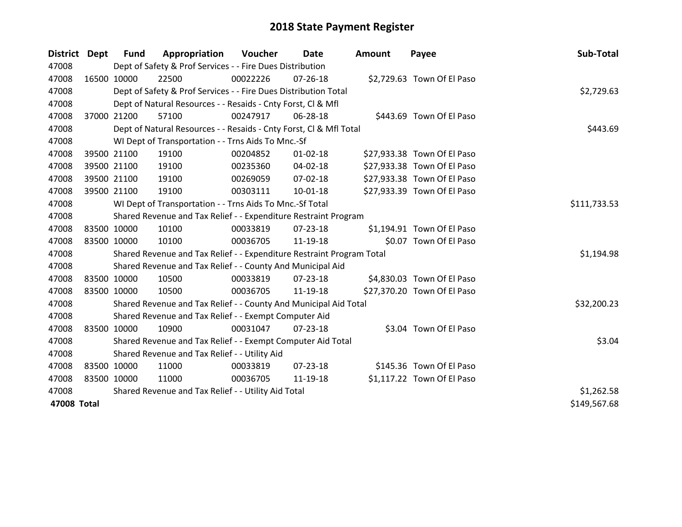| District Dept |             | <b>Fund</b> | Appropriation                                                         | Voucher  | Date           | <b>Amount</b> | Payee                       | Sub-Total    |
|---------------|-------------|-------------|-----------------------------------------------------------------------|----------|----------------|---------------|-----------------------------|--------------|
| 47008         |             |             | Dept of Safety & Prof Services - - Fire Dues Distribution             |          |                |               |                             |              |
| 47008         |             | 16500 10000 | 22500                                                                 | 00022226 | $07 - 26 - 18$ |               | \$2,729.63 Town Of El Paso  |              |
| 47008         |             |             | Dept of Safety & Prof Services - - Fire Dues Distribution Total       |          |                |               |                             | \$2,729.63   |
| 47008         |             |             | Dept of Natural Resources - - Resaids - Cnty Forst, CI & Mfl          |          |                |               |                             |              |
| 47008         |             | 37000 21200 | 57100                                                                 | 00247917 | 06-28-18       |               | \$443.69 Town Of El Paso    |              |
| 47008         |             |             | Dept of Natural Resources - - Resaids - Cnty Forst, CI & Mfl Total    |          | \$443.69       |               |                             |              |
| 47008         |             |             | WI Dept of Transportation - - Trns Aids To Mnc.-Sf                    |          |                |               |                             |              |
| 47008         |             | 39500 21100 | 19100                                                                 | 00204852 | $01 - 02 - 18$ |               | \$27,933.38 Town Of El Paso |              |
| 47008         |             | 39500 21100 | 19100                                                                 | 00235360 | 04-02-18       |               | \$27,933.38 Town Of El Paso |              |
| 47008         |             | 39500 21100 | 19100                                                                 | 00269059 | 07-02-18       |               | \$27,933.38 Town Of El Paso |              |
| 47008         |             | 39500 21100 | 19100                                                                 | 00303111 | 10-01-18       |               | \$27,933.39 Town Of El Paso |              |
| 47008         |             |             | WI Dept of Transportation - - Trns Aids To Mnc.-Sf Total              |          |                |               |                             | \$111,733.53 |
| 47008         |             |             | Shared Revenue and Tax Relief - - Expenditure Restraint Program       |          |                |               |                             |              |
| 47008         |             | 83500 10000 | 10100                                                                 | 00033819 | $07 - 23 - 18$ |               | \$1,194.91 Town Of El Paso  |              |
| 47008         | 83500 10000 |             | 10100                                                                 | 00036705 | 11-19-18       |               | \$0.07 Town Of El Paso      |              |
| 47008         |             |             | Shared Revenue and Tax Relief - - Expenditure Restraint Program Total |          |                |               |                             | \$1,194.98   |
| 47008         |             |             | Shared Revenue and Tax Relief - - County And Municipal Aid            |          |                |               |                             |              |
| 47008         |             | 83500 10000 | 10500                                                                 | 00033819 | 07-23-18       |               | \$4,830.03 Town Of El Paso  |              |
| 47008         | 83500 10000 |             | 10500                                                                 | 00036705 | 11-19-18       |               | \$27,370.20 Town Of El Paso |              |
| 47008         |             |             | Shared Revenue and Tax Relief - - County And Municipal Aid Total      |          |                |               |                             | \$32,200.23  |
| 47008         |             |             | Shared Revenue and Tax Relief - - Exempt Computer Aid                 |          |                |               |                             |              |
| 47008         |             | 83500 10000 | 10900                                                                 | 00031047 | $07 - 23 - 18$ |               | \$3.04 Town Of El Paso      |              |
| 47008         |             |             | Shared Revenue and Tax Relief - - Exempt Computer Aid Total           | \$3.04   |                |               |                             |              |
| 47008         |             |             | Shared Revenue and Tax Relief - - Utility Aid                         |          |                |               |                             |              |
| 47008         |             | 83500 10000 | 11000                                                                 | 00033819 | $07 - 23 - 18$ |               | \$145.36 Town Of El Paso    |              |
| 47008         | 83500 10000 |             | 11000                                                                 | 00036705 | 11-19-18       |               | \$1,117.22 Town Of El Paso  |              |
| 47008         |             |             | Shared Revenue and Tax Relief - - Utility Aid Total                   |          |                |               |                             | \$1,262.58   |
| 47008 Total   |             |             |                                                                       |          |                |               |                             | \$149,567.68 |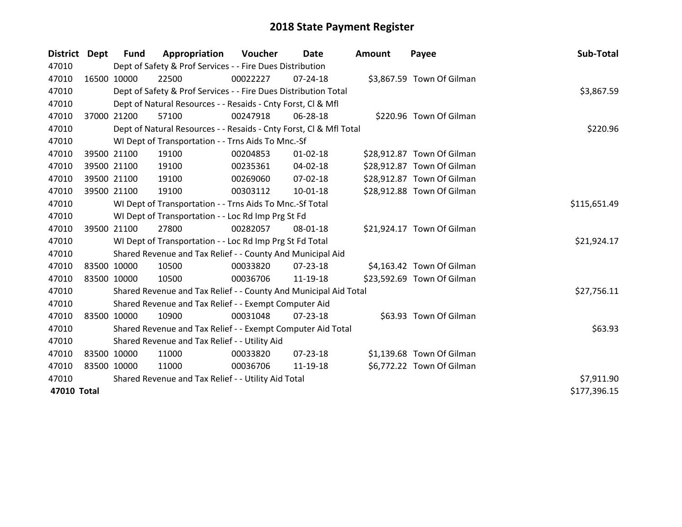| District Dept | <b>Fund</b> | Appropriation                                                      | <b>Voucher</b> | Date           | Amount | Payee                      | Sub-Total    |
|---------------|-------------|--------------------------------------------------------------------|----------------|----------------|--------|----------------------------|--------------|
| 47010         |             | Dept of Safety & Prof Services - - Fire Dues Distribution          |                |                |        |                            |              |
| 47010         | 16500 10000 | 22500                                                              | 00022227       | $07 - 24 - 18$ |        | \$3,867.59 Town Of Gilman  |              |
| 47010         |             | Dept of Safety & Prof Services - - Fire Dues Distribution Total    |                |                |        |                            | \$3,867.59   |
| 47010         |             | Dept of Natural Resources - - Resaids - Cnty Forst, CI & Mfl       |                |                |        |                            |              |
| 47010         | 37000 21200 | 57100                                                              | 00247918       | 06-28-18       |        | \$220.96 Town Of Gilman    |              |
| 47010         |             | Dept of Natural Resources - - Resaids - Cnty Forst, Cl & Mfl Total | \$220.96       |                |        |                            |              |
| 47010         |             | WI Dept of Transportation - - Trns Aids To Mnc.-Sf                 |                |                |        |                            |              |
| 47010         | 39500 21100 | 19100                                                              | 00204853       | $01 - 02 - 18$ |        | \$28,912.87 Town Of Gilman |              |
| 47010         | 39500 21100 | 19100                                                              | 00235361       | $04 - 02 - 18$ |        | \$28,912.87 Town Of Gilman |              |
| 47010         | 39500 21100 | 19100                                                              | 00269060       | 07-02-18       |        | \$28,912.87 Town Of Gilman |              |
| 47010         | 39500 21100 | 19100                                                              | 00303112       | $10 - 01 - 18$ |        | \$28,912.88 Town Of Gilman |              |
| 47010         |             | WI Dept of Transportation - - Trns Aids To Mnc.-Sf Total           |                |                |        |                            | \$115,651.49 |
| 47010         |             | WI Dept of Transportation - - Loc Rd Imp Prg St Fd                 |                |                |        |                            |              |
| 47010         | 39500 21100 | 27800                                                              | 00282057       | 08-01-18       |        | \$21,924.17 Town Of Gilman |              |
| 47010         |             | WI Dept of Transportation - - Loc Rd Imp Prg St Fd Total           |                |                |        |                            | \$21,924.17  |
| 47010         |             | Shared Revenue and Tax Relief - - County And Municipal Aid         |                |                |        |                            |              |
| 47010         | 83500 10000 | 10500                                                              | 00033820       | $07 - 23 - 18$ |        | \$4,163.42 Town Of Gilman  |              |
| 47010         | 83500 10000 | 10500                                                              | 00036706       | 11-19-18       |        | \$23,592.69 Town Of Gilman |              |
| 47010         |             | Shared Revenue and Tax Relief - - County And Municipal Aid Total   |                |                |        |                            | \$27,756.11  |
| 47010         |             | Shared Revenue and Tax Relief - - Exempt Computer Aid              |                |                |        |                            |              |
| 47010         | 83500 10000 | 10900                                                              | 00031048       | 07-23-18       |        | \$63.93 Town Of Gilman     |              |
| 47010         |             | Shared Revenue and Tax Relief - - Exempt Computer Aid Total        |                |                |        |                            | \$63.93      |
| 47010         |             | Shared Revenue and Tax Relief - - Utility Aid                      |                |                |        |                            |              |
| 47010         | 83500 10000 | 11000                                                              | 00033820       | 07-23-18       |        | \$1,139.68 Town Of Gilman  |              |
| 47010         | 83500 10000 | 11000                                                              | 00036706       | 11-19-18       |        | \$6,772.22 Town Of Gilman  |              |
| 47010         |             | Shared Revenue and Tax Relief - - Utility Aid Total                |                |                |        |                            | \$7,911.90   |
| 47010 Total   |             |                                                                    |                |                |        |                            | \$177,396.15 |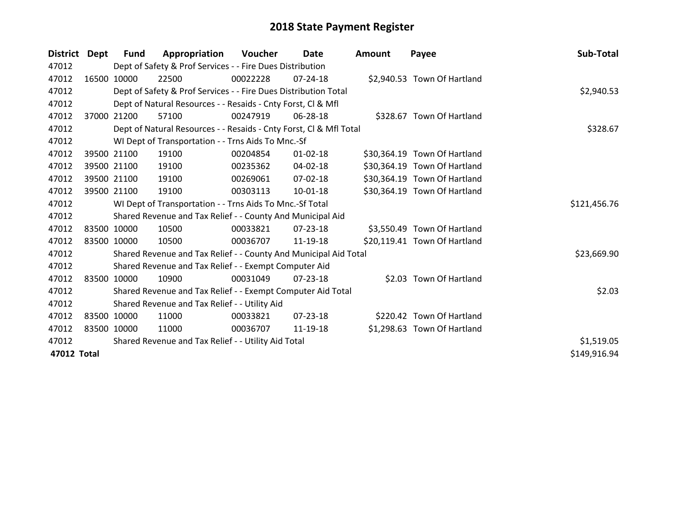| <b>District</b> | Dept  | <b>Fund</b> | Appropriation                                                      | <b>Voucher</b> | <b>Date</b>    | <b>Amount</b> | Payee                        | Sub-Total    |
|-----------------|-------|-------------|--------------------------------------------------------------------|----------------|----------------|---------------|------------------------------|--------------|
| 47012           |       |             | Dept of Safety & Prof Services - - Fire Dues Distribution          |                |                |               |                              |              |
| 47012           |       | 16500 10000 | 22500                                                              | 00022228       | $07 - 24 - 18$ |               | \$2,940.53 Town Of Hartland  |              |
| 47012           |       |             | Dept of Safety & Prof Services - - Fire Dues Distribution Total    |                |                |               |                              | \$2,940.53   |
| 47012           |       |             | Dept of Natural Resources - - Resaids - Cnty Forst, CI & Mfl       |                |                |               |                              |              |
| 47012           | 37000 | 21200       | 57100                                                              | 00247919       | 06-28-18       |               | \$328.67 Town Of Hartland    |              |
| 47012           |       |             | Dept of Natural Resources - - Resaids - Cnty Forst, Cl & Mfl Total |                | \$328.67       |               |                              |              |
| 47012           |       |             | WI Dept of Transportation - - Trns Aids To Mnc.-Sf                 |                |                |               |                              |              |
| 47012           |       | 39500 21100 | 19100                                                              | 00204854       | $01 - 02 - 18$ |               | \$30,364.19 Town Of Hartland |              |
| 47012           |       | 39500 21100 | 19100                                                              | 00235362       | 04-02-18       |               | \$30,364.19 Town Of Hartland |              |
| 47012           |       | 39500 21100 | 19100                                                              | 00269061       | $07 - 02 - 18$ |               | \$30,364.19 Town Of Hartland |              |
| 47012           |       | 39500 21100 | 19100                                                              | 00303113       | 10-01-18       |               | \$30,364.19 Town Of Hartland |              |
| 47012           |       |             | WI Dept of Transportation - - Trns Aids To Mnc.-Sf Total           |                |                |               |                              | \$121,456.76 |
| 47012           |       |             | Shared Revenue and Tax Relief - - County And Municipal Aid         |                |                |               |                              |              |
| 47012           |       | 83500 10000 | 10500                                                              | 00033821       | 07-23-18       |               | \$3,550.49 Town Of Hartland  |              |
| 47012           |       | 83500 10000 | 10500                                                              | 00036707       | 11-19-18       |               | \$20,119.41 Town Of Hartland |              |
| 47012           |       |             | Shared Revenue and Tax Relief - - County And Municipal Aid Total   |                |                |               |                              | \$23,669.90  |
| 47012           |       |             | Shared Revenue and Tax Relief - - Exempt Computer Aid              |                |                |               |                              |              |
| 47012           |       | 83500 10000 | 10900                                                              | 00031049       | $07 - 23 - 18$ |               | \$2.03 Town Of Hartland      |              |
| 47012           |       |             | Shared Revenue and Tax Relief - - Exempt Computer Aid Total        |                |                |               |                              | \$2.03       |
| 47012           |       |             | Shared Revenue and Tax Relief - - Utility Aid                      |                |                |               |                              |              |
| 47012           |       | 83500 10000 | 11000                                                              | 00033821       | $07 - 23 - 18$ |               | \$220.42 Town Of Hartland    |              |
| 47012           |       | 83500 10000 | 11000                                                              | 00036707       | 11-19-18       |               | \$1,298.63 Town Of Hartland  |              |
| 47012           |       |             | Shared Revenue and Tax Relief - - Utility Aid Total                |                |                |               |                              | \$1,519.05   |
| 47012 Total     |       |             |                                                                    |                |                |               |                              | \$149,916.94 |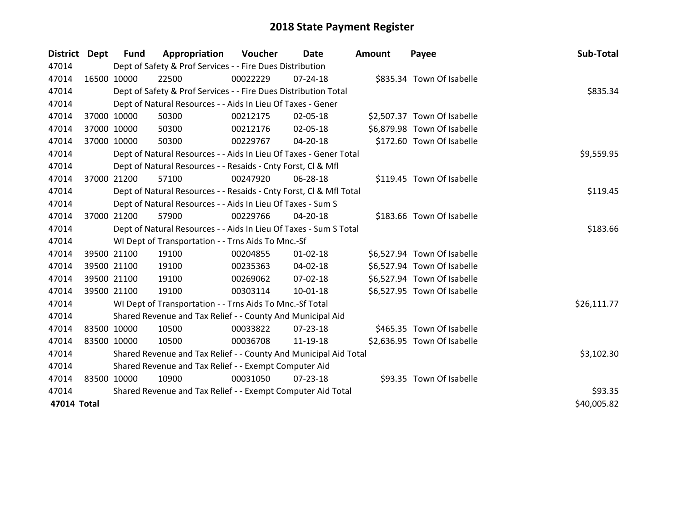| District Dept |             | Fund        | Appropriation                                                      | Voucher    | <b>Date</b>    | <b>Amount</b> | Payee                       | Sub-Total   |
|---------------|-------------|-------------|--------------------------------------------------------------------|------------|----------------|---------------|-----------------------------|-------------|
| 47014         |             |             | Dept of Safety & Prof Services - - Fire Dues Distribution          |            |                |               |                             |             |
| 47014         |             | 16500 10000 | 22500                                                              | 00022229   | 07-24-18       |               | \$835.34 Town Of Isabelle   |             |
| 47014         |             |             | Dept of Safety & Prof Services - - Fire Dues Distribution Total    |            |                |               |                             | \$835.34    |
| 47014         |             |             | Dept of Natural Resources - - Aids In Lieu Of Taxes - Gener        |            |                |               |                             |             |
| 47014         |             | 37000 10000 | 50300                                                              | 00212175   | 02-05-18       |               | \$2,507.37 Town Of Isabelle |             |
| 47014         |             | 37000 10000 | 50300                                                              | 00212176   | 02-05-18       |               | \$6,879.98 Town Of Isabelle |             |
| 47014         |             | 37000 10000 | 50300                                                              | 00229767   | 04-20-18       |               | \$172.60 Town Of Isabelle   |             |
| 47014         |             |             | Dept of Natural Resources - - Aids In Lieu Of Taxes - Gener Total  | \$9,559.95 |                |               |                             |             |
| 47014         |             |             | Dept of Natural Resources - - Resaids - Cnty Forst, CI & Mfl       |            |                |               |                             |             |
| 47014         |             | 37000 21200 | 57100                                                              | 00247920   | 06-28-18       |               | \$119.45 Town Of Isabelle   |             |
| 47014         |             |             | Dept of Natural Resources - - Resaids - Cnty Forst, CI & Mfl Total |            |                |               |                             | \$119.45    |
| 47014         |             |             | Dept of Natural Resources - - Aids In Lieu Of Taxes - Sum S        |            |                |               |                             |             |
| 47014         |             | 37000 21200 | 57900                                                              | 00229766   | $04 - 20 - 18$ |               | \$183.66 Town Of Isabelle   |             |
| 47014         |             |             | Dept of Natural Resources - - Aids In Lieu Of Taxes - Sum S Total  | \$183.66   |                |               |                             |             |
| 47014         |             |             | WI Dept of Transportation - - Trns Aids To Mnc.-Sf                 |            |                |               |                             |             |
| 47014         |             | 39500 21100 | 19100                                                              | 00204855   | $01 - 02 - 18$ |               | \$6,527.94 Town Of Isabelle |             |
| 47014         |             | 39500 21100 | 19100                                                              | 00235363   | 04-02-18       |               | \$6,527.94 Town Of Isabelle |             |
| 47014         |             | 39500 21100 | 19100                                                              | 00269062   | 07-02-18       |               | \$6,527.94 Town Of Isabelle |             |
| 47014         |             | 39500 21100 | 19100                                                              | 00303114   | $10 - 01 - 18$ |               | \$6,527.95 Town Of Isabelle |             |
| 47014         |             |             | WI Dept of Transportation - - Trns Aids To Mnc.-Sf Total           |            |                |               |                             | \$26,111.77 |
| 47014         |             |             | Shared Revenue and Tax Relief - - County And Municipal Aid         |            |                |               |                             |             |
| 47014         | 83500 10000 |             | 10500                                                              | 00033822   | 07-23-18       |               | \$465.35 Town Of Isabelle   |             |
| 47014         |             | 83500 10000 | 10500                                                              | 00036708   | 11-19-18       |               | \$2,636.95 Town Of Isabelle |             |
| 47014         |             |             | Shared Revenue and Tax Relief - - County And Municipal Aid Total   |            |                |               |                             | \$3,102.30  |
| 47014         |             |             | Shared Revenue and Tax Relief - - Exempt Computer Aid              |            |                |               |                             |             |
| 47014         | 83500 10000 |             | 10900                                                              | 00031050   | 07-23-18       |               | \$93.35 Town Of Isabelle    |             |
| 47014         |             |             | Shared Revenue and Tax Relief - - Exempt Computer Aid Total        |            |                |               |                             | \$93.35     |
| 47014 Total   |             |             |                                                                    |            |                |               |                             | \$40,005.82 |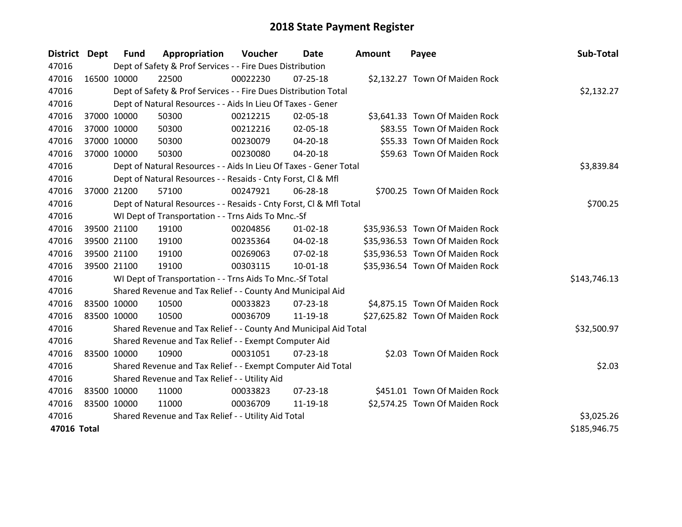| District Dept |             | <b>Fund</b> | Appropriation                                                      | Voucher    | Date           | Amount | Payee                           | Sub-Total    |
|---------------|-------------|-------------|--------------------------------------------------------------------|------------|----------------|--------|---------------------------------|--------------|
| 47016         |             |             | Dept of Safety & Prof Services - - Fire Dues Distribution          |            |                |        |                                 |              |
| 47016         |             | 16500 10000 | 22500                                                              | 00022230   | $07 - 25 - 18$ |        | \$2,132.27 Town Of Maiden Rock  |              |
| 47016         |             |             | Dept of Safety & Prof Services - - Fire Dues Distribution Total    |            |                |        |                                 | \$2,132.27   |
| 47016         |             |             | Dept of Natural Resources - - Aids In Lieu Of Taxes - Gener        |            |                |        |                                 |              |
| 47016         |             | 37000 10000 | 50300                                                              | 00212215   | 02-05-18       |        | \$3,641.33 Town Of Maiden Rock  |              |
| 47016         |             | 37000 10000 | 50300                                                              | 00212216   | 02-05-18       |        | \$83.55 Town Of Maiden Rock     |              |
| 47016         |             | 37000 10000 | 50300                                                              | 00230079   | 04-20-18       |        | \$55.33 Town Of Maiden Rock     |              |
| 47016         |             | 37000 10000 | 50300                                                              | 00230080   | 04-20-18       |        | \$59.63 Town Of Maiden Rock     |              |
| 47016         |             |             | Dept of Natural Resources - - Aids In Lieu Of Taxes - Gener Total  | \$3,839.84 |                |        |                                 |              |
| 47016         |             |             | Dept of Natural Resources - - Resaids - Cnty Forst, Cl & Mfl       |            |                |        |                                 |              |
| 47016         |             | 37000 21200 | 57100                                                              | 00247921   | 06-28-18       |        | \$700.25 Town Of Maiden Rock    |              |
| 47016         |             |             | Dept of Natural Resources - - Resaids - Cnty Forst, Cl & Mfl Total |            |                |        |                                 | \$700.25     |
| 47016         |             |             | WI Dept of Transportation - - Trns Aids To Mnc.-Sf                 |            |                |        |                                 |              |
| 47016         |             | 39500 21100 | 19100                                                              | 00204856   | $01 - 02 - 18$ |        | \$35,936.53 Town Of Maiden Rock |              |
| 47016         |             | 39500 21100 | 19100                                                              | 00235364   | 04-02-18       |        | \$35,936.53 Town Of Maiden Rock |              |
| 47016         |             | 39500 21100 | 19100                                                              | 00269063   | 07-02-18       |        | \$35,936.53 Town Of Maiden Rock |              |
| 47016         |             | 39500 21100 | 19100                                                              | 00303115   | $10-01-18$     |        | \$35,936.54 Town Of Maiden Rock |              |
| 47016         |             |             | WI Dept of Transportation - - Trns Aids To Mnc.-Sf Total           |            |                |        |                                 | \$143,746.13 |
| 47016         |             |             | Shared Revenue and Tax Relief - - County And Municipal Aid         |            |                |        |                                 |              |
| 47016         | 83500 10000 |             | 10500                                                              | 00033823   | 07-23-18       |        | \$4,875.15 Town Of Maiden Rock  |              |
| 47016         | 83500 10000 |             | 10500                                                              | 00036709   | 11-19-18       |        | \$27,625.82 Town Of Maiden Rock |              |
| 47016         |             |             | Shared Revenue and Tax Relief - - County And Municipal Aid Total   |            |                |        |                                 | \$32,500.97  |
| 47016         |             |             | Shared Revenue and Tax Relief - - Exempt Computer Aid              |            |                |        |                                 |              |
| 47016         | 83500 10000 |             | 10900                                                              | 00031051   | $07 - 23 - 18$ |        | \$2.03 Town Of Maiden Rock      |              |
| 47016         |             |             | Shared Revenue and Tax Relief - - Exempt Computer Aid Total        |            |                |        |                                 | \$2.03       |
| 47016         |             |             | Shared Revenue and Tax Relief - - Utility Aid                      |            |                |        |                                 |              |
| 47016         | 83500 10000 |             | 11000                                                              | 00033823   | 07-23-18       |        | \$451.01 Town Of Maiden Rock    |              |
| 47016         | 83500 10000 |             | 11000                                                              | 00036709   | 11-19-18       |        | \$2,574.25 Town Of Maiden Rock  |              |
| 47016         |             |             | Shared Revenue and Tax Relief - - Utility Aid Total                |            |                |        |                                 | \$3,025.26   |
| 47016 Total   |             |             |                                                                    |            |                |        |                                 | \$185,946.75 |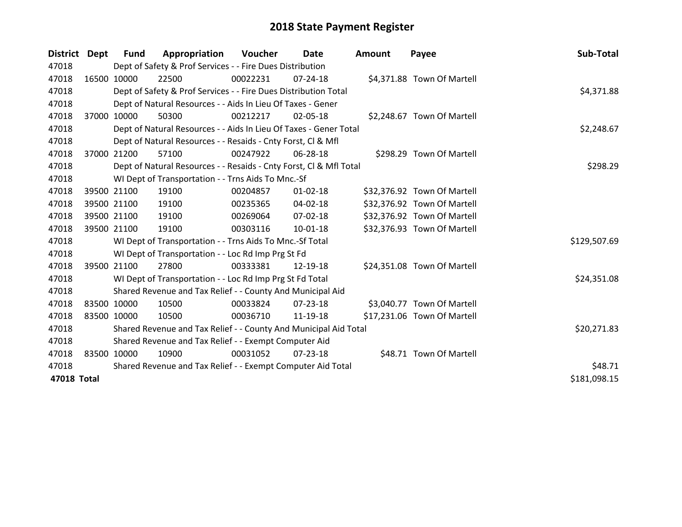| District Dept |             | Fund        | Appropriation                                                      | Voucher     | <b>Date</b>    | <b>Amount</b> | Payee                       | Sub-Total    |
|---------------|-------------|-------------|--------------------------------------------------------------------|-------------|----------------|---------------|-----------------------------|--------------|
| 47018         |             |             | Dept of Safety & Prof Services - - Fire Dues Distribution          |             |                |               |                             |              |
| 47018         |             | 16500 10000 | 22500                                                              | 00022231    | 07-24-18       |               | \$4,371.88 Town Of Martell  |              |
| 47018         |             |             | Dept of Safety & Prof Services - - Fire Dues Distribution Total    |             |                |               |                             | \$4,371.88   |
| 47018         |             |             | Dept of Natural Resources - - Aids In Lieu Of Taxes - Gener        |             |                |               |                             |              |
| 47018         | 37000       | 10000       | 50300                                                              | 00212217    | 02-05-18       |               | \$2,248.67 Town Of Martell  |              |
| 47018         |             |             | Dept of Natural Resources - - Aids In Lieu Of Taxes - Gener Total  |             | \$2,248.67     |               |                             |              |
| 47018         |             |             | Dept of Natural Resources - - Resaids - Cnty Forst, CI & Mfl       |             |                |               |                             |              |
| 47018         |             | 37000 21200 | 57100                                                              | 00247922    | 06-28-18       |               | \$298.29 Town Of Martell    |              |
| 47018         |             |             | Dept of Natural Resources - - Resaids - Cnty Forst, CI & Mfl Total |             | \$298.29       |               |                             |              |
| 47018         |             |             | WI Dept of Transportation - - Trns Aids To Mnc.-Sf                 |             |                |               |                             |              |
| 47018         |             | 39500 21100 | 19100                                                              | 00204857    | $01 - 02 - 18$ |               | \$32,376.92 Town Of Martell |              |
| 47018         |             | 39500 21100 | 19100                                                              | 00235365    | $04 - 02 - 18$ |               | \$32,376.92 Town Of Martell |              |
| 47018         |             | 39500 21100 | 19100                                                              | 00269064    | 07-02-18       |               | \$32,376.92 Town Of Martell |              |
| 47018         |             | 39500 21100 | 19100                                                              | 00303116    | $10 - 01 - 18$ |               | \$32,376.93 Town Of Martell |              |
| 47018         |             |             | WI Dept of Transportation - - Trns Aids To Mnc.-Sf Total           |             |                |               |                             | \$129,507.69 |
| 47018         |             |             | WI Dept of Transportation - - Loc Rd Imp Prg St Fd                 |             |                |               |                             |              |
| 47018         |             | 39500 21100 | 27800                                                              | 00333381    | 12-19-18       |               | \$24,351.08 Town Of Martell |              |
| 47018         |             |             | WI Dept of Transportation - - Loc Rd Imp Prg St Fd Total           |             |                |               |                             | \$24,351.08  |
| 47018         |             |             | Shared Revenue and Tax Relief - - County And Municipal Aid         |             |                |               |                             |              |
| 47018         | 83500 10000 |             | 10500                                                              | 00033824    | $07 - 23 - 18$ |               | \$3,040.77 Town Of Martell  |              |
| 47018         |             | 83500 10000 | 10500                                                              | 00036710    | 11-19-18       |               | \$17,231.06 Town Of Martell |              |
| 47018         |             |             | Shared Revenue and Tax Relief - - County And Municipal Aid Total   | \$20,271.83 |                |               |                             |              |
| 47018         |             |             | Shared Revenue and Tax Relief - - Exempt Computer Aid              |             |                |               |                             |              |
| 47018         |             | 83500 10000 | 10900                                                              | 00031052    | 07-23-18       |               | \$48.71 Town Of Martell     |              |
| 47018         |             |             | Shared Revenue and Tax Relief - - Exempt Computer Aid Total        |             |                |               |                             | \$48.71      |
| 47018 Total   |             |             |                                                                    |             |                |               |                             | \$181,098.15 |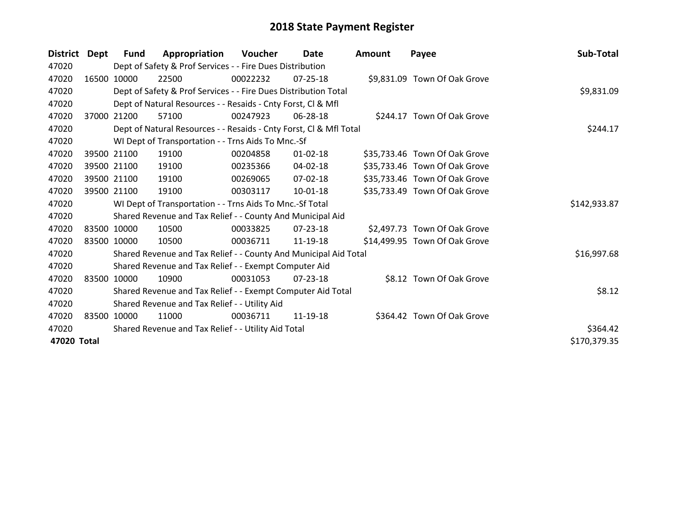| <b>District</b> | Dept  | Fund        | Appropriation                                                      | Voucher  | Date           | Amount | Payee                         | Sub-Total    |
|-----------------|-------|-------------|--------------------------------------------------------------------|----------|----------------|--------|-------------------------------|--------------|
| 47020           |       |             | Dept of Safety & Prof Services - - Fire Dues Distribution          |          |                |        |                               |              |
| 47020           |       | 16500 10000 | 22500                                                              | 00022232 | 07-25-18       |        | \$9,831.09 Town Of Oak Grove  |              |
| 47020           |       |             | Dept of Safety & Prof Services - - Fire Dues Distribution Total    |          |                |        |                               | \$9,831.09   |
| 47020           |       |             | Dept of Natural Resources - - Resaids - Cnty Forst, CI & Mfl       |          |                |        |                               |              |
| 47020           | 37000 | 21200       | 57100                                                              | 00247923 | 06-28-18       |        | \$244.17 Town Of Oak Grove    |              |
| 47020           |       |             | Dept of Natural Resources - - Resaids - Cnty Forst, Cl & Mfl Total |          |                |        |                               | \$244.17     |
| 47020           |       |             | WI Dept of Transportation - - Trns Aids To Mnc.-Sf                 |          |                |        |                               |              |
| 47020           |       | 39500 21100 | 19100                                                              | 00204858 | $01 - 02 - 18$ |        | \$35,733.46 Town Of Oak Grove |              |
| 47020           |       | 39500 21100 | 19100                                                              | 00235366 | 04-02-18       |        | \$35,733.46 Town Of Oak Grove |              |
| 47020           |       | 39500 21100 | 19100                                                              | 00269065 | $07 - 02 - 18$ |        | \$35,733.46 Town Of Oak Grove |              |
| 47020           |       | 39500 21100 | 19100                                                              | 00303117 | 10-01-18       |        | \$35,733.49 Town Of Oak Grove |              |
| 47020           |       |             | WI Dept of Transportation - - Trns Aids To Mnc.-Sf Total           |          |                |        |                               | \$142,933.87 |
| 47020           |       |             | Shared Revenue and Tax Relief - - County And Municipal Aid         |          |                |        |                               |              |
| 47020           |       | 83500 10000 | 10500                                                              | 00033825 | 07-23-18       |        | \$2,497.73 Town Of Oak Grove  |              |
| 47020           |       | 83500 10000 | 10500                                                              | 00036711 | 11-19-18       |        | \$14,499.95 Town Of Oak Grove |              |
| 47020           |       |             | Shared Revenue and Tax Relief - - County And Municipal Aid Total   |          |                |        |                               | \$16,997.68  |
| 47020           |       |             | Shared Revenue and Tax Relief - - Exempt Computer Aid              |          |                |        |                               |              |
| 47020           |       | 83500 10000 | 10900                                                              | 00031053 | 07-23-18       |        | \$8.12 Town Of Oak Grove      |              |
| 47020           |       |             | Shared Revenue and Tax Relief - - Exempt Computer Aid Total        |          |                |        |                               | \$8.12       |
| 47020           |       |             | Shared Revenue and Tax Relief - - Utility Aid                      |          |                |        |                               |              |
| 47020           |       | 83500 10000 | 11000                                                              | 00036711 | 11-19-18       |        | \$364.42 Town Of Oak Grove    |              |
| 47020           |       |             | Shared Revenue and Tax Relief - - Utility Aid Total                |          |                |        |                               | \$364.42     |
| 47020 Total     |       |             |                                                                    |          |                |        |                               | \$170,379.35 |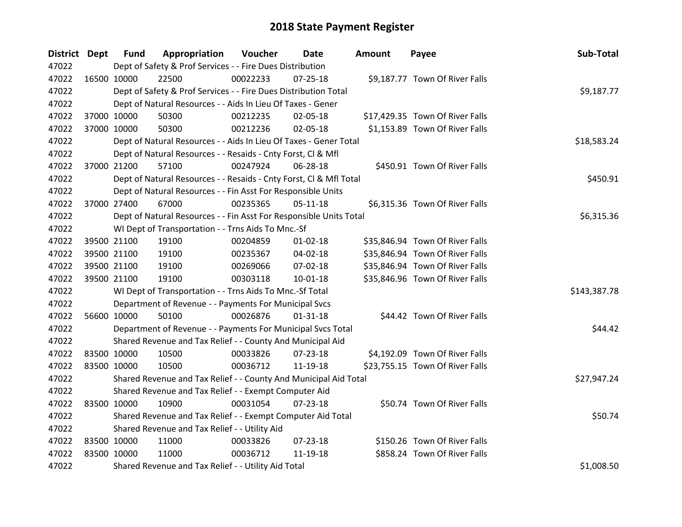| District Dept |             | <b>Fund</b> | Appropriation                                                      | Voucher  | Date           | <b>Amount</b> | Payee                           | Sub-Total    |
|---------------|-------------|-------------|--------------------------------------------------------------------|----------|----------------|---------------|---------------------------------|--------------|
| 47022         |             |             | Dept of Safety & Prof Services - - Fire Dues Distribution          |          |                |               |                                 |              |
| 47022         | 16500 10000 |             | 22500                                                              | 00022233 | $07 - 25 - 18$ |               | \$9,187.77 Town Of River Falls  |              |
| 47022         |             |             | Dept of Safety & Prof Services - - Fire Dues Distribution Total    |          |                |               |                                 | \$9,187.77   |
| 47022         |             |             | Dept of Natural Resources - - Aids In Lieu Of Taxes - Gener        |          |                |               |                                 |              |
| 47022         |             | 37000 10000 | 50300                                                              | 00212235 | 02-05-18       |               | \$17,429.35 Town Of River Falls |              |
| 47022         |             | 37000 10000 | 50300                                                              | 00212236 | 02-05-18       |               | \$1,153.89 Town Of River Falls  |              |
| 47022         |             |             | Dept of Natural Resources - - Aids In Lieu Of Taxes - Gener Total  |          |                |               |                                 | \$18,583.24  |
| 47022         |             |             | Dept of Natural Resources - - Resaids - Cnty Forst, Cl & Mfl       |          |                |               |                                 |              |
| 47022         |             | 37000 21200 | 57100                                                              | 00247924 | 06-28-18       |               | \$450.91 Town Of River Falls    |              |
| 47022         |             |             | Dept of Natural Resources - - Resaids - Cnty Forst, Cl & Mfl Total |          |                |               |                                 | \$450.91     |
| 47022         |             |             | Dept of Natural Resources - - Fin Asst For Responsible Units       |          |                |               |                                 |              |
| 47022         |             | 37000 27400 | 67000                                                              | 00235365 | $05 - 11 - 18$ |               | \$6,315.36 Town Of River Falls  |              |
| 47022         |             |             | Dept of Natural Resources - - Fin Asst For Responsible Units Total |          |                |               |                                 | \$6,315.36   |
| 47022         |             |             | WI Dept of Transportation - - Trns Aids To Mnc.-Sf                 |          |                |               |                                 |              |
| 47022         |             | 39500 21100 | 19100                                                              | 00204859 | $01 - 02 - 18$ |               | \$35,846.94 Town Of River Falls |              |
| 47022         |             | 39500 21100 | 19100                                                              | 00235367 | 04-02-18       |               | \$35,846.94 Town Of River Falls |              |
| 47022         |             | 39500 21100 | 19100                                                              | 00269066 | 07-02-18       |               | \$35,846.94 Town Of River Falls |              |
| 47022         |             | 39500 21100 | 19100                                                              | 00303118 | $10 - 01 - 18$ |               | \$35,846.96 Town Of River Falls |              |
| 47022         |             |             | WI Dept of Transportation - - Trns Aids To Mnc.-Sf Total           |          |                |               |                                 | \$143,387.78 |
| 47022         |             |             | Department of Revenue - - Payments For Municipal Svcs              |          |                |               |                                 |              |
| 47022         |             | 56600 10000 | 50100                                                              | 00026876 | $01 - 31 - 18$ |               | \$44.42 Town Of River Falls     |              |
| 47022         |             |             | Department of Revenue - - Payments For Municipal Svcs Total        |          |                |               |                                 | \$44.42      |
| 47022         |             |             | Shared Revenue and Tax Relief - - County And Municipal Aid         |          |                |               |                                 |              |
| 47022         | 83500 10000 |             | 10500                                                              | 00033826 | 07-23-18       |               | \$4,192.09 Town Of River Falls  |              |
| 47022         | 83500 10000 |             | 10500                                                              | 00036712 | 11-19-18       |               | \$23,755.15 Town Of River Falls |              |
| 47022         |             |             | Shared Revenue and Tax Relief - - County And Municipal Aid Total   |          |                |               |                                 | \$27,947.24  |
| 47022         |             |             | Shared Revenue and Tax Relief - - Exempt Computer Aid              |          |                |               |                                 |              |
| 47022         | 83500 10000 |             | 10900                                                              | 00031054 | $07 - 23 - 18$ |               | \$50.74 Town Of River Falls     |              |
| 47022         |             |             | Shared Revenue and Tax Relief - - Exempt Computer Aid Total        |          |                |               |                                 | \$50.74      |
| 47022         |             |             | Shared Revenue and Tax Relief - - Utility Aid                      |          |                |               |                                 |              |
| 47022         | 83500 10000 |             | 11000                                                              | 00033826 | 07-23-18       |               | \$150.26 Town Of River Falls    |              |
| 47022         | 83500 10000 |             | 11000                                                              | 00036712 | 11-19-18       |               | \$858.24 Town Of River Falls    |              |
| 47022         |             |             | Shared Revenue and Tax Relief - - Utility Aid Total                |          |                |               |                                 | \$1,008.50   |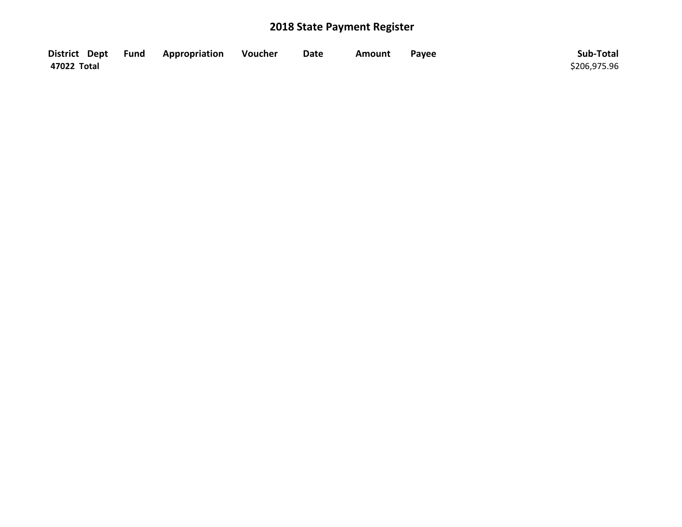|             | District Dept Fund Appropriation | Voucher | <b>Date</b> | Amount | Payee | Sub-Total    |
|-------------|----------------------------------|---------|-------------|--------|-------|--------------|
| 47022 Total |                                  |         |             |        |       | \$206,975.96 |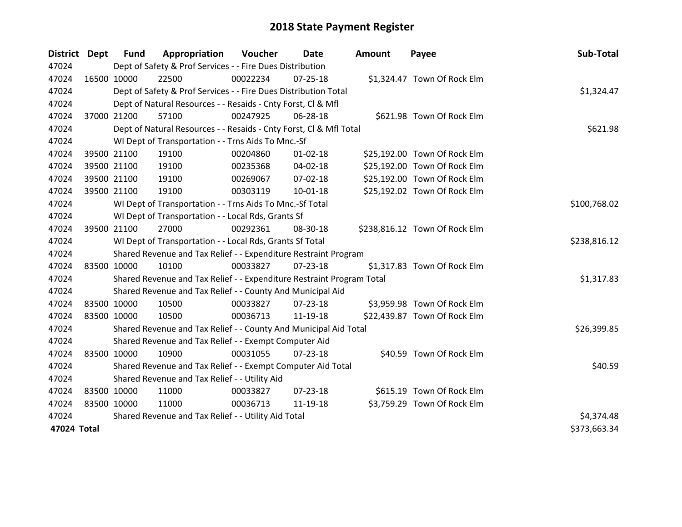| <b>District</b> | Dept        | <b>Fund</b> | Appropriation                                                         | Voucher  | Date           | <b>Amount</b> | Payee                         | Sub-Total    |
|-----------------|-------------|-------------|-----------------------------------------------------------------------|----------|----------------|---------------|-------------------------------|--------------|
| 47024           |             |             | Dept of Safety & Prof Services - - Fire Dues Distribution             |          |                |               |                               |              |
| 47024           | 16500 10000 |             | 22500                                                                 | 00022234 | $07 - 25 - 18$ |               | \$1,324.47 Town Of Rock Elm   |              |
| 47024           |             |             | Dept of Safety & Prof Services - - Fire Dues Distribution Total       |          |                |               |                               | \$1,324.47   |
| 47024           |             |             | Dept of Natural Resources - - Resaids - Cnty Forst, Cl & Mfl          |          |                |               |                               |              |
| 47024           |             | 37000 21200 | 57100                                                                 | 00247925 | 06-28-18       |               | \$621.98 Town Of Rock Elm     |              |
| 47024           |             |             | Dept of Natural Resources - - Resaids - Cnty Forst, Cl & Mfl Total    |          |                |               |                               | \$621.98     |
| 47024           |             |             | WI Dept of Transportation - - Trns Aids To Mnc.-Sf                    |          |                |               |                               |              |
| 47024           |             | 39500 21100 | 19100                                                                 | 00204860 | $01 - 02 - 18$ |               | \$25,192.00 Town Of Rock Elm  |              |
| 47024           |             | 39500 21100 | 19100                                                                 | 00235368 | 04-02-18       |               | \$25,192.00 Town Of Rock Elm  |              |
| 47024           |             | 39500 21100 | 19100                                                                 | 00269067 | 07-02-18       |               | \$25,192.00 Town Of Rock Elm  |              |
| 47024           |             | 39500 21100 | 19100                                                                 | 00303119 | 10-01-18       |               | \$25,192.02 Town Of Rock Elm  |              |
| 47024           |             |             | WI Dept of Transportation - - Trns Aids To Mnc.-Sf Total              |          |                |               |                               | \$100,768.02 |
| 47024           |             |             | WI Dept of Transportation - - Local Rds, Grants Sf                    |          |                |               |                               |              |
| 47024           |             | 39500 21100 | 27000                                                                 | 00292361 | 08-30-18       |               | \$238,816.12 Town Of Rock Elm |              |
| 47024           |             |             | WI Dept of Transportation - - Local Rds, Grants Sf Total              |          |                |               |                               | \$238,816.12 |
| 47024           |             |             | Shared Revenue and Tax Relief - - Expenditure Restraint Program       |          |                |               |                               |              |
| 47024           | 83500 10000 |             | 10100                                                                 | 00033827 | 07-23-18       |               | \$1,317.83 Town Of Rock Elm   |              |
| 47024           |             |             | Shared Revenue and Tax Relief - - Expenditure Restraint Program Total |          |                |               |                               | \$1,317.83   |
| 47024           |             |             | Shared Revenue and Tax Relief - - County And Municipal Aid            |          |                |               |                               |              |
| 47024           | 83500 10000 |             | 10500                                                                 | 00033827 | $07 - 23 - 18$ |               | \$3,959.98 Town Of Rock Elm   |              |
| 47024           |             | 83500 10000 | 10500                                                                 | 00036713 | 11-19-18       |               | \$22,439.87 Town Of Rock Elm  |              |
| 47024           |             |             | Shared Revenue and Tax Relief - - County And Municipal Aid Total      |          |                |               |                               | \$26,399.85  |
| 47024           |             |             | Shared Revenue and Tax Relief - - Exempt Computer Aid                 |          |                |               |                               |              |
| 47024           |             | 83500 10000 | 10900                                                                 | 00031055 | $07 - 23 - 18$ |               | \$40.59 Town Of Rock Elm      |              |
| 47024           |             |             | Shared Revenue and Tax Relief - - Exempt Computer Aid Total           |          |                |               |                               | \$40.59      |
| 47024           |             |             | Shared Revenue and Tax Relief - - Utility Aid                         |          |                |               |                               |              |
| 47024           |             | 83500 10000 | 11000                                                                 | 00033827 | 07-23-18       |               | \$615.19 Town Of Rock Elm     |              |
| 47024           | 83500 10000 |             | 11000                                                                 | 00036713 | 11-19-18       |               | \$3,759.29 Town Of Rock Elm   |              |
| 47024           |             |             | Shared Revenue and Tax Relief - - Utility Aid Total                   |          |                |               |                               | \$4,374.48   |
| 47024 Total     |             |             |                                                                       |          |                |               |                               | \$373,663.34 |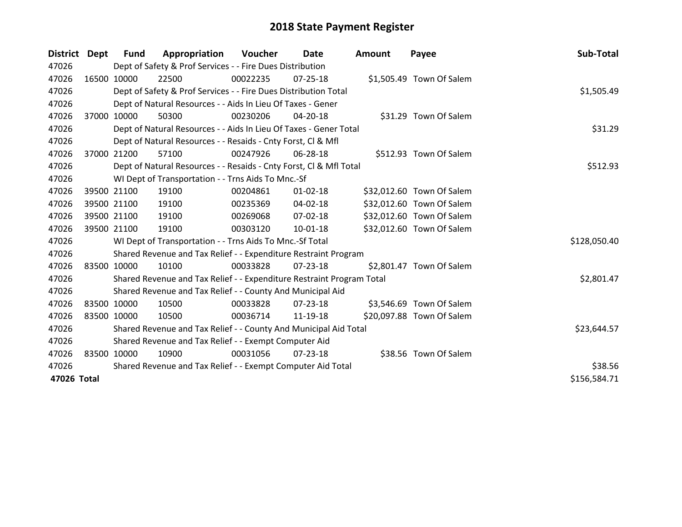| District Dept |             | Fund        | Appropriation                                                         | Voucher     | Date           | <b>Amount</b> | Payee                     | Sub-Total    |
|---------------|-------------|-------------|-----------------------------------------------------------------------|-------------|----------------|---------------|---------------------------|--------------|
| 47026         |             |             | Dept of Safety & Prof Services - - Fire Dues Distribution             |             |                |               |                           |              |
| 47026         |             | 16500 10000 | 22500                                                                 | 00022235    | 07-25-18       |               | \$1,505.49 Town Of Salem  |              |
| 47026         |             |             | Dept of Safety & Prof Services - - Fire Dues Distribution Total       |             |                |               |                           | \$1,505.49   |
| 47026         |             |             | Dept of Natural Resources - - Aids In Lieu Of Taxes - Gener           |             |                |               |                           |              |
| 47026         |             | 37000 10000 | 50300                                                                 | 00230206    | 04-20-18       |               | \$31.29 Town Of Salem     |              |
| 47026         |             |             | Dept of Natural Resources - - Aids In Lieu Of Taxes - Gener Total     |             |                |               |                           | \$31.29      |
| 47026         |             |             | Dept of Natural Resources - - Resaids - Cnty Forst, CI & Mfl          |             |                |               |                           |              |
| 47026         | 37000       | 21200       | 57100                                                                 | 00247926    | 06-28-18       |               | \$512.93 Town Of Salem    |              |
| 47026         |             |             | Dept of Natural Resources - - Resaids - Cnty Forst, Cl & Mfl Total    |             |                |               |                           | \$512.93     |
| 47026         |             |             | WI Dept of Transportation - - Trns Aids To Mnc.-Sf                    |             |                |               |                           |              |
| 47026         |             | 39500 21100 | 19100                                                                 | 00204861    | $01 - 02 - 18$ |               | \$32,012.60 Town Of Salem |              |
| 47026         |             | 39500 21100 | 19100                                                                 | 00235369    | 04-02-18       |               | \$32,012.60 Town Of Salem |              |
| 47026         |             | 39500 21100 | 19100                                                                 | 00269068    | $07 - 02 - 18$ |               | \$32,012.60 Town Of Salem |              |
| 47026         |             | 39500 21100 | 19100                                                                 | 00303120    | 10-01-18       |               | \$32,012.60 Town Of Salem |              |
| 47026         |             |             | WI Dept of Transportation - - Trns Aids To Mnc.-Sf Total              |             |                |               |                           | \$128,050.40 |
| 47026         |             |             | Shared Revenue and Tax Relief - - Expenditure Restraint Program       |             |                |               |                           |              |
| 47026         |             | 83500 10000 | 10100                                                                 | 00033828    | 07-23-18       |               | \$2,801.47 Town Of Salem  |              |
| 47026         |             |             | Shared Revenue and Tax Relief - - Expenditure Restraint Program Total |             |                |               |                           | \$2,801.47   |
| 47026         |             |             | Shared Revenue and Tax Relief - - County And Municipal Aid            |             |                |               |                           |              |
| 47026         | 83500 10000 |             | 10500                                                                 | 00033828    | 07-23-18       |               | \$3,546.69 Town Of Salem  |              |
| 47026         |             | 83500 10000 | 10500                                                                 | 00036714    | 11-19-18       |               | \$20,097.88 Town Of Salem |              |
| 47026         |             |             | Shared Revenue and Tax Relief - - County And Municipal Aid Total      | \$23,644.57 |                |               |                           |              |
| 47026         |             |             | Shared Revenue and Tax Relief - - Exempt Computer Aid                 |             |                |               |                           |              |
| 47026         | 83500 10000 |             | 10900                                                                 | 00031056    | 07-23-18       |               | \$38.56 Town Of Salem     |              |
| 47026         |             |             | Shared Revenue and Tax Relief - - Exempt Computer Aid Total           |             |                |               |                           | \$38.56      |
| 47026 Total   |             |             |                                                                       |             |                |               |                           | \$156,584.71 |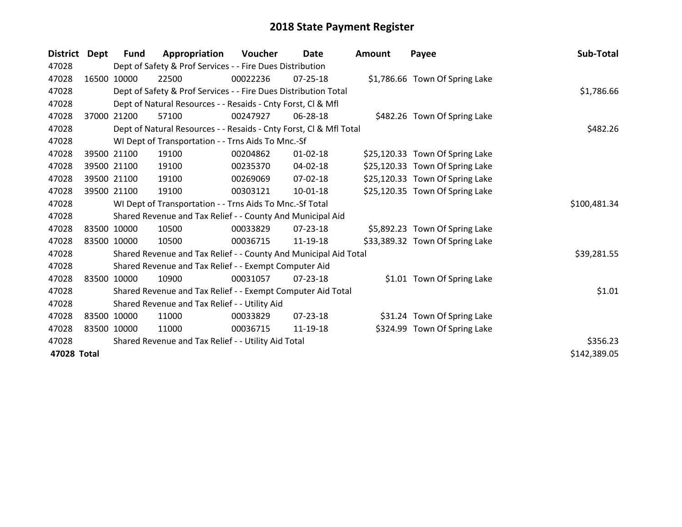| <b>District</b> | Dept  | Fund        | Appropriation                                                      | <b>Voucher</b> | <b>Date</b>    | <b>Amount</b> | Payee                           | Sub-Total    |
|-----------------|-------|-------------|--------------------------------------------------------------------|----------------|----------------|---------------|---------------------------------|--------------|
| 47028           |       |             | Dept of Safety & Prof Services - - Fire Dues Distribution          |                |                |               |                                 |              |
| 47028           |       | 16500 10000 | 22500                                                              | 00022236       | 07-25-18       |               | \$1,786.66 Town Of Spring Lake  |              |
| 47028           |       |             | Dept of Safety & Prof Services - - Fire Dues Distribution Total    |                |                |               |                                 | \$1,786.66   |
| 47028           |       |             | Dept of Natural Resources - - Resaids - Cnty Forst, Cl & Mfl       |                |                |               |                                 |              |
| 47028           | 37000 | 21200       | 57100                                                              | 00247927       | 06-28-18       |               | \$482.26 Town Of Spring Lake    |              |
| 47028           |       |             | Dept of Natural Resources - - Resaids - Cnty Forst, Cl & Mfl Total |                |                |               |                                 | \$482.26     |
| 47028           |       |             | WI Dept of Transportation - - Trns Aids To Mnc.-Sf                 |                |                |               |                                 |              |
| 47028           |       | 39500 21100 | 19100                                                              | 00204862       | $01 - 02 - 18$ |               | \$25,120.33 Town Of Spring Lake |              |
| 47028           |       | 39500 21100 | 19100                                                              | 00235370       | 04-02-18       |               | \$25,120.33 Town Of Spring Lake |              |
| 47028           |       | 39500 21100 | 19100                                                              | 00269069       | 07-02-18       |               | \$25,120.33 Town Of Spring Lake |              |
| 47028           |       | 39500 21100 | 19100                                                              | 00303121       | $10 - 01 - 18$ |               | \$25,120.35 Town Of Spring Lake |              |
| 47028           |       |             | WI Dept of Transportation - - Trns Aids To Mnc.-Sf Total           |                |                |               |                                 | \$100,481.34 |
| 47028           |       |             | Shared Revenue and Tax Relief - - County And Municipal Aid         |                |                |               |                                 |              |
| 47028           |       | 83500 10000 | 10500                                                              | 00033829       | $07 - 23 - 18$ |               | \$5,892.23 Town Of Spring Lake  |              |
| 47028           |       | 83500 10000 | 10500                                                              | 00036715       | 11-19-18       |               | \$33,389.32 Town Of Spring Lake |              |
| 47028           |       |             | Shared Revenue and Tax Relief - - County And Municipal Aid Total   |                |                |               |                                 | \$39,281.55  |
| 47028           |       |             | Shared Revenue and Tax Relief - - Exempt Computer Aid              |                |                |               |                                 |              |
| 47028           |       | 83500 10000 | 10900                                                              | 00031057       | $07 - 23 - 18$ |               | \$1.01 Town Of Spring Lake      |              |
| 47028           |       |             | Shared Revenue and Tax Relief - - Exempt Computer Aid Total        |                |                |               |                                 | \$1.01       |
| 47028           |       |             | Shared Revenue and Tax Relief - - Utility Aid                      |                |                |               |                                 |              |
| 47028           |       | 83500 10000 | 11000                                                              | 00033829       | $07 - 23 - 18$ |               | \$31.24 Town Of Spring Lake     |              |
| 47028           |       | 83500 10000 | 11000                                                              | 00036715       | 11-19-18       |               | \$324.99 Town Of Spring Lake    |              |
| 47028           |       |             | Shared Revenue and Tax Relief - - Utility Aid Total                |                |                |               |                                 | \$356.23     |
| 47028 Total     |       |             |                                                                    |                |                |               |                                 | \$142,389.05 |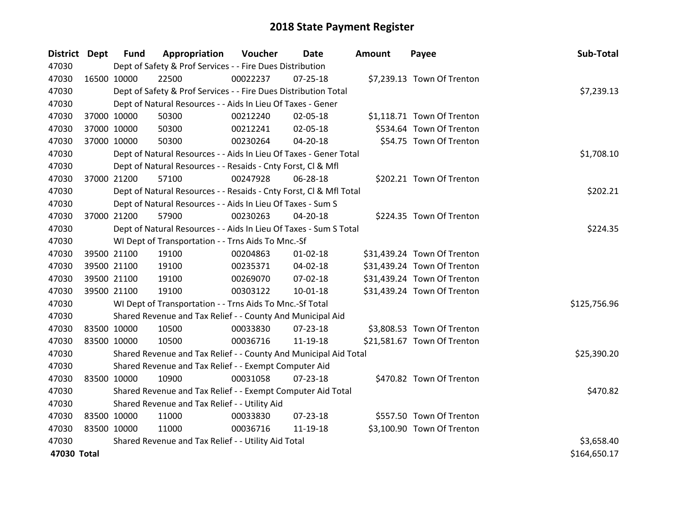| District Dept |             | <b>Fund</b> | Appropriation                                                      | Voucher  | <b>Date</b>    | <b>Amount</b> | Payee                       | Sub-Total    |
|---------------|-------------|-------------|--------------------------------------------------------------------|----------|----------------|---------------|-----------------------------|--------------|
| 47030         |             |             | Dept of Safety & Prof Services - - Fire Dues Distribution          |          |                |               |                             |              |
| 47030         | 16500 10000 |             | 22500                                                              | 00022237 | $07 - 25 - 18$ |               | \$7,239.13 Town Of Trenton  |              |
| 47030         |             |             | Dept of Safety & Prof Services - - Fire Dues Distribution Total    |          |                |               |                             | \$7,239.13   |
| 47030         |             |             | Dept of Natural Resources - - Aids In Lieu Of Taxes - Gener        |          |                |               |                             |              |
| 47030         |             | 37000 10000 | 50300                                                              | 00212240 | 02-05-18       |               | \$1,118.71 Town Of Trenton  |              |
| 47030         |             | 37000 10000 | 50300                                                              | 00212241 | 02-05-18       |               | \$534.64 Town Of Trenton    |              |
| 47030         |             | 37000 10000 | 50300                                                              | 00230264 | $04 - 20 - 18$ |               | \$54.75 Town Of Trenton     |              |
| 47030         |             |             | Dept of Natural Resources - - Aids In Lieu Of Taxes - Gener Total  |          |                |               |                             | \$1,708.10   |
| 47030         |             |             | Dept of Natural Resources - - Resaids - Cnty Forst, CI & Mfl       |          |                |               |                             |              |
| 47030         |             | 37000 21200 | 57100                                                              | 00247928 | 06-28-18       |               | \$202.21 Town Of Trenton    |              |
| 47030         |             |             | Dept of Natural Resources - - Resaids - Cnty Forst, Cl & Mfl Total |          |                |               |                             | \$202.21     |
| 47030         |             |             | Dept of Natural Resources - - Aids In Lieu Of Taxes - Sum S        |          |                |               |                             |              |
| 47030         |             | 37000 21200 | 57900                                                              | 00230263 | 04-20-18       |               | \$224.35 Town Of Trenton    |              |
| 47030         |             |             | Dept of Natural Resources - - Aids In Lieu Of Taxes - Sum S Total  |          |                |               |                             | \$224.35     |
| 47030         |             |             | WI Dept of Transportation - - Trns Aids To Mnc.-Sf                 |          |                |               |                             |              |
| 47030         |             | 39500 21100 | 19100                                                              | 00204863 | $01 - 02 - 18$ |               | \$31,439.24 Town Of Trenton |              |
| 47030         |             | 39500 21100 | 19100                                                              | 00235371 | 04-02-18       |               | \$31,439.24 Town Of Trenton |              |
| 47030         |             | 39500 21100 | 19100                                                              | 00269070 | 07-02-18       |               | \$31,439.24 Town Of Trenton |              |
| 47030         |             | 39500 21100 | 19100                                                              | 00303122 | $10-01-18$     |               | \$31,439.24 Town Of Trenton |              |
| 47030         |             |             | WI Dept of Transportation - - Trns Aids To Mnc.-Sf Total           |          |                |               |                             | \$125,756.96 |
| 47030         |             |             | Shared Revenue and Tax Relief - - County And Municipal Aid         |          |                |               |                             |              |
| 47030         | 83500 10000 |             | 10500                                                              | 00033830 | $07 - 23 - 18$ |               | \$3,808.53 Town Of Trenton  |              |
| 47030         | 83500 10000 |             | 10500                                                              | 00036716 | 11-19-18       |               | \$21,581.67 Town Of Trenton |              |
| 47030         |             |             | Shared Revenue and Tax Relief - - County And Municipal Aid Total   |          |                |               |                             | \$25,390.20  |
| 47030         |             |             | Shared Revenue and Tax Relief - - Exempt Computer Aid              |          |                |               |                             |              |
| 47030         | 83500 10000 |             | 10900                                                              | 00031058 | $07 - 23 - 18$ |               | \$470.82 Town Of Trenton    |              |
| 47030         |             |             | Shared Revenue and Tax Relief - - Exempt Computer Aid Total        |          |                |               |                             | \$470.82     |
| 47030         |             |             | Shared Revenue and Tax Relief - - Utility Aid                      |          |                |               |                             |              |
| 47030         | 83500 10000 |             | 11000                                                              | 00033830 | 07-23-18       |               | \$557.50 Town Of Trenton    |              |
| 47030         | 83500 10000 |             | 11000                                                              | 00036716 | 11-19-18       |               | \$3,100.90 Town Of Trenton  |              |
| 47030         |             |             | Shared Revenue and Tax Relief - - Utility Aid Total                |          |                |               |                             | \$3,658.40   |
| 47030 Total   |             |             |                                                                    |          |                |               |                             | \$164,650.17 |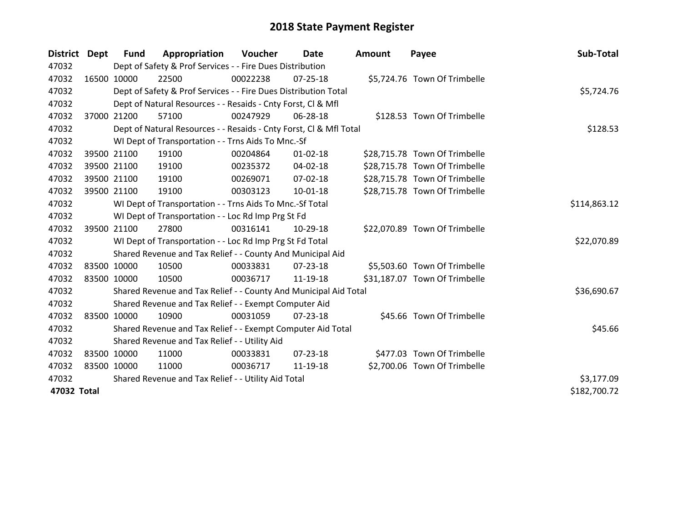| District Dept |             | <b>Fund</b>                                         | Appropriation                                                      | <b>Voucher</b> | Date           | <b>Amount</b> | Payee                         | Sub-Total    |
|---------------|-------------|-----------------------------------------------------|--------------------------------------------------------------------|----------------|----------------|---------------|-------------------------------|--------------|
| 47032         |             |                                                     | Dept of Safety & Prof Services - - Fire Dues Distribution          |                |                |               |                               |              |
| 47032         | 16500 10000 |                                                     | 22500                                                              | 00022238       | $07 - 25 - 18$ |               | \$5,724.76 Town Of Trimbelle  |              |
| 47032         |             |                                                     | Dept of Safety & Prof Services - - Fire Dues Distribution Total    |                |                |               |                               | \$5,724.76   |
| 47032         |             |                                                     | Dept of Natural Resources - - Resaids - Cnty Forst, CI & Mfl       |                |                |               |                               |              |
| 47032         |             | 37000 21200                                         | 57100                                                              | 00247929       | 06-28-18       |               | \$128.53 Town Of Trimbelle    |              |
| 47032         |             |                                                     | Dept of Natural Resources - - Resaids - Cnty Forst, Cl & Mfl Total |                | \$128.53       |               |                               |              |
| 47032         |             |                                                     | WI Dept of Transportation - - Trns Aids To Mnc.-Sf                 |                |                |               |                               |              |
| 47032         |             | 39500 21100                                         | 19100                                                              | 00204864       | $01 - 02 - 18$ |               | \$28,715.78 Town Of Trimbelle |              |
| 47032         |             | 39500 21100                                         | 19100                                                              | 00235372       | $04 - 02 - 18$ |               | \$28,715.78 Town Of Trimbelle |              |
| 47032         |             | 39500 21100                                         | 19100                                                              | 00269071       | $07 - 02 - 18$ |               | \$28,715.78 Town Of Trimbelle |              |
| 47032         |             | 39500 21100                                         | 19100                                                              | 00303123       | $10 - 01 - 18$ |               | \$28,715.78 Town Of Trimbelle |              |
| 47032         |             |                                                     | WI Dept of Transportation - - Trns Aids To Mnc.-Sf Total           |                |                |               |                               | \$114,863.12 |
| 47032         |             |                                                     | WI Dept of Transportation - - Loc Rd Imp Prg St Fd                 |                |                |               |                               |              |
| 47032         |             | 39500 21100                                         | 27800                                                              | 00316141       | 10-29-18       |               | \$22,070.89 Town Of Trimbelle |              |
| 47032         |             |                                                     | WI Dept of Transportation - - Loc Rd Imp Prg St Fd Total           |                |                |               |                               | \$22,070.89  |
| 47032         |             |                                                     | Shared Revenue and Tax Relief - - County And Municipal Aid         |                |                |               |                               |              |
| 47032         |             | 83500 10000                                         | 10500                                                              | 00033831       | $07 - 23 - 18$ |               | \$5,503.60 Town Of Trimbelle  |              |
| 47032         |             | 83500 10000                                         | 10500                                                              | 00036717       | 11-19-18       |               | \$31,187.07 Town Of Trimbelle |              |
| 47032         |             |                                                     | Shared Revenue and Tax Relief - - County And Municipal Aid Total   |                |                |               |                               | \$36,690.67  |
| 47032         |             |                                                     | Shared Revenue and Tax Relief - - Exempt Computer Aid              |                |                |               |                               |              |
| 47032         | 83500 10000 |                                                     | 10900                                                              | 00031059       | 07-23-18       |               | \$45.66 Town Of Trimbelle     |              |
| 47032         |             |                                                     | Shared Revenue and Tax Relief - - Exempt Computer Aid Total        |                |                |               |                               | \$45.66      |
| 47032         |             |                                                     | Shared Revenue and Tax Relief - - Utility Aid                      |                |                |               |                               |              |
| 47032         |             | 83500 10000                                         | 11000                                                              | 00033831       | $07 - 23 - 18$ |               | \$477.03 Town Of Trimbelle    |              |
| 47032         | 83500 10000 |                                                     | 11000                                                              | 00036717       | 11-19-18       |               | \$2,700.06 Town Of Trimbelle  |              |
| 47032         |             | Shared Revenue and Tax Relief - - Utility Aid Total | \$3,177.09                                                         |                |                |               |                               |              |
| 47032 Total   |             |                                                     |                                                                    |                |                |               |                               | \$182,700.72 |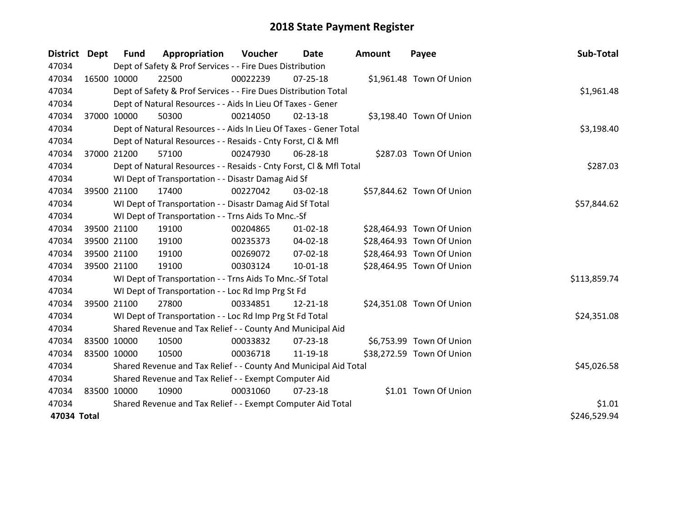| <b>District Dept</b> |             | <b>Fund</b> | Appropriation                                                      | Voucher  | <b>Date</b>    | <b>Amount</b> | Payee                     | Sub-Total    |
|----------------------|-------------|-------------|--------------------------------------------------------------------|----------|----------------|---------------|---------------------------|--------------|
| 47034                |             |             | Dept of Safety & Prof Services - - Fire Dues Distribution          |          |                |               |                           |              |
| 47034                | 16500 10000 |             | 22500                                                              | 00022239 | $07 - 25 - 18$ |               | \$1,961.48 Town Of Union  |              |
| 47034                |             |             | Dept of Safety & Prof Services - - Fire Dues Distribution Total    |          |                |               |                           | \$1,961.48   |
| 47034                |             |             | Dept of Natural Resources - - Aids In Lieu Of Taxes - Gener        |          |                |               |                           |              |
| 47034                |             | 37000 10000 | 50300                                                              | 00214050 | 02-13-18       |               | \$3,198.40 Town Of Union  |              |
| 47034                |             |             | Dept of Natural Resources - - Aids In Lieu Of Taxes - Gener Total  |          |                |               |                           | \$3,198.40   |
| 47034                |             |             | Dept of Natural Resources - - Resaids - Cnty Forst, CI & Mfl       |          |                |               |                           |              |
| 47034                | 37000 21200 |             | 57100                                                              | 00247930 | 06-28-18       |               | \$287.03 Town Of Union    |              |
| 47034                |             |             | Dept of Natural Resources - - Resaids - Cnty Forst, Cl & Mfl Total |          |                |               |                           | \$287.03     |
| 47034                |             |             | WI Dept of Transportation - - Disastr Damag Aid Sf                 |          |                |               |                           |              |
| 47034                | 39500 21100 |             | 17400                                                              | 00227042 | 03-02-18       |               | \$57,844.62 Town Of Union |              |
| 47034                |             |             | WI Dept of Transportation - - Disastr Damag Aid Sf Total           |          |                |               |                           | \$57,844.62  |
| 47034                |             |             | WI Dept of Transportation - - Trns Aids To Mnc.-Sf                 |          |                |               |                           |              |
| 47034                |             | 39500 21100 | 19100                                                              | 00204865 | $01 - 02 - 18$ |               | \$28,464.93 Town Of Union |              |
| 47034                |             | 39500 21100 | 19100                                                              | 00235373 | 04-02-18       |               | \$28,464.93 Town Of Union |              |
| 47034                | 39500 21100 |             | 19100                                                              | 00269072 | 07-02-18       |               | \$28,464.93 Town Of Union |              |
| 47034                |             | 39500 21100 | 19100                                                              | 00303124 | 10-01-18       |               | \$28,464.95 Town Of Union |              |
| 47034                |             |             | WI Dept of Transportation - - Trns Aids To Mnc.-Sf Total           |          |                |               |                           | \$113,859.74 |
| 47034                |             |             | WI Dept of Transportation - - Loc Rd Imp Prg St Fd                 |          |                |               |                           |              |
| 47034                | 39500 21100 |             | 27800                                                              | 00334851 | 12-21-18       |               | \$24,351.08 Town Of Union |              |
| 47034                |             |             | WI Dept of Transportation - - Loc Rd Imp Prg St Fd Total           |          |                |               |                           | \$24,351.08  |
| 47034                |             |             | Shared Revenue and Tax Relief - - County And Municipal Aid         |          |                |               |                           |              |
| 47034                | 83500 10000 |             | 10500                                                              | 00033832 | 07-23-18       |               | \$6,753.99 Town Of Union  |              |
| 47034                | 83500 10000 |             | 10500                                                              | 00036718 | 11-19-18       |               | \$38,272.59 Town Of Union |              |
| 47034                |             |             | Shared Revenue and Tax Relief - - County And Municipal Aid Total   |          |                |               |                           | \$45,026.58  |
| 47034                |             |             | Shared Revenue and Tax Relief - - Exempt Computer Aid              |          |                |               |                           |              |
| 47034                | 83500 10000 |             | 10900                                                              | 00031060 | $07 - 23 - 18$ |               | \$1.01 Town Of Union      |              |
| 47034                |             |             | Shared Revenue and Tax Relief - - Exempt Computer Aid Total        |          |                |               |                           | \$1.01       |
| 47034 Total          |             |             |                                                                    |          |                |               |                           | \$246,529.94 |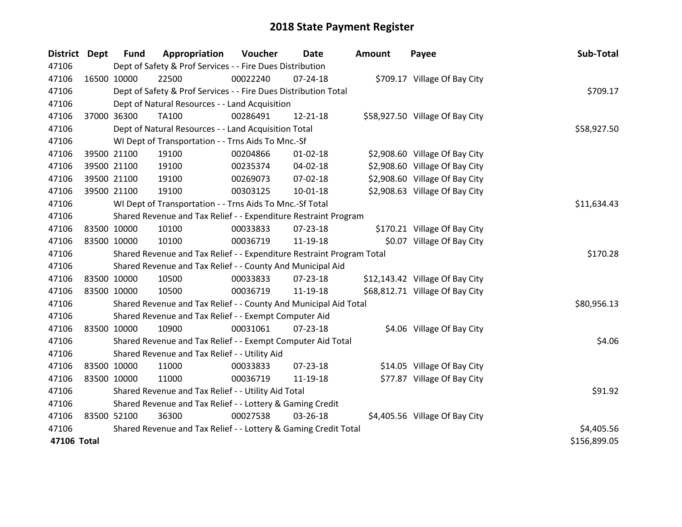| <b>District</b> | Dept | <b>Fund</b> | Appropriation                                                         | Voucher  | Date           | <b>Amount</b> | Payee                           | Sub-Total    |
|-----------------|------|-------------|-----------------------------------------------------------------------|----------|----------------|---------------|---------------------------------|--------------|
| 47106           |      |             | Dept of Safety & Prof Services - - Fire Dues Distribution             |          |                |               |                                 |              |
| 47106           |      | 16500 10000 | 22500                                                                 | 00022240 | 07-24-18       |               | \$709.17 Village Of Bay City    |              |
| 47106           |      |             | Dept of Safety & Prof Services - - Fire Dues Distribution Total       |          |                |               |                                 | \$709.17     |
| 47106           |      |             | Dept of Natural Resources - - Land Acquisition                        |          |                |               |                                 |              |
| 47106           |      | 37000 36300 | <b>TA100</b>                                                          | 00286491 | 12-21-18       |               | \$58,927.50 Village Of Bay City |              |
| 47106           |      |             | Dept of Natural Resources - - Land Acquisition Total                  |          |                |               |                                 | \$58,927.50  |
| 47106           |      |             | WI Dept of Transportation - - Trns Aids To Mnc.-Sf                    |          |                |               |                                 |              |
| 47106           |      | 39500 21100 | 19100                                                                 | 00204866 | $01 - 02 - 18$ |               | \$2,908.60 Village Of Bay City  |              |
| 47106           |      | 39500 21100 | 19100                                                                 | 00235374 | 04-02-18       |               | \$2,908.60 Village Of Bay City  |              |
| 47106           |      | 39500 21100 | 19100                                                                 | 00269073 | 07-02-18       |               | \$2,908.60 Village Of Bay City  |              |
| 47106           |      | 39500 21100 | 19100                                                                 | 00303125 | $10-01-18$     |               | \$2,908.63 Village Of Bay City  |              |
| 47106           |      |             | WI Dept of Transportation - - Trns Aids To Mnc.-Sf Total              |          |                |               |                                 | \$11,634.43  |
| 47106           |      |             | Shared Revenue and Tax Relief - - Expenditure Restraint Program       |          |                |               |                                 |              |
| 47106           |      | 83500 10000 | 10100                                                                 | 00033833 | $07 - 23 - 18$ |               | \$170.21 Village Of Bay City    |              |
| 47106           |      | 83500 10000 | 10100                                                                 | 00036719 | 11-19-18       |               | \$0.07 Village Of Bay City      |              |
| 47106           |      |             | Shared Revenue and Tax Relief - - Expenditure Restraint Program Total |          |                |               |                                 | \$170.28     |
| 47106           |      |             | Shared Revenue and Tax Relief - - County And Municipal Aid            |          |                |               |                                 |              |
| 47106           |      | 83500 10000 | 10500                                                                 | 00033833 | $07 - 23 - 18$ |               | \$12,143.42 Village Of Bay City |              |
| 47106           |      | 83500 10000 | 10500                                                                 | 00036719 | 11-19-18       |               | \$68,812.71 Village Of Bay City |              |
| 47106           |      |             | Shared Revenue and Tax Relief - - County And Municipal Aid Total      |          |                |               |                                 | \$80,956.13  |
| 47106           |      |             | Shared Revenue and Tax Relief - - Exempt Computer Aid                 |          |                |               |                                 |              |
| 47106           |      | 83500 10000 | 10900                                                                 | 00031061 | 07-23-18       |               | \$4.06 Village Of Bay City      |              |
| 47106           |      |             | Shared Revenue and Tax Relief - - Exempt Computer Aid Total           |          |                |               |                                 | \$4.06       |
| 47106           |      |             | Shared Revenue and Tax Relief - - Utility Aid                         |          |                |               |                                 |              |
| 47106           |      | 83500 10000 | 11000                                                                 | 00033833 | 07-23-18       |               | \$14.05 Village Of Bay City     |              |
| 47106           |      | 83500 10000 | 11000                                                                 | 00036719 | 11-19-18       |               | \$77.87 Village Of Bay City     |              |
| 47106           |      |             | Shared Revenue and Tax Relief - - Utility Aid Total                   |          |                |               |                                 | \$91.92      |
| 47106           |      |             | Shared Revenue and Tax Relief - - Lottery & Gaming Credit             |          |                |               |                                 |              |
| 47106           |      | 83500 52100 | 36300                                                                 | 00027538 | 03-26-18       |               | \$4,405.56 Village Of Bay City  |              |
| 47106           |      |             | Shared Revenue and Tax Relief - - Lottery & Gaming Credit Total       |          |                |               |                                 | \$4,405.56   |
| 47106 Total     |      |             |                                                                       |          |                |               |                                 | \$156,899.05 |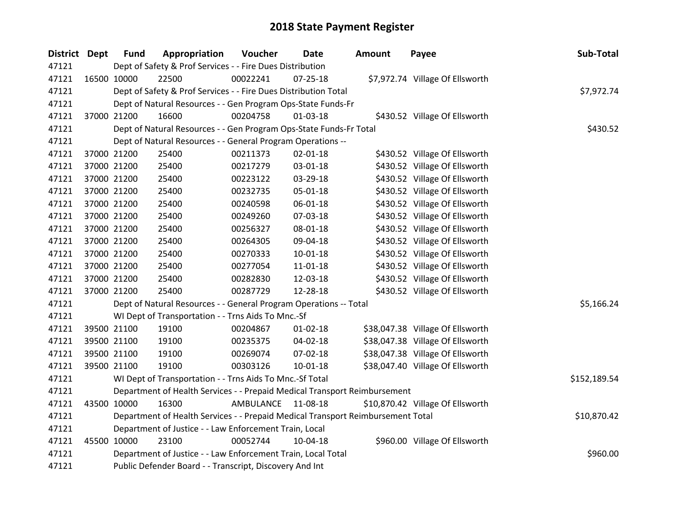| <b>District Dept</b> | <b>Fund</b> | Appropriation                                                                   | Voucher   | <b>Date</b>    | <b>Amount</b> | Payee                            | Sub-Total    |
|----------------------|-------------|---------------------------------------------------------------------------------|-----------|----------------|---------------|----------------------------------|--------------|
| 47121                |             | Dept of Safety & Prof Services - - Fire Dues Distribution                       |           |                |               |                                  |              |
| 47121                | 16500 10000 | 22500                                                                           | 00022241  | $07 - 25 - 18$ |               | \$7,972.74 Village Of Ellsworth  |              |
| 47121                |             | Dept of Safety & Prof Services - - Fire Dues Distribution Total                 |           |                |               |                                  | \$7,972.74   |
| 47121                |             | Dept of Natural Resources - - Gen Program Ops-State Funds-Fr                    |           |                |               |                                  |              |
| 47121                | 37000 21200 | 16600                                                                           | 00204758  | $01-03-18$     |               | \$430.52 Village Of Ellsworth    |              |
| 47121                |             | Dept of Natural Resources - - Gen Program Ops-State Funds-Fr Total              |           | \$430.52       |               |                                  |              |
| 47121                |             | Dept of Natural Resources - - General Program Operations --                     |           |                |               |                                  |              |
| 47121                | 37000 21200 | 25400                                                                           | 00211373  | $02 - 01 - 18$ |               | \$430.52 Village Of Ellsworth    |              |
| 47121                | 37000 21200 | 25400                                                                           | 00217279  | 03-01-18       |               | \$430.52 Village Of Ellsworth    |              |
| 47121                | 37000 21200 | 25400                                                                           | 00223122  | 03-29-18       |               | \$430.52 Village Of Ellsworth    |              |
| 47121                | 37000 21200 | 25400                                                                           | 00232735  | 05-01-18       |               | \$430.52 Village Of Ellsworth    |              |
| 47121                | 37000 21200 | 25400                                                                           | 00240598  | 06-01-18       |               | \$430.52 Village Of Ellsworth    |              |
| 47121                | 37000 21200 | 25400                                                                           | 00249260  | 07-03-18       |               | \$430.52 Village Of Ellsworth    |              |
| 47121                | 37000 21200 | 25400                                                                           | 00256327  | 08-01-18       |               | \$430.52 Village Of Ellsworth    |              |
| 47121                | 37000 21200 | 25400                                                                           | 00264305  | 09-04-18       |               | \$430.52 Village Of Ellsworth    |              |
| 47121                | 37000 21200 | 25400                                                                           | 00270333  | $10-01-18$     |               | \$430.52 Village Of Ellsworth    |              |
| 47121                | 37000 21200 | 25400                                                                           | 00277054  | 11-01-18       |               | \$430.52 Village Of Ellsworth    |              |
| 47121                | 37000 21200 | 25400                                                                           | 00282830  | 12-03-18       |               | \$430.52 Village Of Ellsworth    |              |
| 47121                | 37000 21200 | 25400                                                                           | 00287729  | 12-28-18       |               | \$430.52 Village Of Ellsworth    |              |
| 47121                |             | Dept of Natural Resources - - General Program Operations -- Total               |           |                |               |                                  | \$5,166.24   |
| 47121                |             | WI Dept of Transportation - - Trns Aids To Mnc.-Sf                              |           |                |               |                                  |              |
| 47121                | 39500 21100 | 19100                                                                           | 00204867  | $01 - 02 - 18$ |               | \$38,047.38 Village Of Ellsworth |              |
| 47121                | 39500 21100 | 19100                                                                           | 00235375  | 04-02-18       |               | \$38,047.38 Village Of Ellsworth |              |
| 47121                | 39500 21100 | 19100                                                                           | 00269074  | 07-02-18       |               | \$38,047.38 Village Of Ellsworth |              |
| 47121                | 39500 21100 | 19100                                                                           | 00303126  | $10 - 01 - 18$ |               | \$38,047.40 Village Of Ellsworth |              |
| 47121                |             | WI Dept of Transportation - - Trns Aids To Mnc.-Sf Total                        |           |                |               |                                  | \$152,189.54 |
| 47121                |             | Department of Health Services - - Prepaid Medical Transport Reimbursement       |           |                |               |                                  |              |
| 47121                | 43500 10000 | 16300                                                                           | AMBULANCE | 11-08-18       |               | \$10,870.42 Village Of Ellsworth |              |
| 47121                |             | Department of Health Services - - Prepaid Medical Transport Reimbursement Total |           |                |               |                                  | \$10,870.42  |
| 47121                |             | Department of Justice - - Law Enforcement Train, Local                          |           |                |               |                                  |              |
| 47121                | 45500 10000 | 23100                                                                           | 00052744  | 10-04-18       |               | \$960.00 Village Of Ellsworth    |              |
| 47121                |             | Department of Justice - - Law Enforcement Train, Local Total                    |           |                |               |                                  | \$960.00     |
| 47121                |             | Public Defender Board - - Transcript, Discovery And Int                         |           |                |               |                                  |              |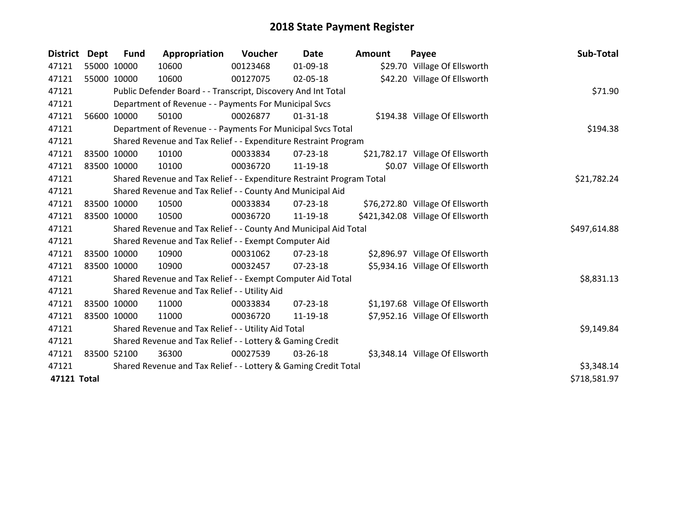| <b>District</b> | <b>Dept</b> | <b>Fund</b> | Appropriation                                                         | Voucher  | <b>Date</b>    | <b>Amount</b> | Payee                             | Sub-Total    |
|-----------------|-------------|-------------|-----------------------------------------------------------------------|----------|----------------|---------------|-----------------------------------|--------------|
| 47121           |             | 55000 10000 | 10600                                                                 | 00123468 | 01-09-18       |               | \$29.70 Village Of Ellsworth      |              |
| 47121           | 55000 10000 |             | 10600                                                                 | 00127075 | 02-05-18       |               | \$42.20 Village Of Ellsworth      |              |
| 47121           |             |             | Public Defender Board - - Transcript, Discovery And Int Total         |          |                |               |                                   | \$71.90      |
| 47121           |             |             | Department of Revenue - - Payments For Municipal Svcs                 |          |                |               |                                   |              |
| 47121           |             | 56600 10000 | 50100                                                                 | 00026877 | $01 - 31 - 18$ |               | \$194.38 Village Of Ellsworth     |              |
| 47121           |             |             | Department of Revenue - - Payments For Municipal Svcs Total           |          |                |               |                                   | \$194.38     |
| 47121           |             |             | Shared Revenue and Tax Relief - - Expenditure Restraint Program       |          |                |               |                                   |              |
| 47121           |             | 83500 10000 | 10100                                                                 | 00033834 | $07 - 23 - 18$ |               | \$21,782.17 Village Of Ellsworth  |              |
| 47121           |             | 83500 10000 | 10100                                                                 | 00036720 | 11-19-18       |               | \$0.07 Village Of Ellsworth       |              |
| 47121           |             |             | Shared Revenue and Tax Relief - - Expenditure Restraint Program Total |          |                |               |                                   | \$21,782.24  |
| 47121           |             |             | Shared Revenue and Tax Relief - - County And Municipal Aid            |          |                |               |                                   |              |
| 47121           |             | 83500 10000 | 10500                                                                 | 00033834 | $07 - 23 - 18$ |               | \$76,272.80 Village Of Ellsworth  |              |
| 47121           |             | 83500 10000 | 10500                                                                 | 00036720 | 11-19-18       |               | \$421,342.08 Village Of Ellsworth |              |
| 47121           |             |             | Shared Revenue and Tax Relief - - County And Municipal Aid Total      |          |                |               |                                   | \$497,614.88 |
| 47121           |             |             | Shared Revenue and Tax Relief - - Exempt Computer Aid                 |          |                |               |                                   |              |
| 47121           |             | 83500 10000 | 10900                                                                 | 00031062 | 07-23-18       |               | \$2,896.97 Village Of Ellsworth   |              |
| 47121           |             | 83500 10000 | 10900                                                                 | 00032457 | 07-23-18       |               | \$5,934.16 Village Of Ellsworth   |              |
| 47121           |             |             | Shared Revenue and Tax Relief - - Exempt Computer Aid Total           |          |                |               |                                   | \$8,831.13   |
| 47121           |             |             | Shared Revenue and Tax Relief - - Utility Aid                         |          |                |               |                                   |              |
| 47121           |             | 83500 10000 | 11000                                                                 | 00033834 | $07 - 23 - 18$ |               | \$1,197.68 Village Of Ellsworth   |              |
| 47121           |             | 83500 10000 | 11000                                                                 | 00036720 | 11-19-18       |               | \$7,952.16 Village Of Ellsworth   |              |
| 47121           |             |             | Shared Revenue and Tax Relief - - Utility Aid Total                   |          |                |               |                                   | \$9,149.84   |
| 47121           |             |             | Shared Revenue and Tax Relief - - Lottery & Gaming Credit             |          |                |               |                                   |              |
| 47121           |             | 83500 52100 | 36300                                                                 | 00027539 | 03-26-18       |               | \$3,348.14 Village Of Ellsworth   |              |
| 47121           |             |             | Shared Revenue and Tax Relief - - Lottery & Gaming Credit Total       |          |                |               |                                   | \$3,348.14   |
| 47121 Total     |             |             |                                                                       |          |                |               |                                   | \$718,581.97 |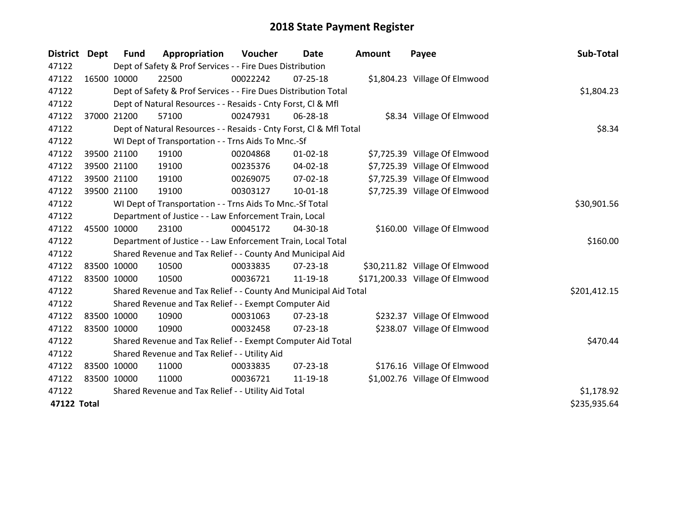| District Dept | <b>Fund</b> | Appropriation                                                      | Voucher  | <b>Date</b>    | Amount | Payee                           | Sub-Total    |
|---------------|-------------|--------------------------------------------------------------------|----------|----------------|--------|---------------------------------|--------------|
| 47122         |             | Dept of Safety & Prof Services - - Fire Dues Distribution          |          |                |        |                                 |              |
| 47122         | 16500 10000 | 22500                                                              | 00022242 | 07-25-18       |        | \$1,804.23 Village Of Elmwood   |              |
| 47122         |             | Dept of Safety & Prof Services - - Fire Dues Distribution Total    |          |                |        |                                 | \$1,804.23   |
| 47122         |             | Dept of Natural Resources - - Resaids - Cnty Forst, CI & Mfl       |          |                |        |                                 |              |
| 47122         | 37000 21200 | 57100                                                              | 00247931 | 06-28-18       |        | \$8.34 Village Of Elmwood       |              |
| 47122         |             | Dept of Natural Resources - - Resaids - Cnty Forst, CI & Mfl Total |          |                |        |                                 | \$8.34       |
| 47122         |             | WI Dept of Transportation - - Trns Aids To Mnc.-Sf                 |          |                |        |                                 |              |
| 47122         | 39500 21100 | 19100                                                              | 00204868 | $01 - 02 - 18$ |        | \$7,725.39 Village Of Elmwood   |              |
| 47122         | 39500 21100 | 19100                                                              | 00235376 | 04-02-18       |        | \$7,725.39 Village Of Elmwood   |              |
| 47122         | 39500 21100 | 19100                                                              | 00269075 | $07 - 02 - 18$ |        | \$7,725.39 Village Of Elmwood   |              |
| 47122         | 39500 21100 | 19100                                                              | 00303127 | 10-01-18       |        | \$7,725.39 Village Of Elmwood   |              |
| 47122         |             | WI Dept of Transportation - - Trns Aids To Mnc.-Sf Total           |          |                |        |                                 | \$30,901.56  |
| 47122         |             | Department of Justice - - Law Enforcement Train, Local             |          |                |        |                                 |              |
| 47122         | 45500 10000 | 23100                                                              | 00045172 | 04-30-18       |        | \$160.00 Village Of Elmwood     |              |
| 47122         |             | Department of Justice - - Law Enforcement Train, Local Total       |          |                |        |                                 | \$160.00     |
| 47122         |             | Shared Revenue and Tax Relief - - County And Municipal Aid         |          |                |        |                                 |              |
| 47122         | 83500 10000 | 10500                                                              | 00033835 | $07 - 23 - 18$ |        | \$30,211.82 Village Of Elmwood  |              |
| 47122         | 83500 10000 | 10500                                                              | 00036721 | 11-19-18       |        | \$171,200.33 Village Of Elmwood |              |
| 47122         |             | Shared Revenue and Tax Relief - - County And Municipal Aid Total   |          |                |        |                                 | \$201,412.15 |
| 47122         |             | Shared Revenue and Tax Relief - - Exempt Computer Aid              |          |                |        |                                 |              |
| 47122         | 83500 10000 | 10900                                                              | 00031063 | 07-23-18       |        | \$232.37 Village Of Elmwood     |              |
| 47122         | 83500 10000 | 10900                                                              | 00032458 | 07-23-18       |        | \$238.07 Village Of Elmwood     |              |
| 47122         |             | Shared Revenue and Tax Relief - - Exempt Computer Aid Total        |          |                |        |                                 | \$470.44     |
| 47122         |             | Shared Revenue and Tax Relief - - Utility Aid                      |          |                |        |                                 |              |
| 47122         | 83500 10000 | 11000                                                              | 00033835 | $07 - 23 - 18$ |        | \$176.16 Village Of Elmwood     |              |
| 47122         | 83500 10000 | 11000                                                              | 00036721 | 11-19-18       |        | \$1,002.76 Village Of Elmwood   |              |
| 47122         |             | Shared Revenue and Tax Relief - - Utility Aid Total                |          |                |        |                                 | \$1,178.92   |
| 47122 Total   |             |                                                                    |          |                |        |                                 | \$235,935.64 |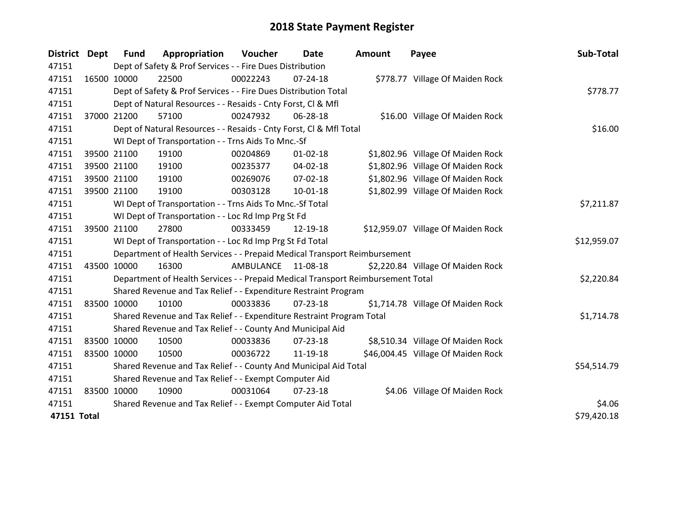| <b>District</b> | Dept | <b>Fund</b>                                           | Appropriation                                                                   | Voucher   | Date           | <b>Amount</b> | Payee                              | Sub-Total   |  |  |
|-----------------|------|-------------------------------------------------------|---------------------------------------------------------------------------------|-----------|----------------|---------------|------------------------------------|-------------|--|--|
| 47151           |      |                                                       | Dept of Safety & Prof Services - - Fire Dues Distribution                       |           |                |               |                                    |             |  |  |
| 47151           |      | 16500 10000                                           | 22500                                                                           | 00022243  | 07-24-18       |               | \$778.77 Village Of Maiden Rock    |             |  |  |
| 47151           |      |                                                       | Dept of Safety & Prof Services - - Fire Dues Distribution Total                 |           |                |               |                                    | \$778.77    |  |  |
| 47151           |      |                                                       | Dept of Natural Resources - - Resaids - Cnty Forst, Cl & Mfl                    |           |                |               |                                    |             |  |  |
| 47151           |      | 37000 21200                                           | 57100                                                                           | 00247932  | 06-28-18       |               | \$16.00 Village Of Maiden Rock     |             |  |  |
| 47151           |      |                                                       | Dept of Natural Resources - - Resaids - Cnty Forst, Cl & Mfl Total              |           |                |               |                                    | \$16.00     |  |  |
| 47151           |      |                                                       | WI Dept of Transportation - - Trns Aids To Mnc.-Sf                              |           |                |               |                                    |             |  |  |
| 47151           |      | 39500 21100                                           | 19100                                                                           | 00204869  | $01 - 02 - 18$ |               | \$1,802.96 Village Of Maiden Rock  |             |  |  |
| 47151           |      | 39500 21100                                           | 19100                                                                           | 00235377  | 04-02-18       |               | \$1,802.96 Village Of Maiden Rock  |             |  |  |
| 47151           |      | 39500 21100                                           | 19100                                                                           | 00269076  | $07 - 02 - 18$ |               | \$1,802.96 Village Of Maiden Rock  |             |  |  |
| 47151           |      | 39500 21100                                           | 19100                                                                           | 00303128  | $10 - 01 - 18$ |               | \$1,802.99 Village Of Maiden Rock  |             |  |  |
| 47151           |      |                                                       | WI Dept of Transportation - - Trns Aids To Mnc.-Sf Total                        |           |                |               |                                    | \$7,211.87  |  |  |
| 47151           |      |                                                       | WI Dept of Transportation - - Loc Rd Imp Prg St Fd                              |           |                |               |                                    |             |  |  |
| 47151           |      | 39500 21100                                           | 27800                                                                           | 00333459  | 12-19-18       |               | \$12,959.07 Village Of Maiden Rock |             |  |  |
| 47151           |      |                                                       | WI Dept of Transportation - - Loc Rd Imp Prg St Fd Total                        |           |                |               |                                    | \$12,959.07 |  |  |
| 47151           |      |                                                       | Department of Health Services - - Prepaid Medical Transport Reimbursement       |           |                |               |                                    |             |  |  |
| 47151           |      | 43500 10000                                           | 16300                                                                           | AMBULANCE | 11-08-18       |               | \$2,220.84 Village Of Maiden Rock  |             |  |  |
| 47151           |      |                                                       | Department of Health Services - - Prepaid Medical Transport Reimbursement Total |           |                |               |                                    | \$2,220.84  |  |  |
| 47151           |      |                                                       | Shared Revenue and Tax Relief - - Expenditure Restraint Program                 |           |                |               |                                    |             |  |  |
| 47151           |      | 83500 10000                                           | 10100                                                                           | 00033836  | $07 - 23 - 18$ |               | \$1,714.78 Village Of Maiden Rock  |             |  |  |
| 47151           |      |                                                       | Shared Revenue and Tax Relief - - Expenditure Restraint Program Total           |           |                |               |                                    | \$1,714.78  |  |  |
| 47151           |      |                                                       | Shared Revenue and Tax Relief - - County And Municipal Aid                      |           |                |               |                                    |             |  |  |
| 47151           |      | 83500 10000                                           | 10500                                                                           | 00033836  | $07 - 23 - 18$ |               | \$8,510.34 Village Of Maiden Rock  |             |  |  |
| 47151           |      | 83500 10000                                           | 10500                                                                           | 00036722  | 11-19-18       |               | \$46,004.45 Village Of Maiden Rock |             |  |  |
| 47151           |      |                                                       | Shared Revenue and Tax Relief - - County And Municipal Aid Total                |           |                |               |                                    | \$54,514.79 |  |  |
| 47151           |      | Shared Revenue and Tax Relief - - Exempt Computer Aid |                                                                                 |           |                |               |                                    |             |  |  |
| 47151           |      | 83500 10000                                           | 10900                                                                           | 00031064  | $07 - 23 - 18$ |               | \$4.06 Village Of Maiden Rock      |             |  |  |
| 47151           |      |                                                       | Shared Revenue and Tax Relief - - Exempt Computer Aid Total                     |           |                |               |                                    | \$4.06      |  |  |
| 47151 Total     |      |                                                       |                                                                                 |           |                |               |                                    | \$79,420.18 |  |  |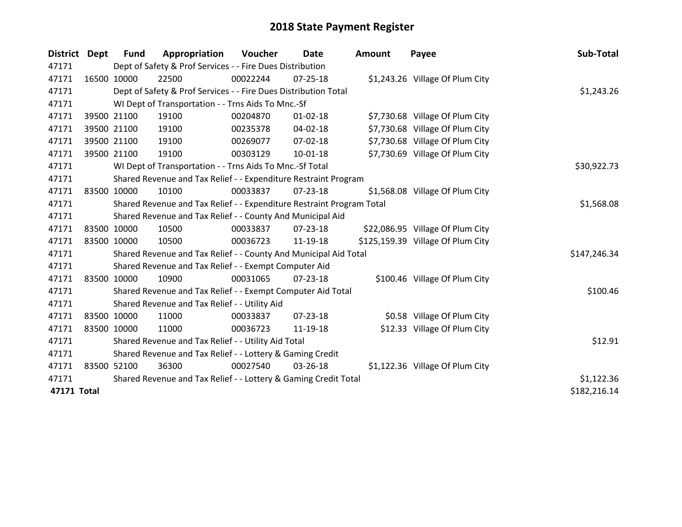| District Dept | <b>Fund</b>                                               | Appropriation                                                         | <b>Voucher</b> | <b>Date</b>    | <b>Amount</b> | Payee                             | Sub-Total    |
|---------------|-----------------------------------------------------------|-----------------------------------------------------------------------|----------------|----------------|---------------|-----------------------------------|--------------|
| 47171         |                                                           | Dept of Safety & Prof Services - - Fire Dues Distribution             |                |                |               |                                   |              |
| 47171         | 16500 10000                                               | 22500                                                                 | 00022244       | $07 - 25 - 18$ |               | \$1,243.26 Village Of Plum City   |              |
| 47171         |                                                           | Dept of Safety & Prof Services - - Fire Dues Distribution Total       |                |                |               |                                   | \$1,243.26   |
| 47171         |                                                           | WI Dept of Transportation - - Trns Aids To Mnc.-Sf                    |                |                |               |                                   |              |
| 47171         | 39500 21100                                               | 19100                                                                 | 00204870       | $01 - 02 - 18$ |               | \$7,730.68 Village Of Plum City   |              |
| 47171         | 39500 21100                                               | 19100                                                                 | 00235378       | $04 - 02 - 18$ |               | \$7,730.68 Village Of Plum City   |              |
| 47171         | 39500 21100                                               | 19100                                                                 | 00269077       | 07-02-18       |               | \$7,730.68 Village Of Plum City   |              |
| 47171         | 39500 21100                                               | 19100                                                                 | 00303129       | $10-01-18$     |               | \$7,730.69 Village Of Plum City   |              |
| 47171         |                                                           | WI Dept of Transportation - - Trns Aids To Mnc.-Sf Total              |                |                |               |                                   | \$30,922.73  |
| 47171         |                                                           | Shared Revenue and Tax Relief - - Expenditure Restraint Program       |                |                |               |                                   |              |
| 47171         | 83500 10000                                               | 10100                                                                 | 00033837       | $07 - 23 - 18$ |               | \$1,568.08 Village Of Plum City   |              |
| 47171         |                                                           | Shared Revenue and Tax Relief - - Expenditure Restraint Program Total |                |                |               |                                   | \$1,568.08   |
| 47171         |                                                           | Shared Revenue and Tax Relief - - County And Municipal Aid            |                |                |               |                                   |              |
| 47171         | 83500 10000                                               | 10500                                                                 | 00033837       | $07 - 23 - 18$ |               | \$22,086.95 Village Of Plum City  |              |
| 47171         | 83500 10000                                               | 10500                                                                 | 00036723       | 11-19-18       |               | \$125,159.39 Village Of Plum City |              |
| 47171         |                                                           | Shared Revenue and Tax Relief - - County And Municipal Aid Total      |                |                |               |                                   | \$147,246.34 |
| 47171         |                                                           | Shared Revenue and Tax Relief - - Exempt Computer Aid                 |                |                |               |                                   |              |
| 47171         | 83500 10000                                               | 10900                                                                 | 00031065       | 07-23-18       |               | \$100.46 Village Of Plum City     |              |
| 47171         |                                                           | Shared Revenue and Tax Relief - - Exempt Computer Aid Total           |                |                |               |                                   | \$100.46     |
| 47171         |                                                           | Shared Revenue and Tax Relief - - Utility Aid                         |                |                |               |                                   |              |
| 47171         | 83500 10000                                               | 11000                                                                 | 00033837       | $07 - 23 - 18$ |               | \$0.58 Village Of Plum City       |              |
| 47171         | 83500 10000                                               | 11000                                                                 | 00036723       | 11-19-18       |               | \$12.33 Village Of Plum City      |              |
| 47171         |                                                           | Shared Revenue and Tax Relief - - Utility Aid Total                   |                |                |               |                                   | \$12.91      |
| 47171         | Shared Revenue and Tax Relief - - Lottery & Gaming Credit |                                                                       |                |                |               |                                   |              |
| 47171         | 83500 52100                                               | 36300                                                                 | 00027540       | 03-26-18       |               | \$1,122.36 Village Of Plum City   |              |
| 47171         |                                                           | Shared Revenue and Tax Relief - - Lottery & Gaming Credit Total       |                |                |               |                                   | \$1,122.36   |
| 47171 Total   |                                                           |                                                                       |                |                |               |                                   | \$182,216.14 |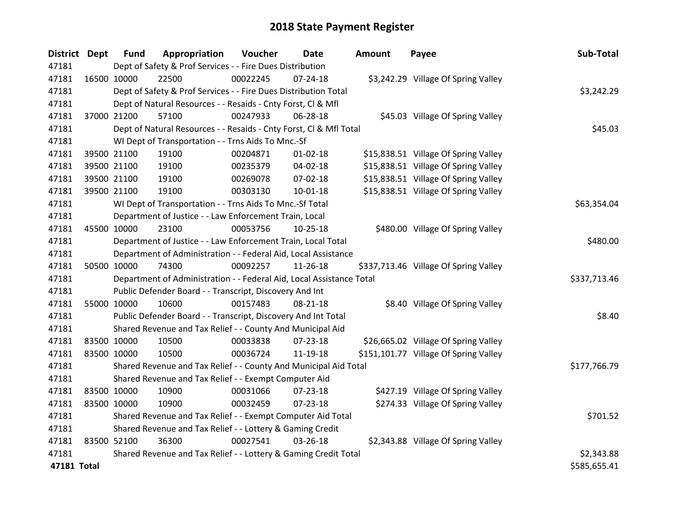| District Dept |             | <b>Fund</b>                                               | Appropriation                                                        | Voucher  | <b>Date</b>    | Amount | Payee                                 | Sub-Total    |
|---------------|-------------|-----------------------------------------------------------|----------------------------------------------------------------------|----------|----------------|--------|---------------------------------------|--------------|
| 47181         |             | Dept of Safety & Prof Services - - Fire Dues Distribution |                                                                      |          |                |        |                                       |              |
| 47181         |             | 16500 10000                                               | 22500                                                                | 00022245 | $07 - 24 - 18$ |        | \$3,242.29 Village Of Spring Valley   |              |
| 47181         |             |                                                           | Dept of Safety & Prof Services - - Fire Dues Distribution Total      |          |                |        |                                       | \$3,242.29   |
| 47181         |             |                                                           | Dept of Natural Resources - - Resaids - Cnty Forst, Cl & Mfl         |          |                |        |                                       |              |
| 47181         |             | 37000 21200                                               | 57100                                                                | 00247933 | 06-28-18       |        | \$45.03 Village Of Spring Valley      |              |
| 47181         |             |                                                           | Dept of Natural Resources - - Resaids - Cnty Forst, Cl & Mfl Total   |          |                |        |                                       | \$45.03      |
| 47181         |             |                                                           | WI Dept of Transportation - - Trns Aids To Mnc.-Sf                   |          |                |        |                                       |              |
| 47181         |             | 39500 21100                                               | 19100                                                                | 00204871 | $01 - 02 - 18$ |        | \$15,838.51 Village Of Spring Valley  |              |
| 47181         |             | 39500 21100                                               | 19100                                                                | 00235379 | 04-02-18       |        | \$15,838.51 Village Of Spring Valley  |              |
| 47181         |             | 39500 21100                                               | 19100                                                                | 00269078 | 07-02-18       |        | \$15,838.51 Village Of Spring Valley  |              |
| 47181         |             | 39500 21100                                               | 19100                                                                | 00303130 | 10-01-18       |        | \$15,838.51 Village Of Spring Valley  |              |
| 47181         |             |                                                           | WI Dept of Transportation - - Trns Aids To Mnc.-Sf Total             |          |                |        |                                       | \$63,354.04  |
| 47181         |             |                                                           | Department of Justice - - Law Enforcement Train, Local               |          |                |        |                                       |              |
| 47181         | 45500 10000 |                                                           | 23100                                                                | 00053756 | 10-25-18       |        | \$480.00 Village Of Spring Valley     |              |
| 47181         |             |                                                           | Department of Justice - - Law Enforcement Train, Local Total         |          |                |        |                                       | \$480.00     |
| 47181         |             |                                                           | Department of Administration - - Federal Aid, Local Assistance       |          |                |        |                                       |              |
| 47181         |             | 50500 10000                                               | 74300                                                                | 00092257 | 11-26-18       |        | \$337,713.46 Village Of Spring Valley |              |
| 47181         |             |                                                           | Department of Administration - - Federal Aid, Local Assistance Total |          |                |        |                                       | \$337,713.46 |
| 47181         |             |                                                           | Public Defender Board - - Transcript, Discovery And Int              |          |                |        |                                       |              |
| 47181         | 55000 10000 |                                                           | 10600                                                                | 00157483 | 08-21-18       |        | \$8.40 Village Of Spring Valley       |              |
| 47181         |             |                                                           | Public Defender Board - - Transcript, Discovery And Int Total        |          |                |        |                                       | \$8.40       |
| 47181         |             |                                                           | Shared Revenue and Tax Relief - - County And Municipal Aid           |          |                |        |                                       |              |
| 47181         | 83500 10000 |                                                           | 10500                                                                | 00033838 | $07 - 23 - 18$ |        | \$26,665.02 Village Of Spring Valley  |              |
| 47181         |             | 83500 10000                                               | 10500                                                                | 00036724 | 11-19-18       |        | \$151,101.77 Village Of Spring Valley |              |
| 47181         |             |                                                           | Shared Revenue and Tax Relief - - County And Municipal Aid Total     |          |                |        |                                       | \$177,766.79 |
| 47181         |             |                                                           | Shared Revenue and Tax Relief - - Exempt Computer Aid                |          |                |        |                                       |              |
| 47181         | 83500 10000 |                                                           | 10900                                                                | 00031066 | 07-23-18       |        | \$427.19 Village Of Spring Valley     |              |
| 47181         | 83500 10000 |                                                           | 10900                                                                | 00032459 | $07 - 23 - 18$ |        | \$274.33 Village Of Spring Valley     |              |
| 47181         |             |                                                           | Shared Revenue and Tax Relief - - Exempt Computer Aid Total          |          |                |        |                                       | \$701.52     |
| 47181         |             |                                                           | Shared Revenue and Tax Relief - - Lottery & Gaming Credit            |          |                |        |                                       |              |
| 47181         | 83500 52100 |                                                           | 36300                                                                | 00027541 | 03-26-18       |        | \$2,343.88 Village Of Spring Valley   |              |
| 47181         |             |                                                           | Shared Revenue and Tax Relief - - Lottery & Gaming Credit Total      |          |                |        |                                       | \$2,343.88   |
| 47181 Total   |             |                                                           |                                                                      |          |                |        |                                       | \$585,655.41 |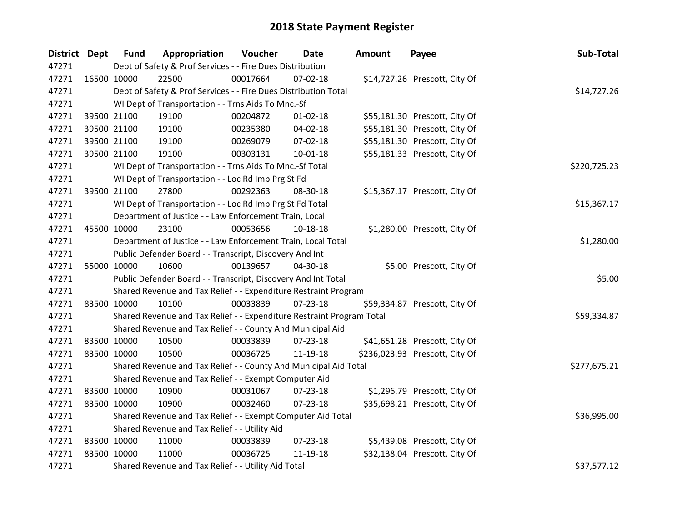| District Dept |             | <b>Fund</b>                                                  | Appropriation                                                         | Voucher     | <b>Date</b>    | <b>Amount</b> | Payee                          | Sub-Total    |
|---------------|-------------|--------------------------------------------------------------|-----------------------------------------------------------------------|-------------|----------------|---------------|--------------------------------|--------------|
| 47271         |             |                                                              | Dept of Safety & Prof Services - - Fire Dues Distribution             |             |                |               |                                |              |
| 47271         | 16500 10000 |                                                              | 22500                                                                 | 00017664    | $07 - 02 - 18$ |               | \$14,727.26 Prescott, City Of  |              |
| 47271         |             |                                                              | Dept of Safety & Prof Services - - Fire Dues Distribution Total       | \$14,727.26 |                |               |                                |              |
| 47271         |             |                                                              | WI Dept of Transportation - - Trns Aids To Mnc.-Sf                    |             |                |               |                                |              |
| 47271         |             | 39500 21100                                                  | 19100                                                                 | 00204872    | $01 - 02 - 18$ |               | \$55,181.30 Prescott, City Of  |              |
| 47271         |             | 39500 21100                                                  | 19100                                                                 | 00235380    | 04-02-18       |               | \$55,181.30 Prescott, City Of  |              |
| 47271         |             | 39500 21100                                                  | 19100                                                                 | 00269079    | 07-02-18       |               | \$55,181.30 Prescott, City Of  |              |
| 47271         |             | 39500 21100                                                  | 19100                                                                 | 00303131    | $10 - 01 - 18$ |               | \$55,181.33 Prescott, City Of  |              |
| 47271         |             |                                                              | WI Dept of Transportation - - Trns Aids To Mnc.-Sf Total              |             |                |               |                                | \$220,725.23 |
| 47271         |             |                                                              | WI Dept of Transportation - - Loc Rd Imp Prg St Fd                    |             |                |               |                                |              |
| 47271         |             | 39500 21100                                                  | 27800                                                                 | 00292363    | 08-30-18       |               | \$15,367.17 Prescott, City Of  |              |
| 47271         |             |                                                              | WI Dept of Transportation - - Loc Rd Imp Prg St Fd Total              |             |                |               |                                | \$15,367.17  |
| 47271         |             |                                                              | Department of Justice - - Law Enforcement Train, Local                |             |                |               |                                |              |
| 47271         |             | 45500 10000                                                  | 23100                                                                 | 00053656    | 10-18-18       |               | \$1,280.00 Prescott, City Of   |              |
| 47271         |             | Department of Justice - - Law Enforcement Train, Local Total | \$1,280.00                                                            |             |                |               |                                |              |
| 47271         |             |                                                              | Public Defender Board - - Transcript, Discovery And Int               |             |                |               |                                |              |
| 47271         |             | 55000 10000                                                  | 10600                                                                 | 00139657    | 04-30-18       |               | \$5.00 Prescott, City Of       |              |
| 47271         |             |                                                              | Public Defender Board - - Transcript, Discovery And Int Total         |             |                |               |                                | \$5.00       |
| 47271         |             |                                                              | Shared Revenue and Tax Relief - - Expenditure Restraint Program       |             |                |               |                                |              |
| 47271         | 83500 10000 |                                                              | 10100                                                                 | 00033839    | $07 - 23 - 18$ |               | \$59,334.87 Prescott, City Of  |              |
| 47271         |             |                                                              | Shared Revenue and Tax Relief - - Expenditure Restraint Program Total |             |                |               |                                | \$59,334.87  |
| 47271         |             |                                                              | Shared Revenue and Tax Relief - - County And Municipal Aid            |             |                |               |                                |              |
| 47271         |             | 83500 10000                                                  | 10500                                                                 | 00033839    | 07-23-18       |               | \$41,651.28 Prescott, City Of  |              |
| 47271         | 83500 10000 |                                                              | 10500                                                                 | 00036725    | 11-19-18       |               | \$236,023.93 Prescott, City Of |              |
| 47271         |             |                                                              | Shared Revenue and Tax Relief - - County And Municipal Aid Total      |             |                |               |                                | \$277,675.21 |
| 47271         |             |                                                              | Shared Revenue and Tax Relief - - Exempt Computer Aid                 |             |                |               |                                |              |
| 47271         | 83500 10000 |                                                              | 10900                                                                 | 00031067    | 07-23-18       |               | \$1,296.79 Prescott, City Of   |              |
| 47271         | 83500 10000 |                                                              | 10900                                                                 | 00032460    | $07 - 23 - 18$ |               | \$35,698.21 Prescott, City Of  |              |
| 47271         |             |                                                              | Shared Revenue and Tax Relief - - Exempt Computer Aid Total           |             |                |               |                                | \$36,995.00  |
| 47271         |             | Shared Revenue and Tax Relief - - Utility Aid                |                                                                       |             |                |               |                                |              |
| 47271         | 83500 10000 |                                                              | 11000                                                                 | 00033839    | 07-23-18       |               | \$5,439.08 Prescott, City Of   |              |
| 47271         | 83500 10000 |                                                              | 11000                                                                 | 00036725    | 11-19-18       |               | \$32,138.04 Prescott, City Of  |              |
| 47271         |             |                                                              | Shared Revenue and Tax Relief - - Utility Aid Total                   |             |                |               |                                | \$37,577.12  |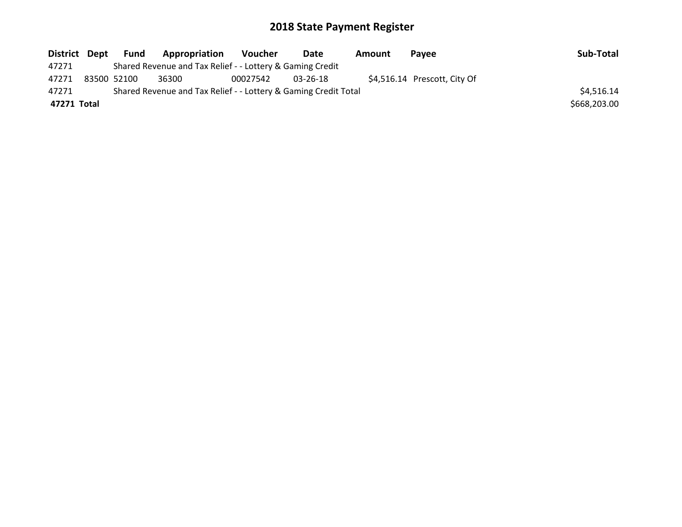| District Dept |                                                                 | <b>Fund</b> | Appropriation                                             | Voucher  | Date     | Amount | <b>Pavee</b>                 | Sub-Total    |
|---------------|-----------------------------------------------------------------|-------------|-----------------------------------------------------------|----------|----------|--------|------------------------------|--------------|
| 47271         |                                                                 |             | Shared Revenue and Tax Relief - - Lottery & Gaming Credit |          |          |        |                              |              |
| 47271         |                                                                 | 83500 52100 | 36300                                                     | 00027542 | 03-26-18 |        | \$4,516.14 Prescott, City Of |              |
| 47271         | Shared Revenue and Tax Relief - - Lottery & Gaming Credit Total |             |                                                           |          |          |        |                              |              |
| 47271 Total   |                                                                 |             |                                                           |          |          |        |                              | \$668,203.00 |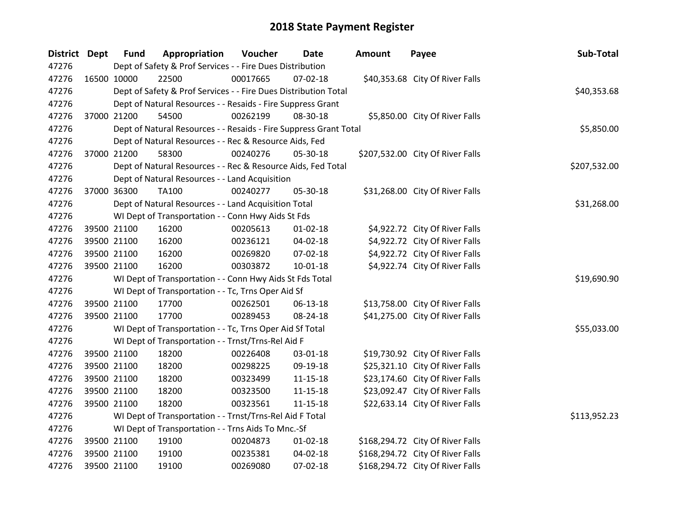| <b>District Dept</b> |                                                    | <b>Fund</b>                                               | Appropriation                                                     | Voucher  | Date           | <b>Amount</b> | Payee                            | Sub-Total    |
|----------------------|----------------------------------------------------|-----------------------------------------------------------|-------------------------------------------------------------------|----------|----------------|---------------|----------------------------------|--------------|
| 47276                |                                                    | Dept of Safety & Prof Services - - Fire Dues Distribution |                                                                   |          |                |               |                                  |              |
| 47276                |                                                    | 16500 10000                                               | 22500                                                             | 00017665 | $07 - 02 - 18$ |               | \$40,353.68 City Of River Falls  |              |
| 47276                |                                                    |                                                           | Dept of Safety & Prof Services - - Fire Dues Distribution Total   |          |                |               |                                  | \$40,353.68  |
| 47276                |                                                    |                                                           | Dept of Natural Resources - - Resaids - Fire Suppress Grant       |          |                |               |                                  |              |
| 47276                |                                                    | 37000 21200                                               | 54500                                                             | 00262199 | 08-30-18       |               | \$5,850.00 City Of River Falls   |              |
| 47276                |                                                    |                                                           | Dept of Natural Resources - - Resaids - Fire Suppress Grant Total |          |                |               |                                  | \$5,850.00   |
| 47276                |                                                    |                                                           | Dept of Natural Resources - - Rec & Resource Aids, Fed            |          |                |               |                                  |              |
| 47276                |                                                    | 37000 21200                                               | 58300                                                             | 00240276 | 05-30-18       |               | \$207,532.00 City Of River Falls |              |
| 47276                |                                                    |                                                           | Dept of Natural Resources - - Rec & Resource Aids, Fed Total      |          |                |               |                                  | \$207,532.00 |
| 47276                |                                                    |                                                           | Dept of Natural Resources - - Land Acquisition                    |          |                |               |                                  |              |
| 47276                |                                                    | 37000 36300                                               | <b>TA100</b>                                                      | 00240277 | 05-30-18       |               | \$31,268.00 City Of River Falls  |              |
| 47276                |                                                    |                                                           | Dept of Natural Resources - - Land Acquisition Total              |          |                |               |                                  | \$31,268.00  |
| 47276                |                                                    |                                                           | WI Dept of Transportation - - Conn Hwy Aids St Fds                |          |                |               |                                  |              |
| 47276                |                                                    | 39500 21100                                               | 16200                                                             | 00205613 | $01 - 02 - 18$ |               | \$4,922.72 City Of River Falls   |              |
| 47276                |                                                    | 39500 21100                                               | 16200                                                             | 00236121 | 04-02-18       |               | \$4,922.72 City Of River Falls   |              |
| 47276                |                                                    | 39500 21100                                               | 16200                                                             | 00269820 | 07-02-18       |               | \$4,922.72 City Of River Falls   |              |
| 47276                |                                                    | 39500 21100                                               | 16200                                                             | 00303872 | $10 - 01 - 18$ |               | \$4,922.74 City Of River Falls   |              |
| 47276                |                                                    |                                                           | WI Dept of Transportation - - Conn Hwy Aids St Fds Total          |          |                |               |                                  | \$19,690.90  |
| 47276                |                                                    |                                                           | WI Dept of Transportation - - Tc, Trns Oper Aid Sf                |          |                |               |                                  |              |
| 47276                |                                                    | 39500 21100                                               | 17700                                                             | 00262501 | 06-13-18       |               | \$13,758.00 City Of River Falls  |              |
| 47276                |                                                    | 39500 21100                                               | 17700                                                             | 00289453 | 08-24-18       |               | \$41,275.00 City Of River Falls  |              |
| 47276                |                                                    |                                                           | WI Dept of Transportation - - Tc, Trns Oper Aid Sf Total          |          |                |               |                                  | \$55,033.00  |
| 47276                |                                                    |                                                           | WI Dept of Transportation - - Trnst/Trns-Rel Aid F                |          |                |               |                                  |              |
| 47276                |                                                    | 39500 21100                                               | 18200                                                             | 00226408 | 03-01-18       |               | \$19,730.92 City Of River Falls  |              |
| 47276                |                                                    | 39500 21100                                               | 18200                                                             | 00298225 | 09-19-18       |               | \$25,321.10 City Of River Falls  |              |
| 47276                |                                                    | 39500 21100                                               | 18200                                                             | 00323499 | $11 - 15 - 18$ |               | \$23,174.60 City Of River Falls  |              |
| 47276                |                                                    | 39500 21100                                               | 18200                                                             | 00323500 | 11-15-18       |               | \$23,092.47 City Of River Falls  |              |
| 47276                |                                                    | 39500 21100                                               | 18200                                                             | 00323561 | $11 - 15 - 18$ |               | \$22,633.14 City Of River Falls  |              |
| 47276                |                                                    |                                                           | WI Dept of Transportation - - Trnst/Trns-Rel Aid F Total          |          |                |               |                                  | \$113,952.23 |
| 47276                | WI Dept of Transportation - - Trns Aids To Mnc.-Sf |                                                           |                                                                   |          |                |               |                                  |              |
| 47276                |                                                    | 39500 21100                                               | 19100                                                             | 00204873 | $01 - 02 - 18$ |               | \$168,294.72 City Of River Falls |              |
| 47276                |                                                    | 39500 21100                                               | 19100                                                             | 00235381 | 04-02-18       |               | \$168,294.72 City Of River Falls |              |
| 47276                |                                                    | 39500 21100                                               | 19100                                                             | 00269080 | 07-02-18       |               | \$168,294.72 City Of River Falls |              |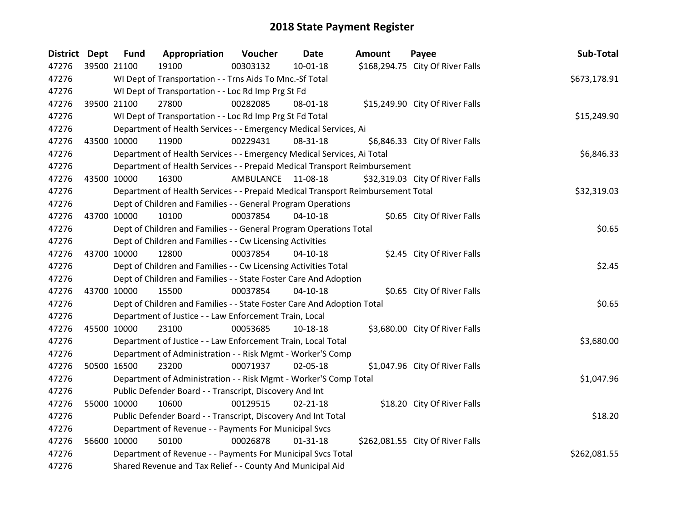| <b>District</b> | <b>Dept</b> | <b>Fund</b> | Appropriation                                                                   | Voucher            | Date           | <b>Amount</b> | Payee                            | Sub-Total    |
|-----------------|-------------|-------------|---------------------------------------------------------------------------------|--------------------|----------------|---------------|----------------------------------|--------------|
| 47276           |             | 39500 21100 | 19100                                                                           | 00303132           | $10 - 01 - 18$ |               | \$168,294.75 City Of River Falls |              |
| 47276           |             |             | WI Dept of Transportation - - Trns Aids To Mnc.-Sf Total                        |                    |                |               |                                  | \$673,178.91 |
| 47276           |             |             | WI Dept of Transportation - - Loc Rd Imp Prg St Fd                              |                    |                |               |                                  |              |
| 47276           |             | 39500 21100 | 27800                                                                           | 00282085           | 08-01-18       |               | \$15,249.90 City Of River Falls  |              |
| 47276           |             |             | WI Dept of Transportation - - Loc Rd Imp Prg St Fd Total                        |                    |                |               |                                  | \$15,249.90  |
| 47276           |             |             | Department of Health Services - - Emergency Medical Services, Ai                |                    |                |               |                                  |              |
| 47276           | 43500 10000 |             | 11900                                                                           | 00229431           | 08-31-18       |               | \$6,846.33 City Of River Falls   |              |
| 47276           |             |             | Department of Health Services - - Emergency Medical Services, Ai Total          |                    |                |               |                                  | \$6,846.33   |
| 47276           |             |             | Department of Health Services - - Prepaid Medical Transport Reimbursement       |                    |                |               |                                  |              |
| 47276           | 43500 10000 |             | 16300                                                                           | AMBULANCE 11-08-18 |                |               | \$32,319.03 City Of River Falls  |              |
| 47276           |             |             | Department of Health Services - - Prepaid Medical Transport Reimbursement Total |                    |                |               |                                  | \$32,319.03  |
| 47276           |             |             | Dept of Children and Families - - General Program Operations                    |                    |                |               |                                  |              |
| 47276           |             | 43700 10000 | 10100                                                                           | 00037854           | $04 - 10 - 18$ |               | \$0.65 City Of River Falls       |              |
| 47276           |             |             | Dept of Children and Families - - General Program Operations Total              |                    |                |               |                                  | \$0.65       |
| 47276           |             |             | Dept of Children and Families - - Cw Licensing Activities                       |                    |                |               |                                  |              |
| 47276           |             | 43700 10000 | 12800                                                                           | 00037854           | $04 - 10 - 18$ |               | \$2.45 City Of River Falls       |              |
| 47276           |             |             | Dept of Children and Families - - Cw Licensing Activities Total                 |                    |                |               |                                  | \$2.45       |
| 47276           |             |             | Dept of Children and Families - - State Foster Care And Adoption                |                    |                |               |                                  |              |
| 47276           | 43700 10000 |             | 15500                                                                           | 00037854           | $04-10-18$     |               | \$0.65 City Of River Falls       |              |
| 47276           |             |             | Dept of Children and Families - - State Foster Care And Adoption Total          |                    |                |               |                                  | \$0.65       |
| 47276           |             |             | Department of Justice - - Law Enforcement Train, Local                          |                    |                |               |                                  |              |
| 47276           | 45500 10000 |             | 23100                                                                           | 00053685           | 10-18-18       |               | \$3,680.00 City Of River Falls   |              |
| 47276           |             |             | Department of Justice - - Law Enforcement Train, Local Total                    |                    |                |               |                                  | \$3,680.00   |
| 47276           |             |             | Department of Administration - - Risk Mgmt - Worker'S Comp                      |                    |                |               |                                  |              |
| 47276           |             | 50500 16500 | 23200                                                                           | 00071937           | 02-05-18       |               | \$1,047.96 City Of River Falls   |              |
| 47276           |             |             | Department of Administration - - Risk Mgmt - Worker'S Comp Total                |                    |                |               |                                  | \$1,047.96   |
| 47276           |             |             | Public Defender Board - - Transcript, Discovery And Int                         |                    |                |               |                                  |              |
| 47276           |             | 55000 10000 | 10600                                                                           | 00129515           | $02 - 21 - 18$ |               | \$18.20 City Of River Falls      |              |
| 47276           |             |             | Public Defender Board - - Transcript, Discovery And Int Total                   |                    |                |               |                                  | \$18.20      |
| 47276           |             |             | Department of Revenue - - Payments For Municipal Svcs                           |                    |                |               |                                  |              |
| 47276           |             | 56600 10000 | 50100                                                                           | 00026878           | $01 - 31 - 18$ |               | \$262,081.55 City Of River Falls |              |
| 47276           |             |             | Department of Revenue - - Payments For Municipal Svcs Total                     |                    |                |               |                                  | \$262,081.55 |
| 47276           |             |             | Shared Revenue and Tax Relief - - County And Municipal Aid                      |                    |                |               |                                  |              |